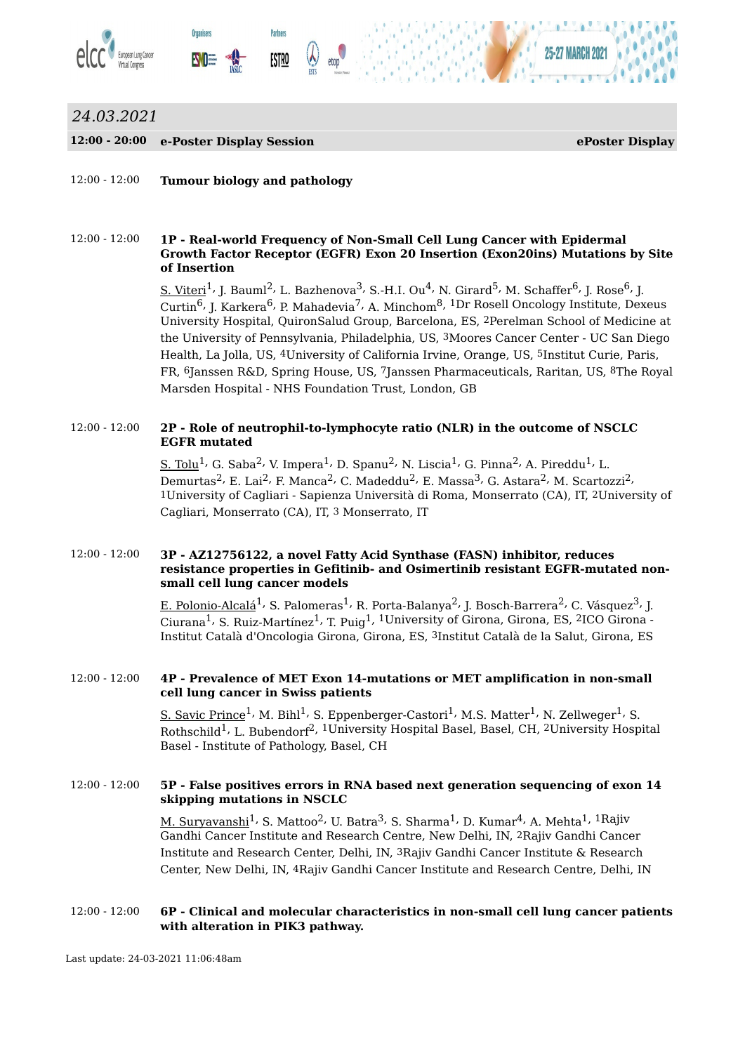

## *24.03.2021*

#### **12:00 - 20:00 e-Poster Display Session ePoster Display**

12:00 - 12:00 **Tumour biology and pathology**

#### 12:00 - 12:00 **1P - Real-world Frequency of Non-Small Cell Lung Cancer with Epidermal Growth Factor Receptor (EGFR) Exon 20 Insertion (Exon20ins) Mutations by Site of Insertion**

 $\leq$ . Viteri $^1$ , J. Bauml $^2$ , L. Bazhenova $^3$ , S.-H.I. Ou $^4$ , N. Girard $^5$ , M. Schaffer $^6$ , J. Rose $^6$ , J. Curtin<sup>6,</sup> J. Karkera<sup>6,</sup> P. Mahadevia<sup>7,</sup> A. Minchom<sup>8, 1</sup>Dr Rosell Oncology Institute, Dexeus University Hospital, QuironSalud Group, Barcelona, ES, 2Perelman School of Medicine at the University of Pennsylvania, Philadelphia, US, 3Moores Cancer Center - UC San Diego Health, La Jolla, US, 4University of California Irvine, Orange, US, 5Institut Curie, Paris, FR, 6Janssen R&D, Spring House, US, 7Janssen Pharmaceuticals, Raritan, US, 8The Royal Marsden Hospital - NHS Foundation Trust, London, GB

#### 12:00 - 12:00 **2P - Role of neutrophil-to-lymphocyte ratio (NLR) in the outcome of NSCLC EGFR mutated**

 $\text{\rm S.~Tolu}^{\rm 1}$ , G. Saba $^{\rm 2}$ , V. Impera $^{\rm 1}$ , D. Spanu $^{\rm 2}$ , N. Liscia $^{\rm 1}$ , G. Pinna $^{\rm 2}$ , A. Pireddu $^{\rm 1}$ , L. Demurtas<sup>2,</sup> E. Lai<sup>2,</sup> F. Manca<sup>2,</sup> C. Madeddu<sup>2,</sup> E. Massa<sup>3,</sup> G. Astara<sup>2,</sup> M. Scartozzi<sup>2,</sup> 1University of Cagliari - Sapienza Università di Roma, Monserrato (CA), IT, 2University of Cagliari, Monserrato (CA), IT, 3 Monserrato, IT

#### 12:00 - 12:00 **3P - AZ12756122, a novel Fatty Acid Synthase (FASN) inhibitor, reduces resistance properties in Gefitinib- and Osimertinib resistant EGFR-mutated nonsmall cell lung cancer models**

E. Polonio-Alcalá<sup>1,</sup> S. Palomeras<sup>1,</sup> R. Porta-Balanya<sup>2,</sup> J. Bosch-Barrera<sup>2,</sup> C. Vásquez<sup>3,</sup> J. Ciurana $^1$ , S. Ruiz-Martínez $^1$ , T. Puig $^1$ ,  $^1$ University of Girona, Girona, ES,  $^2$ ICO Girona -Institut Català d'Oncologia Girona, Girona, ES, 3Institut Català de la Salut, Girona, ES

#### 12:00 - 12:00 **4P - Prevalence of MET Exon 14-mutations or MET amplification in non-small cell lung cancer in Swiss patients**

<u>S. Savic Prince</u> $^1$ , M. Bihl $^1$ , S. Eppenberger-Castori $^1$ , M.S. Matter $^1$ , N. Zellweger $^1$ , S. Rothschild<sup>1,</sup> L. Bubendorf<sup>2, 1</sup>University Hospital Basel, Basel, CH, <sup>2</sup>University Hospital Basel - Institute of Pathology, Basel, CH

#### 12:00 - 12:00 **5P - False positives errors in RNA based next generation sequencing of exon 14 skipping mutations in NSCLC**

<u>M. Suryavanshi</u><sup>1,</sup> S. Mattoo<sup>2,</sup> U. Batra<sup>3,</sup> S. Sharma<sup>1,</sup> D. Kumar<sup>4,</sup> A. Mehta<sup>1, 1</sup>Rajiv Gandhi Cancer Institute and Research Centre, New Delhi, IN, 2Rajiv Gandhi Cancer Institute and Research Center, Delhi, IN, 3Rajiv Gandhi Cancer Institute & Research Center, New Delhi, IN, 4Rajiv Gandhi Cancer Institute and Research Centre, Delhi, IN

#### 12:00 - 12:00 **6P - Clinical and molecular characteristics in non-small cell lung cancer patients with alteration in PIK3 pathway.**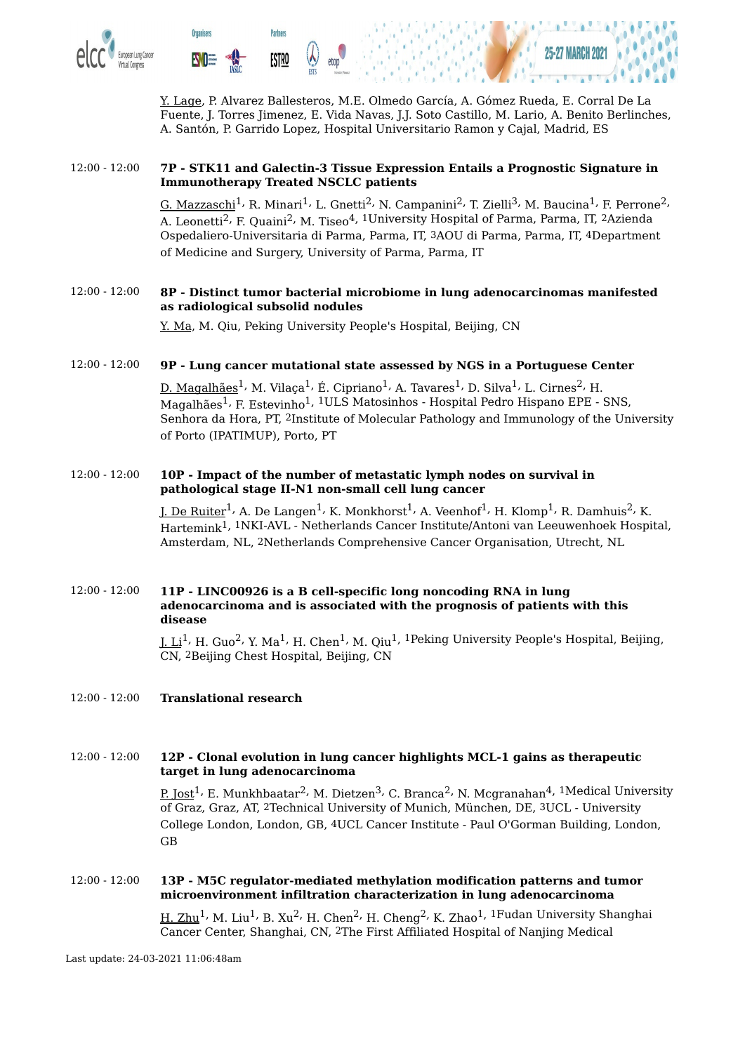

Y. Lage, P. Alvarez Ballesteros, M.E. Olmedo García, A. Gómez Rueda, E. Corral De La Fuente, J. Torres Jimenez, E. Vida Navas, J.J. Soto Castillo, M. Lario, A. Benito Berlinches, A. Santón, P. Garrido Lopez, Hospital Universitario Ramon y Cajal, Madrid, ES

#### 12:00 - 12:00 **7P - STK11 and Galectin-3 Tissue Expression Entails a Prognostic Signature in Immunotherapy Treated NSCLC patients**

 $\rm G.~Maxzaschi^{\hat{1}}$ , R. Minari $^{\rm 1}$ , L. Gnetti $^{\rm 2}$ , N. Campanini $^{\rm 2}$ , T. Zielli $^{\rm 3}$ , M. Baucina $^{\rm 1}$ , F. Perrone $^{\rm 2}$ , A. Leonetti<sup>2,</sup> F. Quaini<sup>2,</sup> M. Tiseo<sup>4, 1</sup>University Hospital of Parma, Parma, IT, <sup>2</sup>Azienda Ospedaliero-Universitaria di Parma, Parma, IT, 3AOU di Parma, Parma, IT, 4Department of Medicine and Surgery, University of Parma, Parma, IT

#### 12:00 - 12:00 **8P - Distinct tumor bacterial microbiome in lung adenocarcinomas manifested as radiological subsolid nodules**

Y. Ma, M. Qiu, Peking University People's Hospital, Beijing, CN

#### 12:00 - 12:00 **9P - Lung cancer mutational state assessed by NGS in a Portuguese Center**

<u>D. Magalhães</u><sup>1,</sup> M. Vilaça<sup>1,</sup> É. Cipriano<sup>1,</sup> A. Tavares<sup>1,</sup> D. Silva<sup>1,</sup> L. Cirnes<sup>2,</sup> H. Magalhães<sup>1,</sup> F. Estevinho<sup>1, 1</sup>ULS Matosinhos - Hospital Pedro Hispano EPE - SNS, Senhora da Hora, PT, 2Institute of Molecular Pathology and Immunology of the University of Porto (IPATIMUP), Porto, PT

#### 12:00 - 12:00 **10P - Impact of the number of metastatic lymph nodes on survival in pathological stage II-N1 non-small cell lung cancer**

J. De Ruiter $^1$ <sup>,</sup> A. De Langen $^1$ <sup>,</sup> K. Monkhorst $^1$ <sup>,</sup> A. Veenhof $^1$ <sup>,</sup> H. Klomp $^1$ <sup>,</sup> R. Damhuis $^2$ <sup>,</sup> K. Hartemink 1, 1NKI-AVL - Netherlands Cancer Institute/Antoni van Leeuwenhoek Hospital, Amsterdam, NL, 2Netherlands Comprehensive Cancer Organisation, Utrecht, NL

#### 12:00 - 12:00 **11P - LINC00926 is a B cell-specific long noncoding RNA in lung adenocarcinoma and is associated with the prognosis of patients with this disease**

<u>J. Li</u><sup>1,</sup> H. Guo<sup>2,</sup> Y. Ma<sup>1,</sup> H. Chen<sup>1,</sup> M. Qiu<sup>1, 1</sup>Peking University People's Hospital, Beijing, CN, 2Beijing Chest Hospital, Beijing, CN

#### 12:00 - 12:00 **Translational research**

#### 12:00 - 12:00 **12P - Clonal evolution in lung cancer highlights MCL-1 gains as therapeutic target in lung adenocarcinoma**

<u>P. Jost</u><sup>1,</sup> E. Munkhbaatar<sup>2,</sup> M. Dietzen<sup>3,</sup> C. Branca<sup>2,</sup> N. Mcgranahan<sup>4, 1</sup>Medical University of Graz, Graz, AT, 2Technical University of Munich, München, DE, 3UCL - University College London, London, GB, 4UCL Cancer Institute - Paul O'Gorman Building, London, GB

#### 12:00 - 12:00 **13P - M5C regulator-mediated methylation modification patterns and tumor microenvironment infiltration characterization in lung adenocarcinoma**

 $\rm{H.\,Zhu}^1$ , M. Liu $^1$ , B. Xu $^2$ , H. Chen $^2$ , H. Cheng $^2$ , K. Zhao $^1$ ,  $^1$ Fudan University Shanghai Cancer Center, Shanghai, CN, 2The First Affiliated Hospital of Nanjing Medical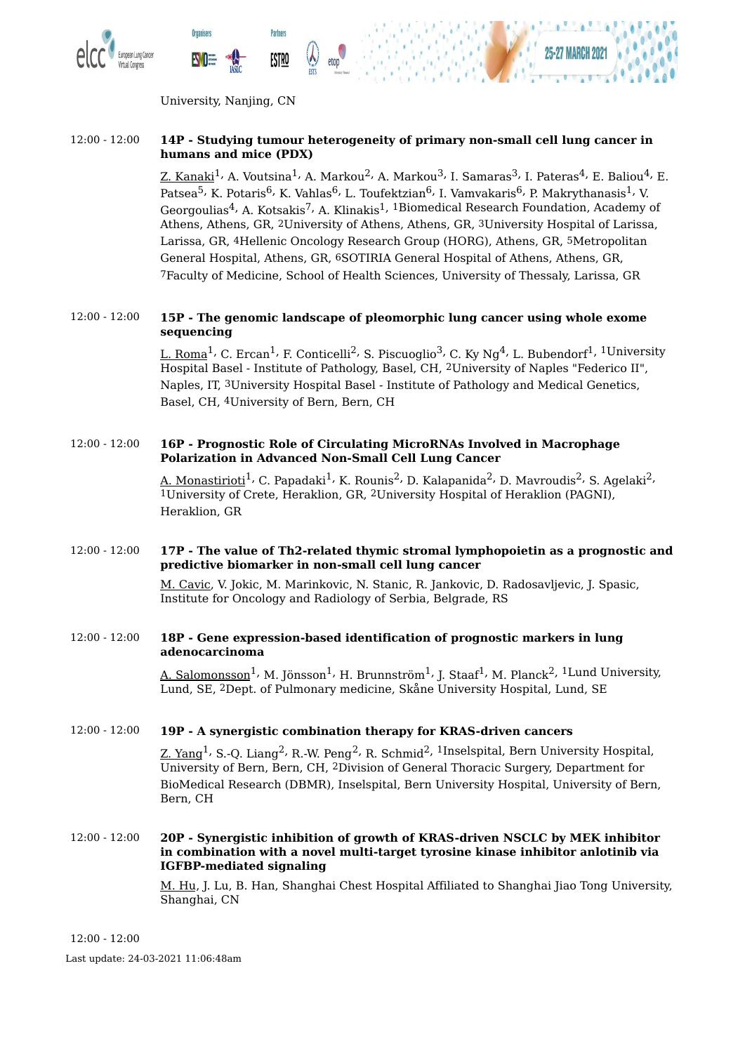



University, Nanjing, CN

**Partners** 

<u>ESTRO</u>

**Organisers** 

#### 12:00 - 12:00 **14P - Studying tumour heterogeneity of primary non-small cell lung cancer in humans and mice (PDX)**

Z. Kanaki $^1$ , A. Voutsina $^1$ , A. Markou $^2$ , A. Markou $^3$ , I. Samaras $^3$ , I. Pateras $^4$ , E. Baliou $^4$ , E. Patsea<sup>5,</sup> K. Potaris<sup>6,</sup> K. Vahlas<sup>6,</sup> L. Toufektzian<sup>6,</sup> I. Vamvakaris<sup>6,</sup> P. Makrythanasis<sup>1,</sup> V. Georgoulias<sup>4,</sup> A. Kotsakis<sup>7,</sup> A. Klinakis<sup>1, 1</sup>Biomedical Research Foundation, Academy of Athens, Athens, GR, 2University of Athens, Athens, GR, 3University Hospital of Larissa, Larissa, GR, 4Hellenic Oncology Research Group (HORG), Athens, GR, 5Metropolitan General Hospital, Athens, GR, 6SOTIRIA General Hospital of Athens, Athens, GR, 7Faculty of Medicine, School of Health Sciences, University of Thessaly, Larissa, GR

#### 12:00 - 12:00 **15P - The genomic landscape of pleomorphic lung cancer using whole exome sequencing**

<u>L. Roma</u><sup>1,</sup> C. Ercan<sup>1,</sup> F. Conticelli<sup>2,</sup> S. Piscuoglio<sup>3,</sup> C. Ky Ng<sup>4,</sup> L. Bubendorf<sup>1, 1</sup>University Hospital Basel - Institute of Pathology, Basel, CH, 2University of Naples "Federico II", Naples, IT, 3University Hospital Basel - Institute of Pathology and Medical Genetics, Basel, CH, 4University of Bern, Bern, CH

#### 12:00 - 12:00 **16P - Prognostic Role of Circulating MicroRNAs Involved in Macrophage Polarization in Advanced Non-Small Cell Lung Cancer**

<u>A. Monastirioti</u><sup>1,</sup> C. Papadaki<sup>1,</sup> K. Rounis<sup>2,</sup> D. Kalapanida<sup>2,</sup> D. Mavroudis<sup>2,</sup> S. Agelaki<sup>2,</sup> 1University of Crete, Heraklion, GR, 2University Hospital of Heraklion (PAGNI), Heraklion, GR

#### 12:00 - 12:00 **17P - The value of Th2-related thymic stromal lymphopoietin as a prognostic and predictive biomarker in non-small cell lung cancer**

M. Cavic, V. Jokic, M. Marinkovic, N. Stanic, R. Jankovic, D. Radosavljevic, J. Spasic, Institute for Oncology and Radiology of Serbia, Belgrade, RS

#### 12:00 - 12:00 **18P - Gene expression-based identification of prognostic markers in lung adenocarcinoma**

A. Salomonsson<sup>1,</sup> M. Jönsson<sup>1,</sup> H. Brunnström<sup>1,</sup> J. Staaf<sup>1,</sup> M. Planck<sup>2, 1</sup>Lund University, Lund, SE, 2Dept. of Pulmonary medicine, Skåne University Hospital, Lund, SE

#### 12:00 - 12:00 **19P - A synergistic combination therapy for KRAS-driven cancers**

<u>Z. Yang $^1$ , S.-Q. Liang $^2$ , R.-W. Peng $^2$ , R. Schmid $^2$ ,  $^1$ Inselspital, Bern University Hospital,</u> University of Bern, Bern, CH, 2Division of General Thoracic Surgery, Department for BioMedical Research (DBMR), Inselspital, Bern University Hospital, University of Bern, Bern, CH

#### 12:00 - 12:00 **20P - Synergistic inhibition of growth of KRAS-driven NSCLC by MEK inhibitor in combination with a novel multi-target tyrosine kinase inhibitor anlotinib via IGFBP-mediated signaling**

M. Hu, J. Lu, B. Han, Shanghai Chest Hospital Affiliated to Shanghai Jiao Tong University, Shanghai, CN

12:00 - 12:00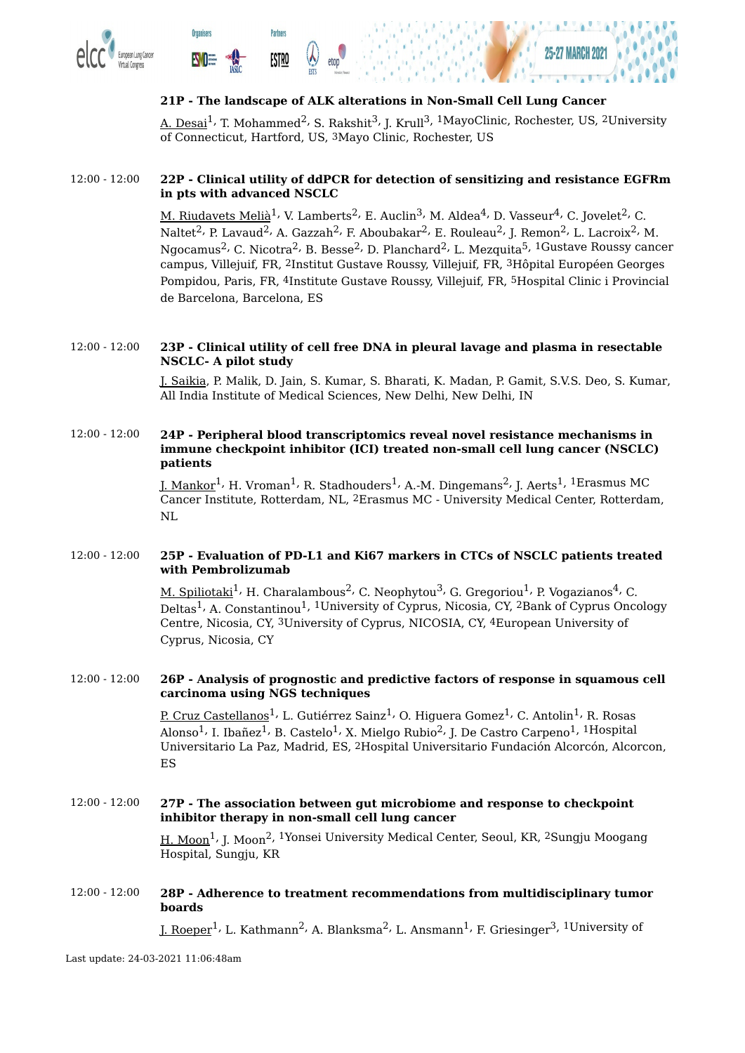

**Organisers** 

**EWOE** 





#### **21P - The landscape of ALK alterations in Non-Small Cell Lung Cancer**

A. Desai<sup>1,</sup> T. Mohammed<sup>2,</sup> S. Rakshit<sup>3,</sup> J. Krull<sup>3, 1</sup>MayoClinic, Rochester, US, <sup>2</sup>University of Connecticut, Hartford, US, 3Mayo Clinic, Rochester, US

#### 12:00 - 12:00 **22P - Clinical utility of ddPCR for detection of sensitizing and resistance EGFRm in pts with advanced NSCLC**

<u>M. Riudavets Melià</u><sup>1,</sup> V. Lamberts<sup>2,</sup> E. Auclin<sup>3,</sup> M. Aldea<sup>4,</sup> D. Vasseur<sup>4,</sup> C. Jovelet<sup>2,</sup> C. Naltet $^2$ , P. Lavaud $^2$ , A. Gazzah $^2$ , F. Aboubakar $^2$ , E. Rouleau $^2$ , J. Remon $^2$ , L. Lacroix $^2$ , M. Ngocamus<sup>2,</sup> C. Nicotra<sup>2,</sup> B. Besse<sup>2,</sup> D. Planchard<sup>2,</sup> L. Mezquita<sup>5, 1</sup>Gustave Roussy cancer campus, Villejuif, FR, 2Institut Gustave Roussy, Villejuif, FR, 3Hôpital Européen Georges Pompidou, Paris, FR, 4Institute Gustave Roussy, Villejuif, FR, 5Hospital Clinic i Provincial de Barcelona, Barcelona, ES

#### 12:00 - 12:00 **23P - Clinical utility of cell free DNA in pleural lavage and plasma in resectable NSCLC- A pilot study**

J. Saikia, P. Malik, D. Jain, S. Kumar, S. Bharati, K. Madan, P. Gamit, S.V.S. Deo, S. Kumar, All India Institute of Medical Sciences, New Delhi, New Delhi, IN

#### 12:00 - 12:00 **24P - Peripheral blood transcriptomics reveal novel resistance mechanisms in immune checkpoint inhibitor (ICI) treated non-small cell lung cancer (NSCLC) patients**

<u>J. Mankor</u><sup>1,</sup> H. Vroman<sup>1,</sup> R. Stadhouders<sup>1,</sup> A.-M. Dingemans<sup>2,</sup> J. Aerts<sup>1, 1</sup>Erasmus MC Cancer Institute, Rotterdam, NL, 2Erasmus MC - University Medical Center, Rotterdam, NL

#### 12:00 - 12:00 **25P - Evaluation of PD-L1 and Ki67 markers in CTCs of NSCLC patients treated with Pembrolizumab**

<u>M. Spiliotaki</u><sup>1,</sup> H. Charalambous<sup>2,</sup> C. Neophytou<sup>3,</sup> G. Gregoriou<sup>1,</sup> P. Vogazianos<sup>4,</sup> C. Deltas<sup>1,</sup> A. Constantinou<sup>1, 1</sup>University of Cyprus, Nicosia, CY, <sup>2</sup>Bank of Cyprus Oncology Centre, Nicosia, CY, 3University of Cyprus, NICOSIA, CY, 4European University of Cyprus, Nicosia, CY

#### 12:00 - 12:00 **26P - Analysis of prognostic and predictive factors of response in squamous cell carcinoma using NGS techniques**

<u>P. Cruz Castellanos</u><sup>1,</sup> L. Gutiérrez Sainz<sup>1,</sup> O. Higuera Gomez<sup>1,</sup> C. Antolin<sup>1,</sup> R. Rosas Alonso $^1$ , I. Ibañez $^1$ , B. Castelo $^1$ , X. Mielgo Rubio $^2$ , J. De Castro Carpeno $^1$ ,  $^1$ Hospital Universitario La Paz, Madrid, ES, 2Hospital Universitario Fundación Alcorcón, Alcorcon, ES

12:00 - 12:00 **27P - The association between gut microbiome and response to checkpoint inhibitor therapy in non-small cell lung cancer**

<u>H. Moon</u><sup>1,</sup> J. Moon<sup>2, 1</sup>Yonsei University Medical Center, Seoul, KR, <sup>2</sup>Sungju Moogang Hospital, Sungju, KR

#### 12:00 - 12:00 **28P - Adherence to treatment recommendations from multidisciplinary tumor boards**

]. Roeper<sup>1,</sup> L. Kathmann<sup>2,</sup> A. Blanksma<sup>2,</sup> L. Ansmann<sup>1,</sup> F. Griesinger<sup>3, 1</sup>University of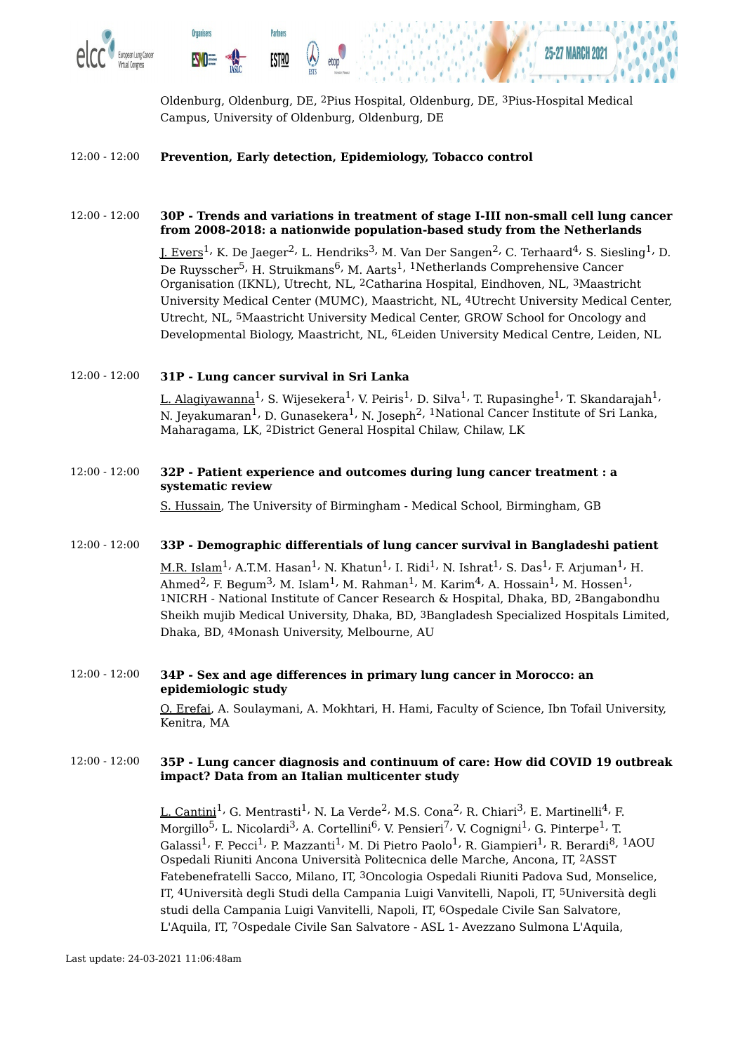

Oldenburg, Oldenburg, DE, 2Pius Hospital, Oldenburg, DE, 3Pius-Hospital Medical Campus, University of Oldenburg, Oldenburg, DE

#### 12:00 - 12:00 **Prevention, Early detection, Epidemiology, Tobacco control**

#### 12:00 - 12:00 **30P - Trends and variations in treatment of stage I-III non-small cell lung cancer from 2008-2018: a nationwide population-based study from the Netherlands**

J. Evers $^1$ <sup>,</sup> K. De Jaeger $^2$ , L. Hendriks $^3$ , M. Van Der Sangen $^2$ , C. Terhaard $^4$ , S. Siesling $^1$ , D. De Ruysscher<sup>5,</sup> H. Struikmans<sup>6,</sup> M. Aarts<sup>1, 1</sup>Netherlands Comprehensive Cancer Organisation (IKNL), Utrecht, NL, 2Catharina Hospital, Eindhoven, NL, 3Maastricht University Medical Center (MUMC), Maastricht, NL, 4Utrecht University Medical Center, Utrecht, NL, 5Maastricht University Medical Center, GROW School for Oncology and Developmental Biology, Maastricht, NL, 6Leiden University Medical Centre, Leiden, NL

#### 12:00 - 12:00 **31P - Lung cancer survival in Sri Lanka**

<u>L. Alagiyawanna</u><sup>1,</sup> S. Wijesekera<sup>1,</sup> V. Peiris<sup>1,</sup> D. Silva<sup>1,</sup> T. Rupasinghe<sup>1,</sup> T. Skandarajah<sup>1,</sup> N. Jeyakumaran $^1$ , D. Gunasekera $^1$ , N. Joseph $^2$ ,  $^1$ National Cancer Institute of Sri Lanka, Maharagama, LK, 2District General Hospital Chilaw, Chilaw, LK

#### 12:00 - 12:00 **32P - Patient experience and outcomes during lung cancer treatment : a systematic review**

S. Hussain, The University of Birmingham - Medical School, Birmingham, GB

#### 12:00 - 12:00 **33P - Demographic differentials of lung cancer survival in Bangladeshi patient**

 $\rm M.R.~Islam^1$ , A.T.M. Hasan $^1$ , N. Khatun $^1$ , I. Ridi $^1$ , N. Ishrat $^1$ , S. Das $^1$ , F. Arjuman $^1$ , H. Ahmed $^2$ , F. Begum $^3$ , M. Islam $^1$ , M. Rahman $^1$ , M. Karim $^4$ , A. Hossain $^1$ , M. Hossen $^1$ , 1NICRH - National Institute of Cancer Research & Hospital, Dhaka, BD, 2Bangabondhu Sheikh mujib Medical University, Dhaka, BD, 3Bangladesh Specialized Hospitals Limited, Dhaka, BD, 4Monash University, Melbourne, AU

#### 12:00 - 12:00 **34P - Sex and age differences in primary lung cancer in Morocco: an epidemiologic study**

O. Erefai, A. Soulaymani, A. Mokhtari, H. Hami, Faculty of Science, Ibn Tofail University, Kenitra, MA

#### 12:00 - 12:00 **35P - Lung cancer diagnosis and continuum of care: How did COVID 19 outbreak impact? Data from an Italian multicenter study**

L. Cantini<sup>1,</sup> G. Mentrasti<sup>1,</sup> N. La Verde<sup>2,</sup> M.S. Cona<sup>2,</sup> R. Chiari<sup>3,</sup> E. Martinelli<sup>4,</sup> F. Morgillo $^5$ , L. Nicolardi $^3$ , A. Cortellini $^6$ , V. Pensieri $^7$ , V. Cognigni $^1$ , G. Pinterpe $^1$ , T. Galassi<sup>1,</sup> F. Pecci<sup>1,</sup> P. Mazzanti<sup>1,</sup> M. Di Pietro Paolo<sup>1,</sup> R. Giampieri<sup>1,</sup> R. Berardi<sup>8, 1</sup>AOU Ospedali Riuniti Ancona Università Politecnica delle Marche, Ancona, IT, 2ASST Fatebenefratelli Sacco, Milano, IT, 3Oncologia Ospedali Riuniti Padova Sud, Monselice, IT, 4Università degli Studi della Campania Luigi Vanvitelli, Napoli, IT, 5Università degli studi della Campania Luigi Vanvitelli, Napoli, IT, 6Ospedale Civile San Salvatore, L'Aquila, IT, 7Ospedale Civile San Salvatore - ASL 1- Avezzano Sulmona L'Aquila,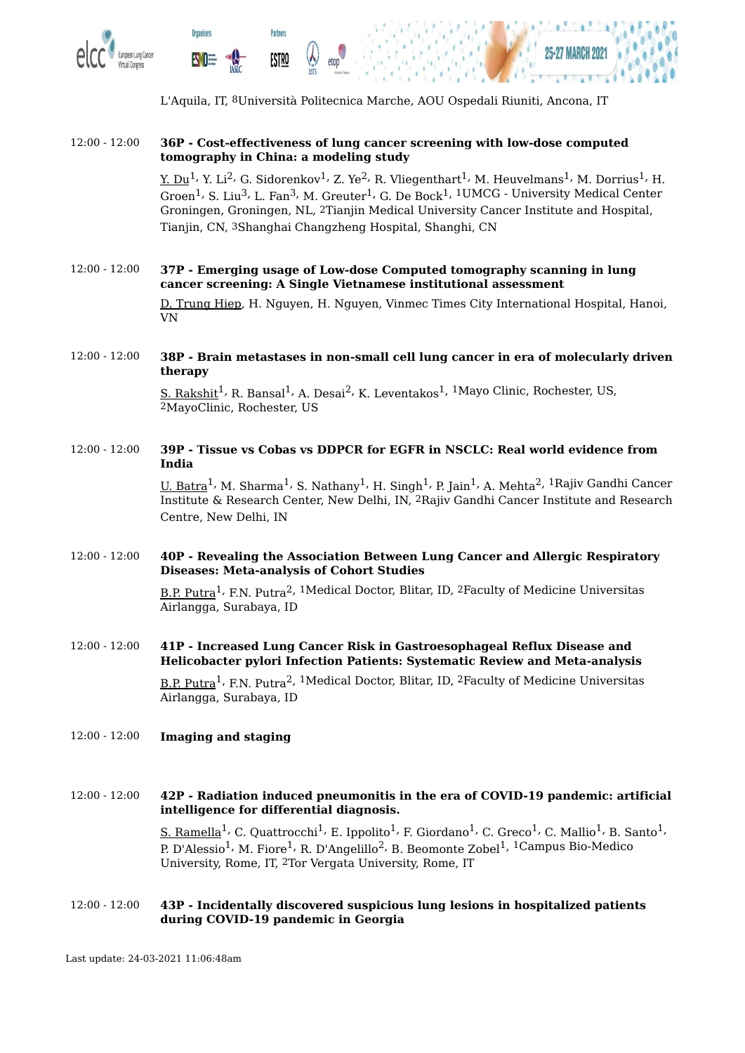

L'Aquila, IT, 8Università Politecnica Marche, AOU Ospedali Riuniti, Ancona, IT

#### 12:00 - 12:00 **36P - Cost-effectiveness of lung cancer screening with low-dose computed tomography in China: a modeling study**

<u>Y. Du</u><sup>1,</sup> Y. Li<sup>2,</sup> G. Sidorenkov<sup>1,</sup> Z. Ye<sup>2,</sup> R. Vliegenthart<sup>1,</sup> M. Heuvelmans<sup>1,</sup> M. Dorrius<sup>1,</sup> H. Groen $^1$ , S. Liu $^3$ , L. Fan $^3$ , M. Greuter $^1$ , G. De Bock $^1$ ,  $^1$ UMCG - University Medical Center Groningen, Groningen, NL, 2Tianjin Medical University Cancer Institute and Hospital, Tianjin, CN, 3Shanghai Changzheng Hospital, Shanghi, CN

#### 12:00 - 12:00 **37P - Emerging usage of Low-dose Computed tomography scanning in lung cancer screening: A Single Vietnamese institutional assessment**

D. Trung Hiep, H. Nguyen, H. Nguyen, Vinmec Times City International Hospital, Hanoi, VN

#### 12:00 - 12:00 **38P - Brain metastases in non-small cell lung cancer in era of molecularly driven therapy**

S. Rakshit<sup>1,</sup> R. Bansal<sup>1,</sup> A. Desai<sup>2,</sup> K. Leventakos<sup>1, 1</sup>Mayo Clinic, Rochester, US, 2MayoClinic, Rochester, US

#### 12:00 - 12:00 **39P - Tissue vs Cobas vs DDPCR for EGFR in NSCLC: Real world evidence from India**

 $\underline{\text{U. Batra}}^1$ , M. Sharma $^1$ , S. Nathany $^1$ , H. Singh $^1$ , P. Jain $^1$ , A. Mehta $^2$ ,  $^1$ Rajiv Gandhi Cancer Institute & Research Center, New Delhi, IN, 2Rajiv Gandhi Cancer Institute and Research Centre, New Delhi, IN

#### 12:00 - 12:00 **40P - Revealing the Association Between Lung Cancer and Allergic Respiratory Diseases: Meta-analysis of Cohort Studies**

<u>B.P. Putra</u><sup>1,</sup> F.N. Putra<sup>2, 1</sup>Medical Doctor, Blitar, ID, <sup>2</sup>Faculty of Medicine Universitas Airlangga, Surabaya, ID

#### 12:00 - 12:00 **41P - Increased Lung Cancer Risk in Gastroesophageal Reflux Disease and Helicobacter pylori Infection Patients: Systematic Review and Meta-analysis** <u>B.P. Putra</u><sup>1,</sup> F.N. Putra<sup>2, 1</sup>Medical Doctor, Blitar, ID, <sup>2</sup>Faculty of Medicine Universitas Airlangga, Surabaya, ID

#### 12:00 - 12:00 **Imaging and staging**

#### 12:00 - 12:00 **42P - Radiation induced pneumonitis in the era of COVID-19 pandemic: artificial intelligence for differential diagnosis.**

<u>S. Ramella</u><sup>1,</sup> C. Quattrocchi<sup>1,</sup> E. Ippolito<sup>1,</sup> F. Giordano<sup>1,</sup> C. Greco<sup>1,</sup> C. Mallio<sup>1,</sup> B. Santo<sup>1,</sup> P. D'Alessio<sup>1,</sup> M. Fiore<sup>1,</sup> R. D'Angelillo<sup>2,</sup> B. Beomonte Zobel<sup>1, 1</sup>Campus Bio-Medico University, Rome, IT, 2Tor Vergata University, Rome, IT

#### 12:00 - 12:00 **43P - Incidentally discovered suspicious lung lesions in hospitalized patients during COVID-19 pandemic in Georgia**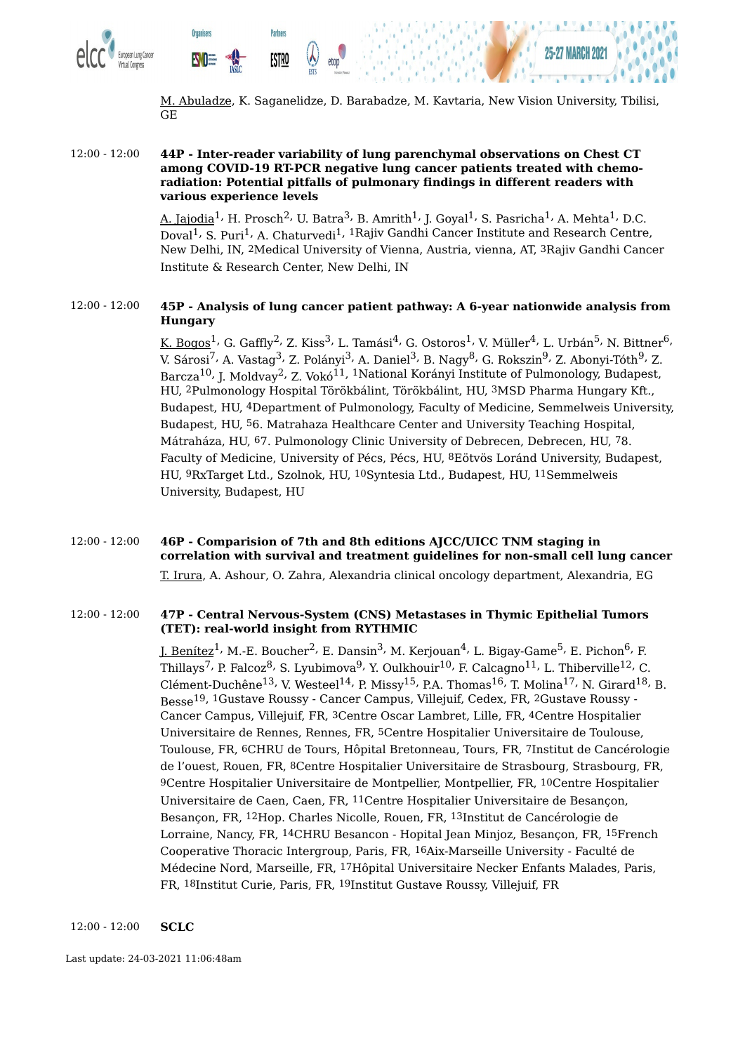

M. Abuladze, K. Saganelidze, D. Barabadze, M. Kavtaria, New Vision University, Tbilisi, GE

#### 12:00 - 12:00 **44P - Inter-reader variability of lung parenchymal observations on Chest CT among COVID-19 RT-PCR negative lung cancer patients treated with chemoradiation: Potential pitfalls of pulmonary findings in different readers with various experience levels**

<u>A. Jajodia</u><sup>1,</sup> H. Prosch<sup>2,</sup> U. Batra<sup>3,</sup> B. Amrith<sup>1,</sup> J. Goyal<sup>1,</sup> S. Pasricha<sup>1,</sup> A. Mehta<sup>1,</sup> D.C. Doval<sup>1,</sup> S. Puri<sup>1,</sup> A. Chaturvedi<sup>1, 1</sup>Rajiv Gandhi Cancer Institute and Research Centre, New Delhi, IN, 2Medical University of Vienna, Austria, vienna, AT, 3Rajiv Gandhi Cancer Institute & Research Center, New Delhi, IN

#### 12:00 - 12:00 **45P - Analysis of lung cancer patient pathway: A 6-year nationwide analysis from Hungary**

<u>K. Bogos<sup>1,</sup> G</u>. Gaffly<sup>2,</sup> Z. Kiss<sup>3,</sup> L. Tamási<sup>4,</sup> G. Ostoros<sup>1,</sup> V. Müller<sup>4,</sup> L. Urbán<sup>5,</sup> N. Bittner<sup>6,</sup> V. Sárosi<sup>7,</sup> A. Vastag<sup>3,</sup> Z. Polányi<sup>3,</sup> A. Daniel<sup>3,</sup> B. Nagy<sup>8,</sup> G. Rokszin<sup>9,</sup> Z. Abonyi-Tóth<sup>9,</sup> Z. Barcza<sup>10,</sup> J. Moldvay<sup>2,</sup> Z. Vokó<sup>11, 1</sup>National Korányi Institute of Pulmonology, Budapest, HU, 2Pulmonology Hospital Törökbálint, Törökbálint, HU, 3MSD Pharma Hungary Kft., Budapest, HU, 4Department of Pulmonology, Faculty of Medicine, Semmelweis University, Budapest, HU, 56. Matrahaza Healthcare Center and University Teaching Hospital, Mátraháza, HU, 67. Pulmonology Clinic University of Debrecen, Debrecen, HU, 78. Faculty of Medicine, University of Pécs, Pécs, HU, 8Eötvös Loránd University, Budapest, HU, 9RxTarget Ltd., Szolnok, HU, 10Syntesia Ltd., Budapest, HU, 11Semmelweis University, Budapest, HU

#### 12:00 - 12:00 **46P - Comparision of 7th and 8th editions AJCC/UICC TNM staging in correlation with survival and treatment guidelines for non-small cell lung cancer** T. Irura, A. Ashour, O. Zahra, Alexandria clinical oncology department, Alexandria, EG

#### 12:00 - 12:00 **47P - Central Nervous-System (CNS) Metastases in Thymic Epithelial Tumors (TET): real-world insight from RYTHMIC**

J. Benítez<sup>1,</sup> M.-E. Boucher<sup>2,</sup> E. Dansin<sup>3,</sup> M. Kerjouan<sup>4,</sup> L. Bigay-Game<sup>5,</sup> E. Pichon<sup>6,</sup> F. Thillays<sup>7,</sup> P. Falcoz<sup>8,</sup> S. Lyubimova<sup>9,</sup> Y. Oulkhouir $^{10}$ , F. Calcagno $^{11}$ , L. Thiberville $^{12}$ , C. Clément-Duchêne $^{13}$ , V. Westeel $^{14}$ , P. Missy $^{15}$ , P.A. Thomas $^{16}$ , T. Molina $^{17}$ , N. Girard $^{18}$ , B. Besse 19, 1Gustave Roussy - Cancer Campus, Villejuif, Cedex, FR, 2Gustave Roussy - Cancer Campus, Villejuif, FR, 3Centre Oscar Lambret, Lille, FR, 4Centre Hospitalier Universitaire de Rennes, Rennes, FR, 5Centre Hospitalier Universitaire de Toulouse, Toulouse, FR, 6CHRU de Tours, Hôpital Bretonneau, Tours, FR, 7Institut de Cancérologie de l'ouest, Rouen, FR, 8Centre Hospitalier Universitaire de Strasbourg, Strasbourg, FR, 9Centre Hospitalier Universitaire de Montpellier, Montpellier, FR, 10Centre Hospitalier Universitaire de Caen, Caen, FR, 11Centre Hospitalier Universitaire de Besançon, Besançon, FR, 12Hop. Charles Nicolle, Rouen, FR, 13Institut de Cancérologie de Lorraine, Nancy, FR, 14CHRU Besancon - Hopital Jean Minjoz, Besançon, FR, 15French Cooperative Thoracic Intergroup, Paris, FR, 16Aix-Marseille University - Faculté de Médecine Nord, Marseille, FR, 17Hôpital Universitaire Necker Enfants Malades, Paris, FR, 18Institut Curie, Paris, FR, 19Institut Gustave Roussy, Villejuif, FR

#### 12:00 - 12:00 **SCLC**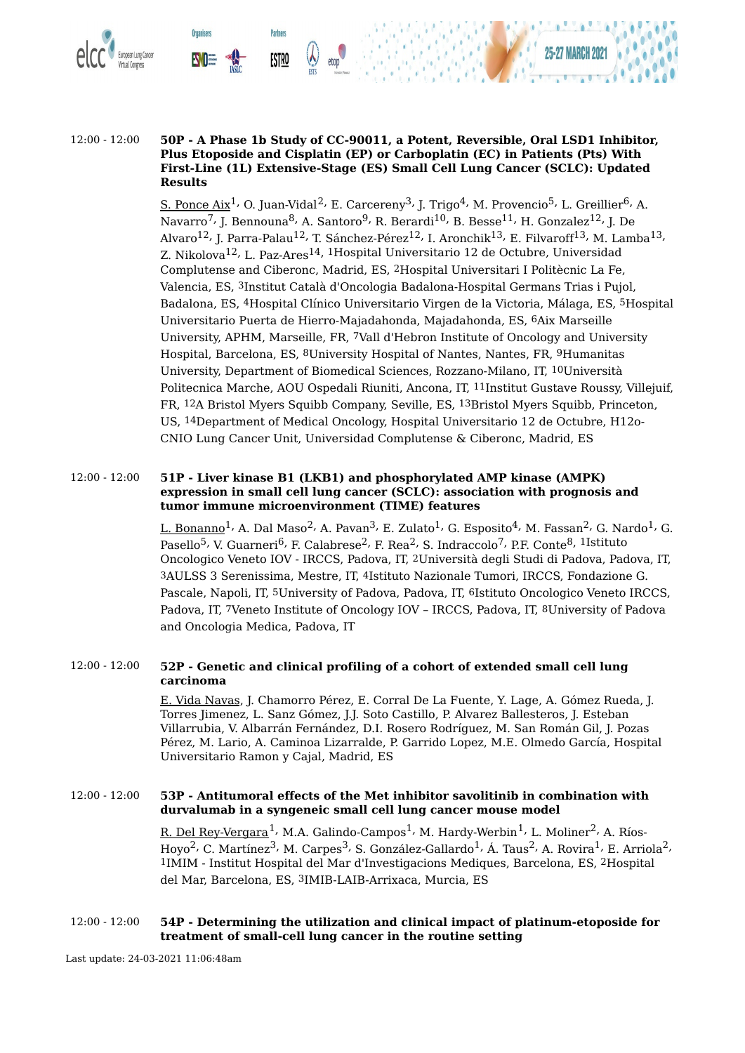



**Partners** 

<u>ESTRO</u>

**Organisers** 

<u>S. Ponce Aix</u><sup>1,</sup> O. Juan-Vidal<sup>2,</sup> E. Carcereny<sup>3,</sup> J. Trigo<sup>4,</sup> M. Provencio<sup>5,</sup> L. Greillier<sup>6,</sup> A. Navarro<sup>7,</sup> J. Bennouna<sup>8,</sup> A. Santoro<sup>9,</sup> R. Berardi<sup>10,</sup> B. Besse<sup>11,</sup> H. Gonzalez<sup>12,</sup> J. De Alvaro<sup>12,</sup> J. Parra-Palau<sup>12,</sup> T. Sánchez-Pérez<sup>12,</sup> I. Aronchik<sup>13,</sup> E. Filvaroff<sup>13,</sup> M. Lamba<sup>13,</sup> Z. Nikolova<sup>12,</sup> L. Paz-Ares<sup>14, 1</sup>Hospital Universitario 12 de Octubre, Universidad Complutense and Ciberonc, Madrid, ES, 2Hospital Universitari I Politècnic La Fe, Valencia, ES, 3Institut Català d'Oncologia Badalona-Hospital Germans Trias i Pujol, Badalona, ES, 4Hospital Clínico Universitario Virgen de la Victoria, Málaga, ES, 5Hospital Universitario Puerta de Hierro-Majadahonda, Majadahonda, ES, 6Aix Marseille University, APHM, Marseille, FR, 7Vall d'Hebron Institute of Oncology and University Hospital, Barcelona, ES, 8University Hospital of Nantes, Nantes, FR, 9Humanitas University, Department of Biomedical Sciences, Rozzano-Milano, IT, 10Università Politecnica Marche, AOU Ospedali Riuniti, Ancona, IT, 11Institut Gustave Roussy, Villejuif, FR, 12A Bristol Myers Squibb Company, Seville, ES, 13Bristol Myers Squibb, Princeton, US, 14Department of Medical Oncology, Hospital Universitario 12 de Octubre, H12o-CNIO Lung Cancer Unit, Universidad Complutense & Ciberonc, Madrid, ES

#### 12:00 - 12:00 **51P - Liver kinase B1 (LKB1) and phosphorylated AMP kinase (AMPK) expression in small cell lung cancer (SCLC): association with prognosis and tumor immune microenvironment (TIME) features**

<u>L. Bonanno</u><sup>1,</sup> A. Dal Maso<sup>2,</sup> A. Pavan<sup>3,</sup> E. Zulato<sup>1,</sup> G. Esposito<sup>4,</sup> M. Fassan<sup>2,</sup> G. Nardo<sup>1,</sup> G. Pasello<sup>5,</sup> V. Guarneri<sup>6,</sup> F. Calabrese<sup>2,</sup> F. Rea<sup>2,</sup> S. Indraccolo<sup>7,</sup> P.F. Conte<sup>8, 1</sup>Istituto Oncologico Veneto IOV - IRCCS, Padova, IT, 2Università degli Studi di Padova, Padova, IT, 3AULSS 3 Serenissima, Mestre, IT, 4Istituto Nazionale Tumori, IRCCS, Fondazione G. Pascale, Napoli, IT, 5University of Padova, Padova, IT, 6Istituto Oncologico Veneto IRCCS, Padova, IT, 7Veneto Institute of Oncology IOV – IRCCS, Padova, IT, 8University of Padova and Oncologia Medica, Padova, IT

#### 12:00 - 12:00 **52P - Genetic and clinical profiling of a cohort of extended small cell lung carcinoma**

E. Vida Navas, J. Chamorro Pérez, E. Corral De La Fuente, Y. Lage, A. Gómez Rueda, J. Torres Jimenez, L. Sanz Gómez, J.J. Soto Castillo, P. Alvarez Ballesteros, J. Esteban Villarrubia, V. Albarrán Fernández, D.I. Rosero Rodríguez, M. San Román Gil, J. Pozas Pérez, M. Lario, A. Caminoa Lizarralde, P. Garrido Lopez, M.E. Olmedo García, Hospital Universitario Ramon y Cajal, Madrid, ES

#### 12:00 - 12:00 **53P - Antitumoral effects of the Met inhibitor savolitinib in combination with durvalumab in a syngeneic small cell lung cancer mouse model**

R. Del Rey-Vergara<sup>1,</sup> M.A. Galindo-Campos<sup>1,</sup> M. Hardy-Werbin<sup>1,</sup> L. Moliner<sup>2,</sup> A. Ríos-Hoyo<sup>2,</sup> C. Martínez<sup>3,</sup> M. Carpes<sup>3,</sup> S. González-Gallardo<sup>1,</sup> Á. Taus<sup>2,</sup> A. Rovira<sup>1,</sup> E. Arriola<sup>2,</sup> 1IMIM - Institut Hospital del Mar d'Investigacions Mediques, Barcelona, ES, 2Hospital del Mar, Barcelona, ES, 3IMIB-LAIB-Arrixaca, Murcia, ES

#### 12:00 - 12:00 **54P - Determining the utilization and clinical impact of platinum-etoposide for treatment of small-cell lung cancer in the routine setting**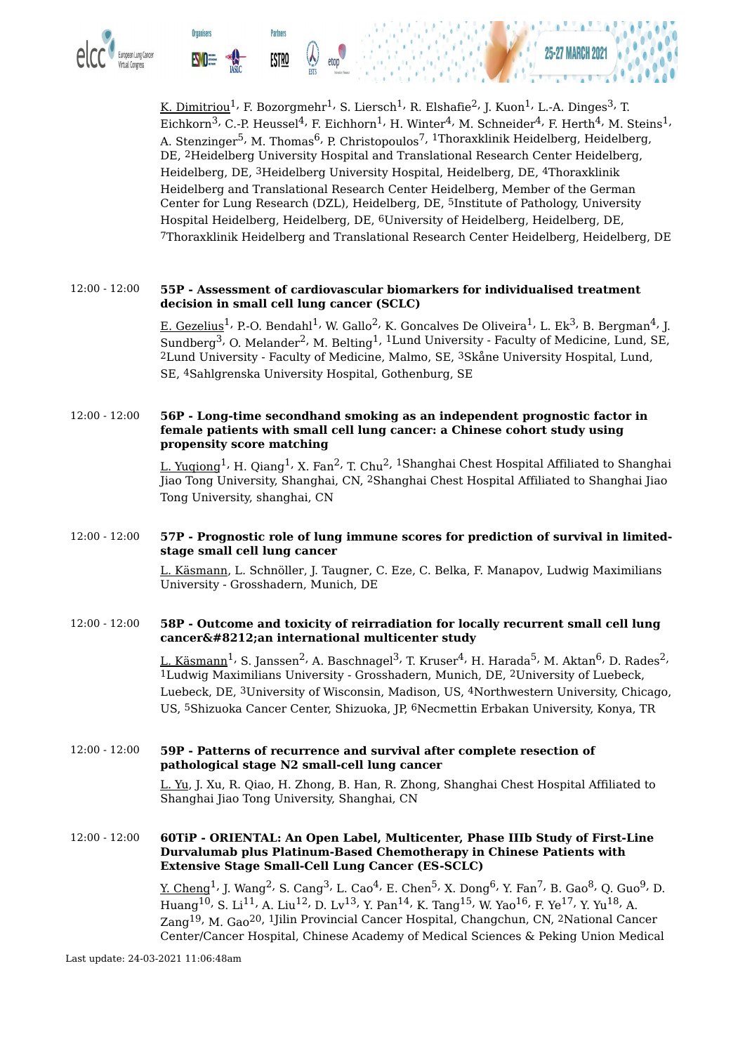

<u>K. Dimitriou</u> $^1$ <sup>,</sup> F. Bozorgmehr $^1$ , S. Liersch $^1$ , R. Elshafie $^2$ , J. Kuon $^1$ , L.-A. Dinges $^3$ , T. Eichkorn $^3$ , C.-P. Heussel $^4$ , F. Eichhorn $^1$ , H. Winter $^4$ , M. Schneider $^4$ , F. Herth $^4$ , M. Steins $^1$ , A. Stenzinger<sup>5,</sup> M. Thomas<sup>6,</sup> P. Christopoulos<sup>7, 1</sup>Thoraxklinik Heidelberg, Heidelberg, DE, 2Heidelberg University Hospital and Translational Research Center Heidelberg, Heidelberg, DE, 3Heidelberg University Hospital, Heidelberg, DE, 4Thoraxklinik Heidelberg and Translational Research Center Heidelberg, Member of the German Center for Lung Research (DZL), Heidelberg, DE, 5Institute of Pathology, University Hospital Heidelberg, Heidelberg, DE, 6University of Heidelberg, Heidelberg, DE, 7Thoraxklinik Heidelberg and Translational Research Center Heidelberg, Heidelberg, DE

#### 12:00 - 12:00 **55P - Assessment of cardiovascular biomarkers for individualised treatment decision in small cell lung cancer (SCLC)**

<u>E. Gezelius</u><sup>1,</sup> P.-O. Bendahl<sup>1,</sup> W. Gallo<sup>2,</sup> K. Goncalves De Oliveira<sup>1,</sup> L. Ek<sup>3,</sup> B. Bergman<sup>4,</sup> J. Sundberg $^3$ , O. Melander $^2$ , M. Belting $^1$ ,  $^1$ Lund University - Faculty of Medicine, Lund, SE, 2Lund University - Faculty of Medicine, Malmo, SE, 3Skåne University Hospital, Lund, SE, 4Sahlgrenska University Hospital, Gothenburg, SE

#### 12:00 - 12:00 **56P - Long-time secondhand smoking as an independent prognostic factor in female patients with small cell lung cancer: a Chinese cohort study using propensity score matching**

L. Yugiong<sup>1,</sup> H. Qiang<sup>1,</sup> X. Fan<sup>2,</sup> T. Chu<sup>2, 1</sup>Shanghai Chest Hospital Affiliated to Shanghai Jiao Tong University, Shanghai, CN, 2Shanghai Chest Hospital Affiliated to Shanghai Jiao Tong University, shanghai, CN

#### 12:00 - 12:00 **57P - Prognostic role of lung immune scores for prediction of survival in limitedstage small cell lung cancer**

L. Käsmann, L. Schnöller, J. Taugner, C. Eze, C. Belka, F. Manapov, Ludwig Maximilians University - Grosshadern, Munich, DE

#### 12:00 - 12:00 **58P - Outcome and toxicity of reirradiation for locally recurrent small cell lung cancer—an international multicenter study**

L. Käsmann<sup>1,</sup> S. Janssen<sup>2,</sup> A. Baschnagel<sup>3,</sup> T. Kruser<sup>4,</sup> H. Harada<sup>5,</sup> M. Aktan<sup>6,</sup> D. Rades<sup>2,</sup> 1Ludwig Maximilians University - Grosshadern, Munich, DE, 2University of Luebeck, Luebeck, DE, 3University of Wisconsin, Madison, US, 4Northwestern University, Chicago, US, 5Shizuoka Cancer Center, Shizuoka, JP, 6Necmettin Erbakan University, Konya, TR

#### 12:00 - 12:00 **59P - Patterns of recurrence and survival after complete resection of pathological stage N2 small-cell lung cancer**

L. Yu, J. Xu, R. Qiao, H. Zhong, B. Han, R. Zhong, Shanghai Chest Hospital Affiliated to Shanghai Jiao Tong University, Shanghai, CN

#### 12:00 - 12:00 **60TiP - ORIENTAL: An Open Label, Multicenter, Phase IIIb Study of First-Line Durvalumab plus Platinum-Based Chemotherapy in Chinese Patients with Extensive Stage Small-Cell Lung Cancer (ES-SCLC)**

<u>Y. Cheng</u><sup>1,</sup> J. Wang<sup>2,</sup> S. Cang<sup>3,</sup> L. Cao<sup>4,</sup> E. Chen<sup>5,</sup> X. Dong<sup>6,</sup> Y. Fan<sup>7,</sup> B. Gao<sup>8,</sup> Q. Guo<sup>9,</sup> D. Huang $^{10}$ , S. Li $^{11}$ , A. Liu $^{12}$ , D. Lv $^{13}$ , Y. Pan $^{14}$ , K. Tang $^{15}$ , W. Yao $^{16}$ , F. Ye $^{17}$ , Y. Yu $^{18}$ , A. Zang<sup>19,</sup> M. Gao<sup>20, 1</sup>Jilin Provincial Cancer Hospital, Changchun, CN, <sup>2</sup>National Cancer Center/Cancer Hospital, Chinese Academy of Medical Sciences & Peking Union Medical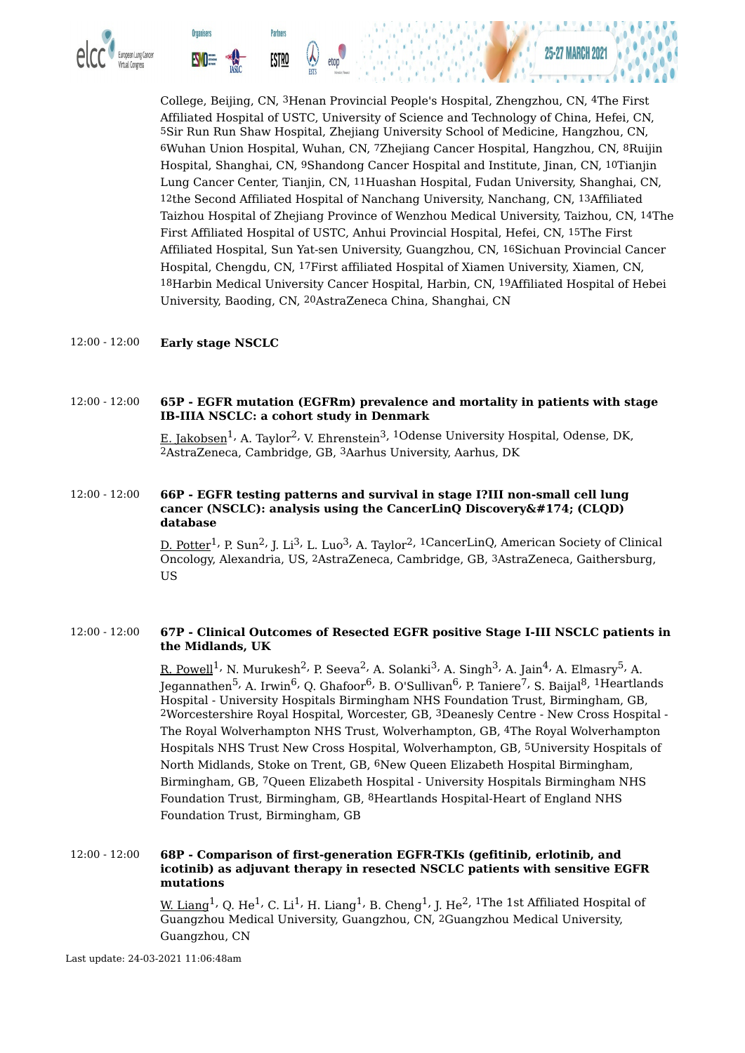

College, Beijing, CN, 3Henan Provincial People's Hospital, Zhengzhou, CN, 4The First Affiliated Hospital of USTC, University of Science and Technology of China, Hefei, CN, 5Sir Run Run Shaw Hospital, Zhejiang University School of Medicine, Hangzhou, CN, 6Wuhan Union Hospital, Wuhan, CN, 7Zhejiang Cancer Hospital, Hangzhou, CN, 8Ruijin Hospital, Shanghai, CN, 9Shandong Cancer Hospital and Institute, Jinan, CN, 10Tianjin Lung Cancer Center, Tianjin, CN, 11Huashan Hospital, Fudan University, Shanghai, CN, 12the Second Affiliated Hospital of Nanchang University, Nanchang, CN, 13Affiliated Taizhou Hospital of Zhejiang Province of Wenzhou Medical University, Taizhou, CN, 14The First Affiliated Hospital of USTC, Anhui Provincial Hospital, Hefei, CN, 15The First Affiliated Hospital, Sun Yat-sen University, Guangzhou, CN, 16Sichuan Provincial Cancer Hospital, Chengdu, CN, 17First affiliated Hospital of Xiamen University, Xiamen, CN, 18Harbin Medical University Cancer Hospital, Harbin, CN, 19Affiliated Hospital of Hebei University, Baoding, CN, 20AstraZeneca China, Shanghai, CN

#### 12:00 - 12:00 **Early stage NSCLC**

#### 12:00 - 12:00 **65P - EGFR mutation (EGFRm) prevalence and mortality in patients with stage IB-IIIA NSCLC: a cohort study in Denmark**

E. Jakobsen<sup>1,</sup> A. Taylor<sup>2,</sup> V. Ehrenstein<sup>3, 1</sup>Odense University Hospital, Odense, DK, 2AstraZeneca, Cambridge, GB, 3Aarhus University, Aarhus, DK

#### 12:00 - 12:00 **66P - EGFR testing patterns and survival in stage I?III non-small cell lung cancer (NSCLC): analysis using the CancerLinQ Discovery® (CLQD) database**

<u>D. Potter</u><sup>1,</sup> P. Sun<sup>2,</sup> J. Li<sup>3,</sup> L. Luo<sup>3,</sup> A. Taylor<sup>2, 1</sup>CancerLinQ, American Society of Clinical Oncology, Alexandria, US, 2AstraZeneca, Cambridge, GB, 3AstraZeneca, Gaithersburg, US

#### 12:00 - 12:00 **67P - Clinical Outcomes of Resected EGFR positive Stage I-III NSCLC patients in the Midlands, UK**

<u>R. Powell</u><sup>1,</sup> N. Murukesh<sup>2,</sup> P. Seeva<sup>2,</sup> A. Solanki<sup>3,</sup> A. Singh<sup>3,</sup> A. Jain<sup>4,</sup> A. Elmasry<sup>5,</sup> A. Jegannathen<sup>5,</sup> A. Irwin<sup>6,</sup> Q. Ghafoor<sup>6,</sup> B. O'Sullivan<sup>6,</sup> P. Taniere<sup>7,</sup> S. Baijal<sup>8, 1</sup>Heartlands Hospital - University Hospitals Birmingham NHS Foundation Trust, Birmingham, GB, 2Worcestershire Royal Hospital, Worcester, GB, 3Deanesly Centre - New Cross Hospital - The Royal Wolverhampton NHS Trust, Wolverhampton, GB, 4The Royal Wolverhampton Hospitals NHS Trust New Cross Hospital, Wolverhampton, GB, 5University Hospitals of North Midlands, Stoke on Trent, GB, 6New Queen Elizabeth Hospital Birmingham, Birmingham, GB, 7Queen Elizabeth Hospital - University Hospitals Birmingham NHS Foundation Trust, Birmingham, GB, 8Heartlands Hospital-Heart of England NHS Foundation Trust, Birmingham, GB

#### 12:00 - 12:00 **68P - Comparison of first-generation EGFR-TKIs (gefitinib, erlotinib, and icotinib) as adjuvant therapy in resected NSCLC patients with sensitive EGFR mutations**

<u>W. Liang</u>  $^1$ , Q. He $^1$ , C. Li $^1$ , H. Liang $^1$ , B. Cheng $^1$ , J. He $^2$ ,  $^1$ The 1st Affiliated Hospital of Guangzhou Medical University, Guangzhou, CN, 2Guangzhou Medical University, Guangzhou, CN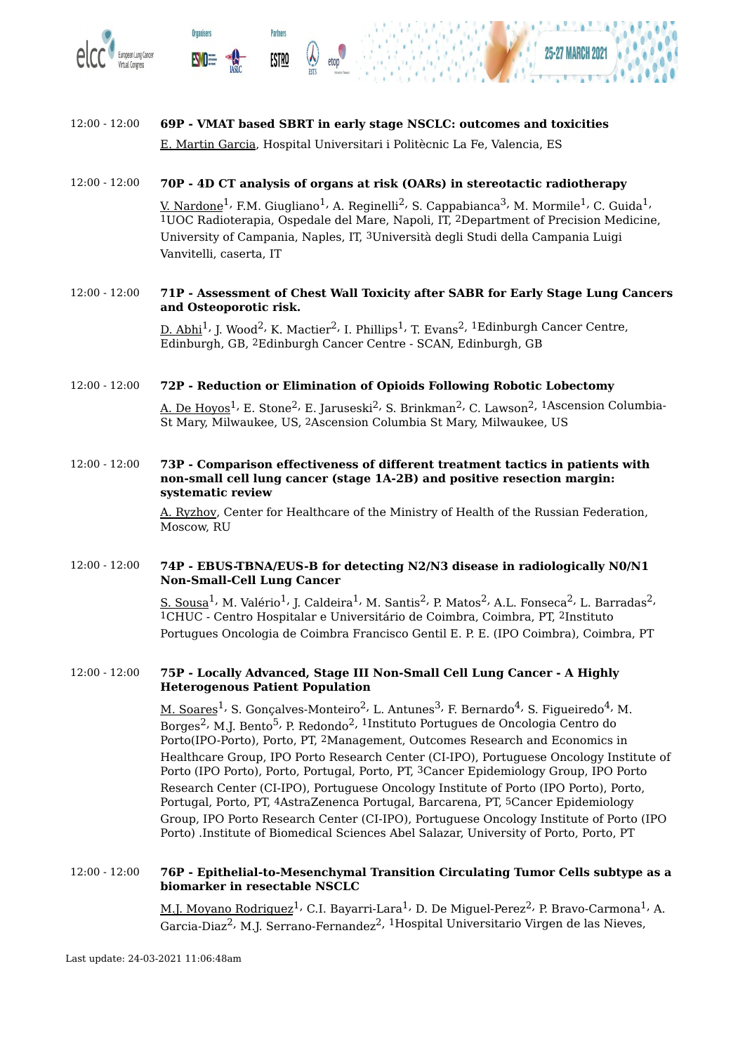

**Organisers** 

**Partners** 

**ESTRO** 



#### 12:00 - 12:00 **69P - VMAT based SBRT in early stage NSCLC: outcomes and toxicities** E. Martin Garcia, Hospital Universitari i Politècnic La Fe, Valencia, ES

#### 12:00 - 12:00 **70P - 4D CT analysis of organs at risk (OARs) in stereotactic radiotherapy**

<u>V. Nardone</u><sup>1,</sup> F.M. Giugliano<sup>1,</sup> A. Reginelli<sup>2,</sup> S. Cappabianca<sup>3,</sup> M. Mormile<sup>1,</sup> C. Guida<sup>1,</sup> 1UOC Radioterapia, Ospedale del Mare, Napoli, IT, 2Department of Precision Medicine, University of Campania, Naples, IT, 3Università degli Studi della Campania Luigi Vanvitelli, caserta, IT

#### 12:00 - 12:00 **71P - Assessment of Chest Wall Toxicity after SABR for Early Stage Lung Cancers and Osteoporotic risk.**

 $\underline{\text{D. Abhi}}^1$ , J. Wood $^2$ , K. Mactier $^2$ , I. Phillips $^1$ , T. Evans $^2$ ,  $^1$ Edinburgh Cancer Centre, Edinburgh, GB, 2Edinburgh Cancer Centre - SCAN, Edinburgh, GB

#### 12:00 - 12:00 **72P - Reduction or Elimination of Opioids Following Robotic Lobectomy**

A. De Hoyos $^1$ , E. Stone $^2$ , E. Jaruseski $^2$ , S. Brinkman $^2$ , C. Lawson $^2$ ,  $^1$ Ascension Columbia-St Mary, Milwaukee, US, 2Ascension Columbia St Mary, Milwaukee, US

#### 12:00 - 12:00 **73P - Comparison effectiveness of different treatment tactics in patients with non-small cell lung cancer (stage 1A-2B) and positive resection margin: systematic review**

A. Ryzhov, Center for Healthcare of the Ministry of Health of the Russian Federation, Moscow, RU

#### 12:00 - 12:00 **74P - EBUS-TBNA/EUS-B for detecting N2/N3 disease in radiologically N0/N1 Non-Small-Cell Lung Cancer**

<u>S. Sousa</u><sup>1,</sup> M. Valério<sup>1,</sup> J. Caldeira<sup>1,</sup> M. Santis<sup>2,</sup> P. Matos<sup>2,</sup> A.L. Fonseca<sup>2,</sup> L. Barradas<sup>2,</sup> 1CHUC - Centro Hospitalar e Universitário de Coimbra, Coimbra, PT, 2Instituto Portugues Oncologia de Coimbra Francisco Gentil E. P. E. (IPO Coimbra), Coimbra, PT

#### 12:00 - 12:00 **75P - Locally Advanced, Stage III Non-Small Cell Lung Cancer - A Highly Heterogenous Patient Population**

<u>M. Soares</u><sup>1,</sup> S. Gonçalves-Monteiro<sup>2,</sup> L. Antunes<sup>3,</sup> F. Bernardo<sup>4,</sup> S. Figueiredo<sup>4,</sup> M. Borges<sup>2,</sup> M.J. Bento<sup>5,</sup> P. Redondo<sup>2, 1</sup>Instituto Portugues de Oncologia Centro do Porto(IPO-Porto), Porto, PT, 2Management, Outcomes Research and Economics in Healthcare Group, IPO Porto Research Center (CI-IPO), Portuguese Oncology Institute of Porto (IPO Porto), Porto, Portugal, Porto, PT, 3Cancer Epidemiology Group, IPO Porto Research Center (CI-IPO), Portuguese Oncology Institute of Porto (IPO Porto), Porto, Portugal, Porto, PT, 4AstraZenenca Portugal, Barcarena, PT, 5Cancer Epidemiology Group, IPO Porto Research Center (CI-IPO), Portuguese Oncology Institute of Porto (IPO Porto) .Institute of Biomedical Sciences Abel Salazar, University of Porto, Porto, PT

#### 12:00 - 12:00 **76P - Epithelial-to-Mesenchymal Transition Circulating Tumor Cells subtype as a biomarker in resectable NSCLC**

M.<u>J. Moyano Rodriguez</u><sup>1,</sup> C.I. Bayarri-Lara<sup>1,</sup> D. De Miguel-Perez<sup>2,</sup> P. Bravo-Carmona<sup>1,</sup> A. Garcia-Diaz<sup>2,</sup> M.J. Serrano-Fernandez<sup>2, 1</sup>Hospital Universitario Virgen de las Nieves,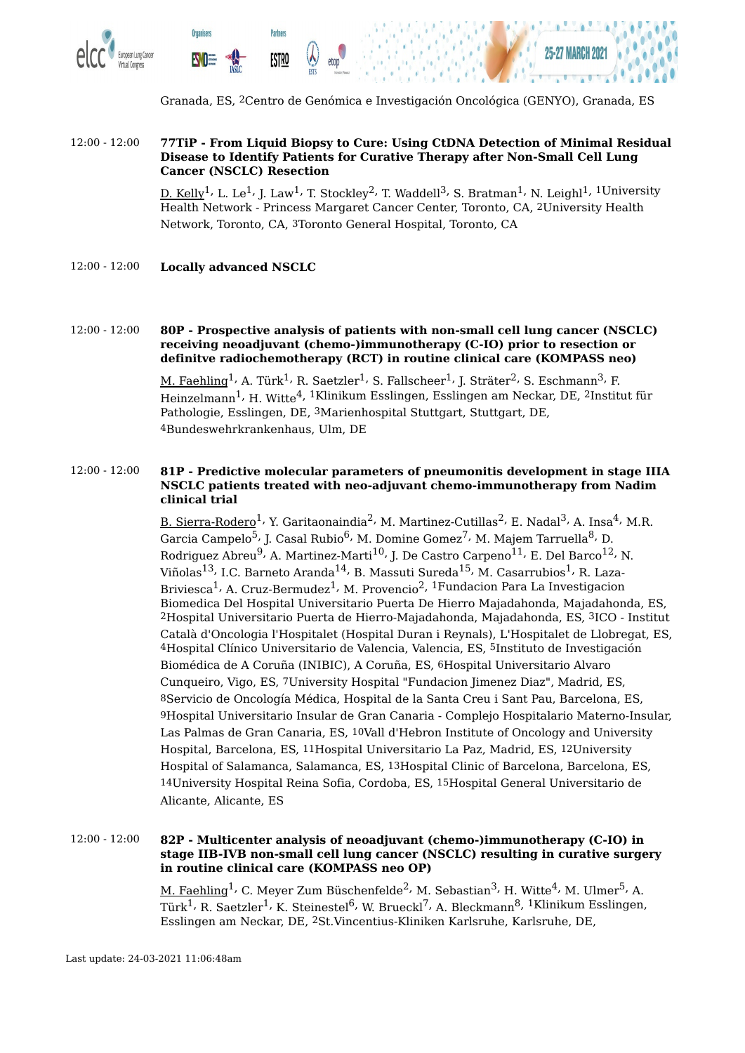

Granada, ES, 2Centro de Genómica e Investigación Oncológica (GENYO), Granada, ES

#### 12:00 - 12:00 **77TiP - From Liquid Biopsy to Cure: Using CtDNA Detection of Minimal Residual Disease to Identify Patients for Curative Therapy after Non-Small Cell Lung Cancer (NSCLC) Resection**

<u>D. Kelly</u><sup>1,</sup> L. Le<sup>1,</sup> J. Law<sup>1,</sup> T. Stockley<sup>2,</sup> T. Waddell<sup>3,</sup> S. Bratman<sup>1,</sup> N. Leighl<sup>1, 1</sup>University Health Network - Princess Margaret Cancer Center, Toronto, CA, 2University Health Network, Toronto, CA, 3Toronto General Hospital, Toronto, CA

12:00 - 12:00 **Locally advanced NSCLC**

#### 12:00 - 12:00 **80P - Prospective analysis of patients with non-small cell lung cancer (NSCLC) receiving neoadjuvant (chemo-)immunotherapy (C-IO) prior to resection or definitve radiochemotherapy (RCT) in routine clinical care (KOMPASS neo)**

<u>M. Faehling</u><sup>1,</sup> A. Türk<sup>1,</sup> R. Saetzler<sup>1,</sup> S. Fallscheer<sup>1,</sup> J. Sträter<sup>2,</sup> S. Eschmann<sup>3,</sup> F. Heinzelmann<sup>1,</sup> H. Witte<sup>4, 1</sup>Klinikum Esslingen, Esslingen am Neckar, DE, <sup>2</sup>Institut für Pathologie, Esslingen, DE, 3Marienhospital Stuttgart, Stuttgart, DE, 4Bundeswehrkrankenhaus, Ulm, DE

#### 12:00 - 12:00 **81P - Predictive molecular parameters of pneumonitis development in stage IIIA NSCLC patients treated with neo-adjuvant chemo-immunotherapy from Nadim clinical trial**

B. Sierra-Rodero<sup>1,</sup> Y. Garitaonaindia<sup>2,</sup> M. Martinez-Cutillas<sup>2,</sup> E. Nadal<sup>3,</sup> A. Insa<sup>4,</sup> M.R. Garcia Campelo<sup>5,</sup> J. Casal Rubio<sup>6,</sup> M. Domine Gomez<sup>7,</sup> M. Majem Tarruella<sup>8,</sup> D. Rodriguez Abreu $^9$ , A. Martinez-Marti $^{10}$ , J. De Castro Carpeno $^{11}$ , E. Del Barco $^{12}$ , N. Viñolas<sup>13,</sup> I.C. Barneto Aranda<sup>14,</sup> B. Massuti Sureda<sup>15,</sup> M. Casarrubios<sup>1,</sup> R. Laza-Briviesca<sup>1,</sup> A. Cruz-Bermudez<sup>1,</sup> M. Provencio<sup>2, 1</sup>Fundacion Para La Investigacion Biomedica Del Hospital Universitario Puerta De Hierro Majadahonda, Majadahonda, ES, 2Hospital Universitario Puerta de Hierro-Majadahonda, Majadahonda, ES, 3ICO - Institut Català d'Oncologia l'Hospitalet (Hospital Duran i Reynals), L'Hospitalet de Llobregat, ES, 4Hospital Clínico Universitario de Valencia, Valencia, ES, 5Instituto de Investigación Biomédica de A Coruña (INIBIC), A Coruña, ES, 6Hospital Universitario Alvaro Cunqueiro, Vigo, ES, 7University Hospital "Fundacion Jimenez Diaz", Madrid, ES, 8Servicio de Oncología Médica, Hospital de la Santa Creu i Sant Pau, Barcelona, ES, 9Hospital Universitario Insular de Gran Canaria - Complejo Hospitalario Materno-Insular, Las Palmas de Gran Canaria, ES, 10Vall d'Hebron Institute of Oncology and University Hospital, Barcelona, ES, 11Hospital Universitario La Paz, Madrid, ES, 12University Hospital of Salamanca, Salamanca, ES, 13Hospital Clinic of Barcelona, Barcelona, ES, 14University Hospital Reina Sofia, Cordoba, ES, 15Hospital General Universitario de Alicante, Alicante, ES

#### 12:00 - 12:00 **82P - Multicenter analysis of neoadjuvant (chemo-)immunotherapy (C-IO) in stage IIB-IVB non-small cell lung cancer (NSCLC) resulting in curative surgery in routine clinical care (KOMPASS neo OP)**

<u>M. Faehling</u><sup>1,</sup> C. Meyer Zum Büschenfelde<sup>2,</sup> M. Sebastian<sup>3,</sup> H. Witte<sup>4,</sup> M. Ulmer<sup>5,</sup> A. Türk<sup>1,</sup> R. Saetzler<sup>1,</sup> K. Steinestel<sup>6,</sup> W. Brueckl<sup>7,</sup> A. Bleckmann<sup>8, 1</sup>Klinikum Esslingen, Esslingen am Neckar, DE, 2St.Vincentius-Kliniken Karlsruhe, Karlsruhe, DE,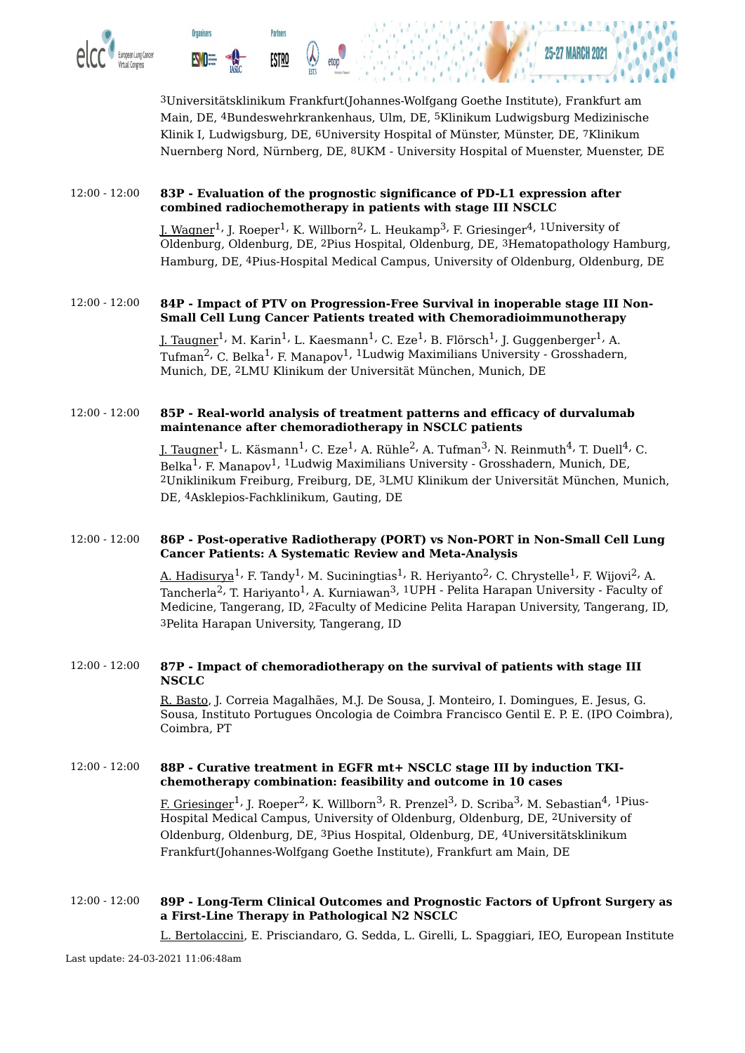

3Universitätsklinikum Frankfurt(Johannes-Wolfgang Goethe Institute), Frankfurt am Main, DE, 4Bundeswehrkrankenhaus, Ulm, DE, 5Klinikum Ludwigsburg Medizinische Klinik I, Ludwigsburg, DE, 6University Hospital of Münster, Münster, DE, 7Klinikum Nuernberg Nord, Nürnberg, DE, 8UKM - University Hospital of Muenster, Muenster, DE

#### 12:00 - 12:00 **83P - Evaluation of the prognostic significance of PD-L1 expression after combined radiochemotherapy in patients with stage III NSCLC**

]. Wagner $^1$ , J. Roeper $^1$ , K. Willborn $^2$ , L. Heukamp $^3$ , F. Griesinger $^4$ ,  $^1$ University of Oldenburg, Oldenburg, DE, 2Pius Hospital, Oldenburg, DE, 3Hematopathology Hamburg, Hamburg, DE, 4Pius-Hospital Medical Campus, University of Oldenburg, Oldenburg, DE

#### 12:00 - 12:00 **84P - Impact of PTV on Progression-Free Survival in inoperable stage III Non-Small Cell Lung Cancer Patients treated with Chemoradioimmunotherapy**

<u>J. Taugner<sup>1,</sup> M. Karin<sup>1,</sup> L. Kaesmann<sup>1,</sup> C. Eze<sup>1,</sup> B. Flörsch<sup>1,</sup> J. Guggenberger<sup>1,</sup> A.</u> Tufman<sup>2,</sup> C. Belka<sup>1,</sup> F. Manapov<sup>1, 1</sup>Ludwig Maximilians University - Grosshadern, Munich, DE, 2LMU Klinikum der Universität München, Munich, DE

#### 12:00 - 12:00 **85P - Real-world analysis of treatment patterns and efficacy of durvalumab maintenance after chemoradiotherapy in NSCLC patients**

<u>J. Taugner<sup>1,</sup> L. Käsmann<sup>1,</sup> C. Eze<sup>1,</sup> A. Rühle<sup>2,</sup> A. Tufman<sup>3,</sup> N. Reinmuth<sup>4,</sup> T. Duell<sup>4,</sup> C.</u> Belka<sup>1,</sup> F. Manapov<sup>1, 1</sup>Ludwig Maximilians University - Grosshadern, Munich, DE, 2Uniklinikum Freiburg, Freiburg, DE, 3LMU Klinikum der Universität München, Munich, DE, 4Asklepios-Fachklinikum, Gauting, DE

#### 12:00 - 12:00 **86P - Post-operative Radiotherapy (PORT) vs Non-PORT in Non-Small Cell Lung Cancer Patients: A Systematic Review and Meta-Analysis**

<u>A. Hadisurya</u><sup>1,</sup> F. Tandy<sup>1,</sup> M. Suciningtias<sup>1,</sup> R. Heriyanto<sup>2,</sup> C. Chrystelle<sup>1,</sup> F. Wijovi<sup>2,</sup> A. Tancherla<sup>2,</sup> T. Hariyanto<sup>1,</sup> A. Kurniawan<sup>3, 1</sup>UPH - Pelita Harapan University - Faculty of Medicine, Tangerang, ID, 2Faculty of Medicine Pelita Harapan University, Tangerang, ID, 3Pelita Harapan University, Tangerang, ID

#### 12:00 - 12:00 **87P - Impact of chemoradiotherapy on the survival of patients with stage III NSCLC**

R. Basto, J. Correia Magalhães, M.J. De Sousa, J. Monteiro, I. Domingues, E. Jesus, G. Sousa, Instituto Portugues Oncologia de Coimbra Francisco Gentil E. P. E. (IPO Coimbra), Coimbra, PT

#### 12:00 - 12:00 **88P - Curative treatment in EGFR mt+ NSCLC stage III by induction TKIchemotherapy combination: feasibility and outcome in 10 cases**

F. Griesinger<sup>1,</sup> J. Roeper<sup>2,</sup> K. Willborn<sup>3,</sup> R. Prenzel<sup>3,</sup> D. Scriba<sup>3,</sup> M. Sebastian<sup>4, 1</sup>Pius-Hospital Medical Campus, University of Oldenburg, Oldenburg, DE, 2University of Oldenburg, Oldenburg, DE, 3Pius Hospital, Oldenburg, DE, 4Universitätsklinikum Frankfurt(Johannes-Wolfgang Goethe Institute), Frankfurt am Main, DE

#### 12:00 - 12:00 **89P - Long-Term Clinical Outcomes and Prognostic Factors of Upfront Surgery as a First-Line Therapy in Pathological N2 NSCLC**

L. Bertolaccini, E. Prisciandaro, G. Sedda, L. Girelli, L. Spaggiari, IEO, European Institute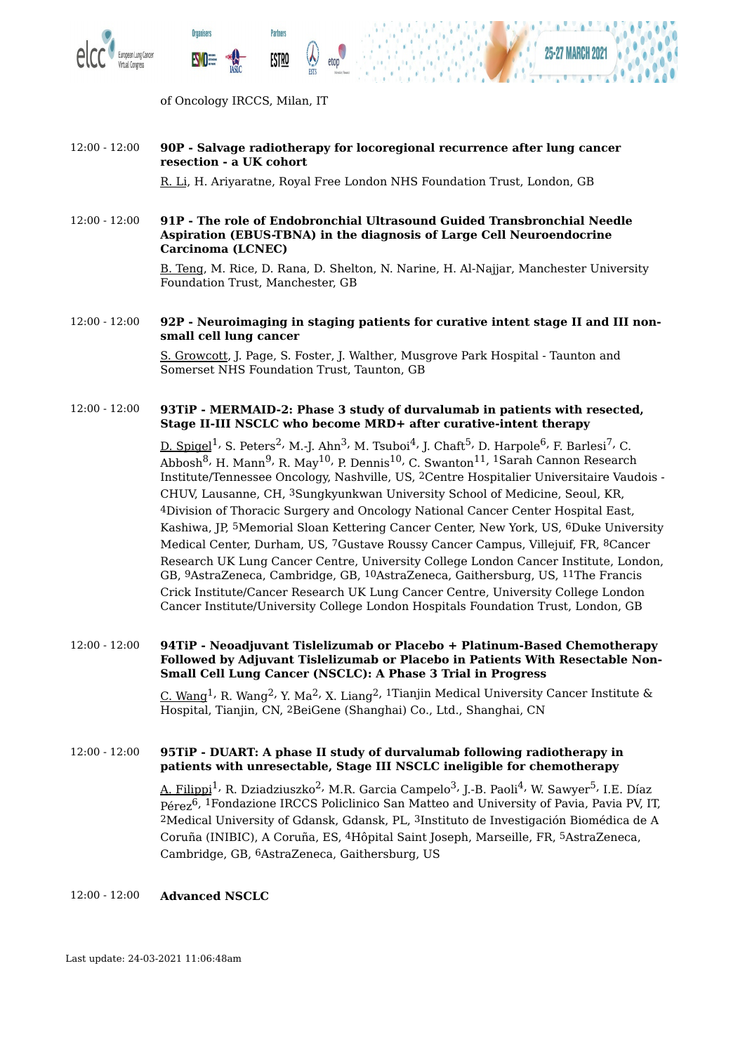



of Oncology IRCCS, Milan, IT

**Partners** 

<u>ESTRO</u>

**Organisers** 

#### 12:00 - 12:00 **90P - Salvage radiotherapy for locoregional recurrence after lung cancer resection - a UK cohort**

R. Li, H. Ariyaratne, Royal Free London NHS Foundation Trust, London, GB

12:00 - 12:00 **91P - The role of Endobronchial Ultrasound Guided Transbronchial Needle Aspiration (EBUS-TBNA) in the diagnosis of Large Cell Neuroendocrine Carcinoma (LCNEC)**

> B. Teng, M. Rice, D. Rana, D. Shelton, N. Narine, H. Al-Najjar, Manchester University Foundation Trust, Manchester, GB

#### 12:00 - 12:00 **92P - Neuroimaging in staging patients for curative intent stage II and III nonsmall cell lung cancer**

S. Growcott, J. Page, S. Foster, J. Walther, Musgrove Park Hospital - Taunton and Somerset NHS Foundation Trust, Taunton, GB

#### 12:00 - 12:00 **93TiP - MERMAID-2: Phase 3 study of durvalumab in patients with resected, Stage II-III NSCLC who become MRD+ after curative-intent therapy**

<u>D. Spigel</u><sup>1,</sup> S. Peters<sup>2,</sup> M.-J. Ahn<sup>3,</sup> M. Tsuboi<sup>4,</sup> J. Chaft<sup>5,</sup> D. Harpole<sup>6,</sup> F. Barlesi<sup>7,</sup> C. Abbosh<sup>8,</sup> H. Mann<sup>9,</sup> R. May<sup>10,</sup> P. Dennis<sup>10,</sup> C. Swanton<sup>11, 1</sup>Sarah Cannon Research Institute/Tennessee Oncology, Nashville, US, 2Centre Hospitalier Universitaire Vaudois - CHUV, Lausanne, CH, 3Sungkyunkwan University School of Medicine, Seoul, KR, 4Division of Thoracic Surgery and Oncology National Cancer Center Hospital East, Kashiwa, JP, 5Memorial Sloan Kettering Cancer Center, New York, US, 6Duke University Medical Center, Durham, US, 7Gustave Roussy Cancer Campus, Villejuif, FR, 8Cancer Research UK Lung Cancer Centre, University College London Cancer Institute, London, GB, 9AstraZeneca, Cambridge, GB, 10AstraZeneca, Gaithersburg, US, 11The Francis Crick Institute/Cancer Research UK Lung Cancer Centre, University College London Cancer Institute/University College London Hospitals Foundation Trust, London, GB

#### 12:00 - 12:00 **94TiP - Neoadjuvant Tislelizumab or Placebo + Platinum-Based Chemotherapy Followed by Adjuvant Tislelizumab or Placebo in Patients With Resectable Non-Small Cell Lung Cancer (NSCLC): A Phase 3 Trial in Progress**

<u>C. Wang</u><sup>1,</sup> R. Wang<sup>2,</sup> Y. Ma<sup>2,</sup> X. Liang<sup>2, 1</sup>Tianjin Medical University Cancer Institute & Hospital, Tianjin, CN, 2BeiGene (Shanghai) Co., Ltd., Shanghai, CN

#### 12:00 - 12:00 **95TiP - DUART: A phase II study of durvalumab following radiotherapy in patients with unresectable, Stage III NSCLC ineligible for chemotherapy**

A. Filippi $^1$ <sup>,</sup> R. Dziadziuszko<sup>2,</sup> M.R. Garcia Campelo<sup>3,</sup> J.-B. Paoli<sup>4,</sup> W. Sawyer<sup>5,</sup> I.E. Díaz Pérez 6, 1Fondazione IRCCS Policlinico San Matteo and University of Pavia, Pavia PV, IT, 2Medical University of Gdansk, Gdansk, PL, 3Instituto de Investigación Biomédica de A Coruña (INIBIC), A Coruña, ES, 4Hôpital Saint Joseph, Marseille, FR, 5AstraZeneca, Cambridge, GB, 6AstraZeneca, Gaithersburg, US

#### 12:00 - 12:00 **Advanced NSCLC**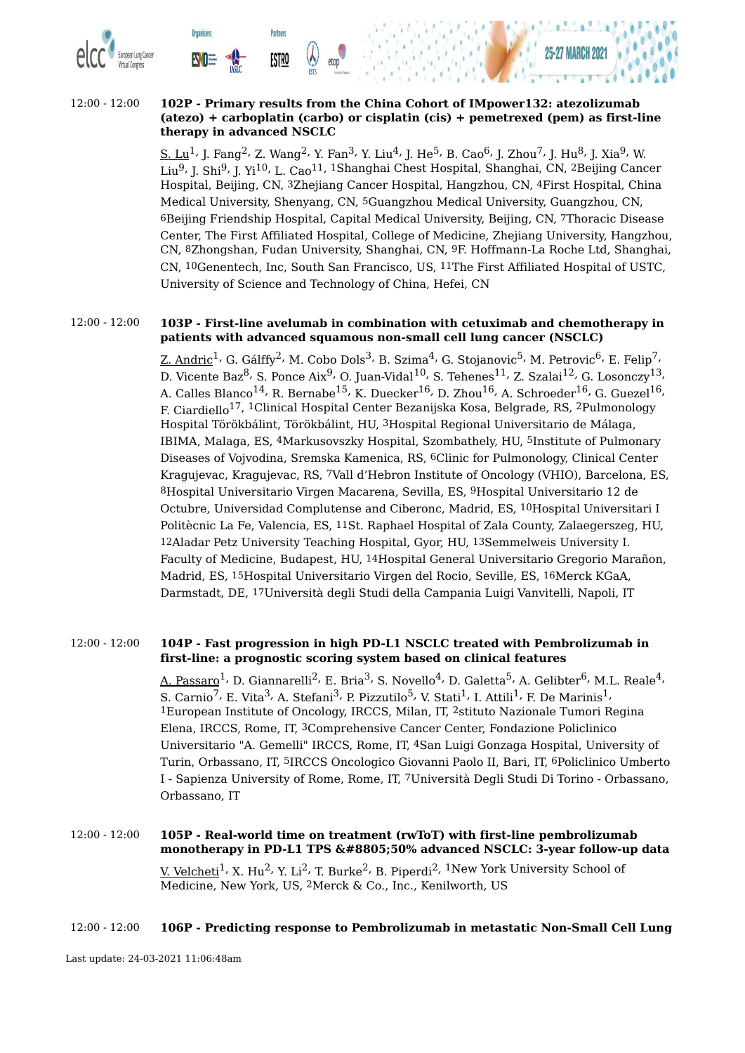

#### 12:00 - 12:00 **102P - Primary results from the China Cohort of IMpower132: atezolizumab (atezo) + carboplatin (carbo) or cisplatin (cis) + pemetrexed (pem) as first-line therapy in advanced NSCLC**

 $\underline{\text{S.}~\text{Lu}^1}$ , J. Fan $g^2$ , Z. Wang $^2$ , Y. Fan $^3$ , Y. Liu $^4$ , J. He $^5$ , B. Cao $^6$ , J. Zhou $^7$ , J. Hu $^8$ , J. Xia $^9$ , W. Liu<sup>9,</sup> J. Shi<sup>9,</sup> J. Yi<sup>10,</sup> L. Cao<sup>11, 1</sup>Shanghai Chest Hospital, Shanghai, CN, <sup>2</sup>Beijing Cancer Hospital, Beijing, CN, 3Zhejiang Cancer Hospital, Hangzhou, CN, 4First Hospital, China Medical University, Shenyang, CN, 5Guangzhou Medical University, Guangzhou, CN, 6Beijing Friendship Hospital, Capital Medical University, Beijing, CN, 7Thoracic Disease Center, The First Affiliated Hospital, College of Medicine, Zhejiang University, Hangzhou, CN, 8Zhongshan, Fudan University, Shanghai, CN, 9F. Hoffmann-La Roche Ltd, Shanghai, CN, 10Genentech, Inc, South San Francisco, US, 11The First Affiliated Hospital of USTC, University of Science and Technology of China, Hefei, CN

#### 12:00 - 12:00 **103P - First-line avelumab in combination with cetuximab and chemotherapy in patients with advanced squamous non-small cell lung cancer (NSCLC)**

<u>Z. Andric</u><sup>1,</sup> G. Gálffy<sup>2,</sup> M. Cobo Dols<sup>3,</sup> B. Szima<sup>4,</sup> G. Stojanovic<sup>5,</sup> M. Petrovic<sup>6,</sup> E. Felip<sup>7,</sup> D. Vicente Baz $^8$ , S. Ponce Aix $^9$ , O. Juan-Vidal $^{10}$ , S. Tehenes $^{11}$ , Z. Szalai $^{12}$ , G. Losonczy $^{13}$ , A. Calles Blanco<sup>14,</sup> R. Bernabe<sup>15,</sup> K. Duecker<sup>16,</sup> D. Zhou<sup>16,</sup> A. Schroeder<sup>16,</sup> G. Guezel<sup>16,</sup> F. Ciardiello 17, 1Clinical Hospital Center Bezanijska Kosa, Belgrade, RS, 2Pulmonology Hospital Törökbálint, Törökbálint, HU, 3Hospital Regional Universitario de Málaga, IBIMA, Malaga, ES, 4Markusovszky Hospital, Szombathely, HU, 5Institute of Pulmonary Diseases of Vojvodina, Sremska Kamenica, RS, 6Clinic for Pulmonology, Clinical Center Kragujevac, Kragujevac, RS, 7Vall d'Hebron Institute of Oncology (VHIO), Barcelona, ES, 8Hospital Universitario Virgen Macarena, Sevilla, ES, 9Hospital Universitario 12 de Octubre, Universidad Complutense and Ciberonc, Madrid, ES, 10Hospital Universitari I Politècnic La Fe, Valencia, ES, 11St. Raphael Hospital of Zala County, Zalaegerszeg, HU, 12Aladar Petz University Teaching Hospital, Gyor, HU, 13Semmelweis University I. Faculty of Medicine, Budapest, HU, 14Hospital General Universitario Gregorio Marañon, Madrid, ES, 15Hospital Universitario Virgen del Rocio, Seville, ES, 16Merck KGaA, Darmstadt, DE, 17Università degli Studi della Campania Luigi Vanvitelli, Napoli, IT

#### 12:00 - 12:00 **104P - Fast progression in high PD-L1 NSCLC treated with Pembrolizumab in first-line: a prognostic scoring system based on clinical features**

<u>A. Passaro</u><sup>1,</sup> D. Giannarelli<sup>2,</sup> E. Bria<sup>3,</sup> S. Novello<sup>4,</sup> D. Galetta<sup>5,</sup> A. Gelibter<sup>6,</sup> M.L. Reale<sup>4,</sup> S. Carnio<sup>7,</sup> E. Vita<sup>3,</sup> A. Stefani<sup>3,</sup> P. Pizzutilo<sup>5,</sup> V. Stati<sup>1,</sup> I. Attili<sup>1,</sup> F. De Marinis<sup>1,</sup> 1European Institute of Oncology, IRCCS, Milan, IT, 2stituto Nazionale Tumori Regina Elena, IRCCS, Rome, IT, 3Comprehensive Cancer Center, Fondazione Policlinico Universitario "A. Gemelli" IRCCS, Rome, IT, 4San Luigi Gonzaga Hospital, University of Turin, Orbassano, IT, 5IRCCS Oncologico Giovanni Paolo II, Bari, IT, 6Policlinico Umberto I - Sapienza University of Rome, Rome, IT, 7Università Degli Studi Di Torino - Orbassano, Orbassano, IT

# 12:00 - 12:00 **105P - Real-world time on treatment (rwToT) with first-line pembrolizumab monotherapy in PD-L1 TPS ≥50% advanced NSCLC: 3-year follow-up data**

<u>V. Velcheti</u><sup>1,</sup> X. Hu<sup>2,</sup> Y. Li<sup>2,</sup> T. Burke<sup>2,</sup> B. Piperdi<sup>2, 1</sup>New York University School of Medicine, New York, US, 2Merck & Co., Inc., Kenilworth, US

#### 12:00 - 12:00 **106P - Predicting response to Pembrolizumab in metastatic Non-Small Cell Lung**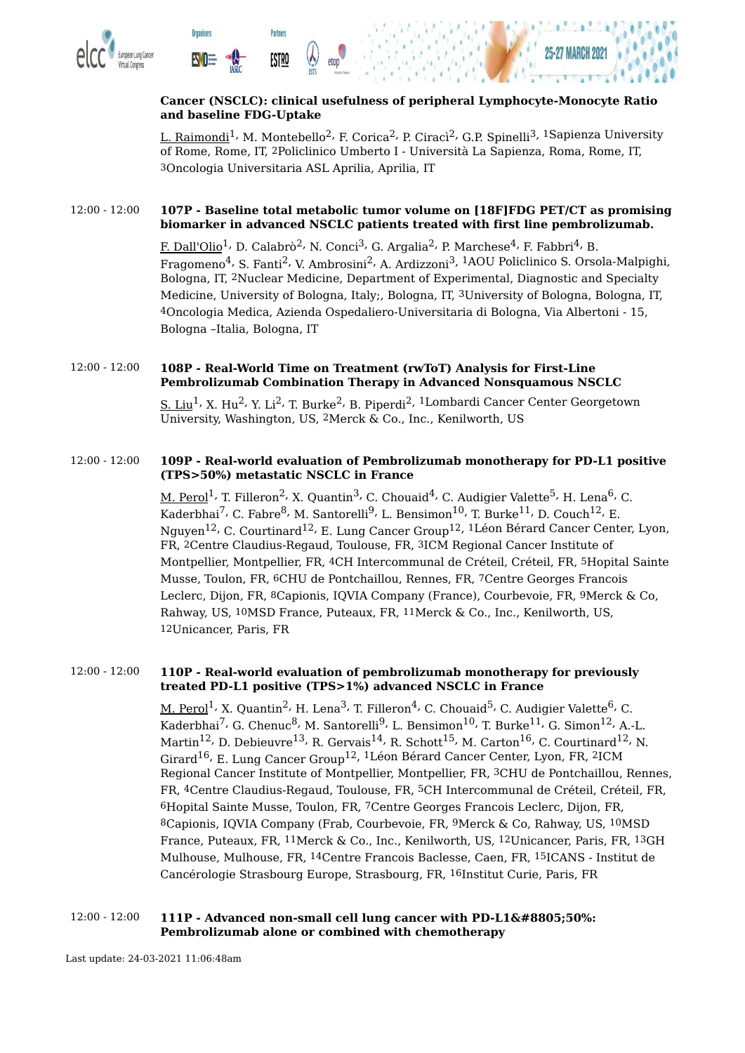

#### **Cancer (NSCLC): clinical usefulness of peripheral Lymphocyte-Monocyte Ratio and baseline FDG-Uptake**

L. Raimondi<sup>1,</sup> M. Montebello<sup>2,</sup> F. Corica<sup>2,</sup> P. Ciracì<sup>2,</sup> G.P. Spinelli<sup>3, 1</sup>Sapienza University of Rome, Rome, IT, 2Policlinico Umberto I - Università La Sapienza, Roma, Rome, IT, 3Oncologia Universitaria ASL Aprilia, Aprilia, IT

#### 12:00 - 12:00 **107P - Baseline total metabolic tumor volume on [18F]FDG PET/CT as promising biomarker in advanced NSCLC patients treated with first line pembrolizumab.**

<u>F. Dall'Olio</u><sup>1,</sup> D. Calabrò<sup>2,</sup> N. Conci<sup>3,</sup> G. Argalia<sup>2,</sup> P. Marchese<sup>4,</sup> F. Fabbri<sup>4,</sup> B. Fragomeno $^4$ , S. Fanti $^2$ , V. Ambrosini $^2$ , A. Ardizzoni $^3$ ,  $^1\mathrm{AOU}$  Policlinico S. Orsola-Malpighi, Bologna, IT, 2Nuclear Medicine, Department of Experimental, Diagnostic and Specialty Medicine, University of Bologna, Italy;, Bologna, IT, 3University of Bologna, Bologna, IT, 4Oncologia Medica, Azienda Ospedaliero-Universitaria di Bologna, Via Albertoni - 15, Bologna –Italia, Bologna, IT

#### 12:00 - 12:00 **108P - Real-World Time on Treatment (rwToT) Analysis for First-Line Pembrolizumab Combination Therapy in Advanced Nonsquamous NSCLC**

S. Liu<sup>1,</sup> X. Hu<sup>2,</sup> Y. Li<sup>2,</sup> T. Burke<sup>2,</sup> B. Piperdi<sup>2, 1</sup>Lombardi Cancer Center Georgetown University, Washington, US, 2Merck & Co., Inc., Kenilworth, US

#### 12:00 - 12:00 **109P - Real-world evaluation of Pembrolizumab monotherapy for PD-L1 positive (TPS>50%) metastatic NSCLC in France**

<u>M. Perol</u><sup>1,</sup> T. Filleron<sup>2,</sup> X. Quantin<sup>3,</sup> C. Chouaid<sup>4,</sup> C. Audigier Valette<sup>5,</sup> H. Lena<sup>6,</sup> C. Kaderbhai<sup>7,</sup> C. Fabre<sup>8,</sup> M. Santorelli<sup>9,</sup> L. Bensimon<sup>10,</sup> T. Burke<sup>11,</sup> D. Couch<sup>12,</sup> E. Nguyen $^{12}$ , C. Courtinard $^{12}$ , E. Lung Cancer Group $^{12}$ ,  $^{1}$ Léon Bérard Cancer Center, Lyon, FR, 2Centre Claudius-Regaud, Toulouse, FR, 3ICM Regional Cancer Institute of Montpellier, Montpellier, FR, 4CH Intercommunal de Créteil, Créteil, FR, 5Hopital Sainte Musse, Toulon, FR, 6CHU de Pontchaillou, Rennes, FR, 7Centre Georges Francois Leclerc, Dijon, FR, 8Capionis, IQVIA Company (France), Courbevoie, FR, 9Merck & Co, Rahway, US, 10MSD France, Puteaux, FR, 11Merck & Co., Inc., Kenilworth, US, 12Unicancer, Paris, FR

#### 12:00 - 12:00 **110P - Real-world evaluation of pembrolizumab monotherapy for previously treated PD-L1 positive (TPS>1%) advanced NSCLC in France**

 $\textrm{M. }$  Perol $^1$ , X. Quantin $^2$ , H. Lena $^3$ , T. Filleron $^4$ , C. Chouaid $^5$ , C. Audigier Valette $^6$ , C. Kaderbhai<sup>7,</sup> G. Chenuc<sup>8,</sup> M. Santorelli<sup>9,</sup> L. Bensimon<sup>10,</sup> T. Burke<sup>11,</sup> G. Simon<sup>12,</sup> A.-L. Martin $^{12}$ , D. Debieuvre $^{13}$ , R. Gervais $^{14}$ , R. Schott $^{15}$ , M. Carton $^{16}$ , C. Courtinard $^{12}$ , N. Girard<sup>16,</sup> E. Lung Cancer Group<sup>12, 1</sup>Léon Bérard Cancer Center, Lyon, FR, <sup>2</sup>ICM Regional Cancer Institute of Montpellier, Montpellier, FR, 3CHU de Pontchaillou, Rennes, FR, 4Centre Claudius-Regaud, Toulouse, FR, 5CH Intercommunal de Créteil, Créteil, FR, 6Hopital Sainte Musse, Toulon, FR, 7Centre Georges Francois Leclerc, Dijon, FR, 8Capionis, IQVIA Company (Frab, Courbevoie, FR, 9Merck & Co, Rahway, US, 10MSD France, Puteaux, FR, 11Merck & Co., Inc., Kenilworth, US, 12Unicancer, Paris, FR, 13GH Mulhouse, Mulhouse, FR, 14Centre Francois Baclesse, Caen, FR, 15ICANS - Institut de Cancérologie Strasbourg Europe, Strasbourg, FR, 16Institut Curie, Paris, FR

#### 12:00 - 12:00 **111P - Advanced non-small cell lung cancer with PD-L1≥50%: Pembrolizumab alone or combined with chemotherapy**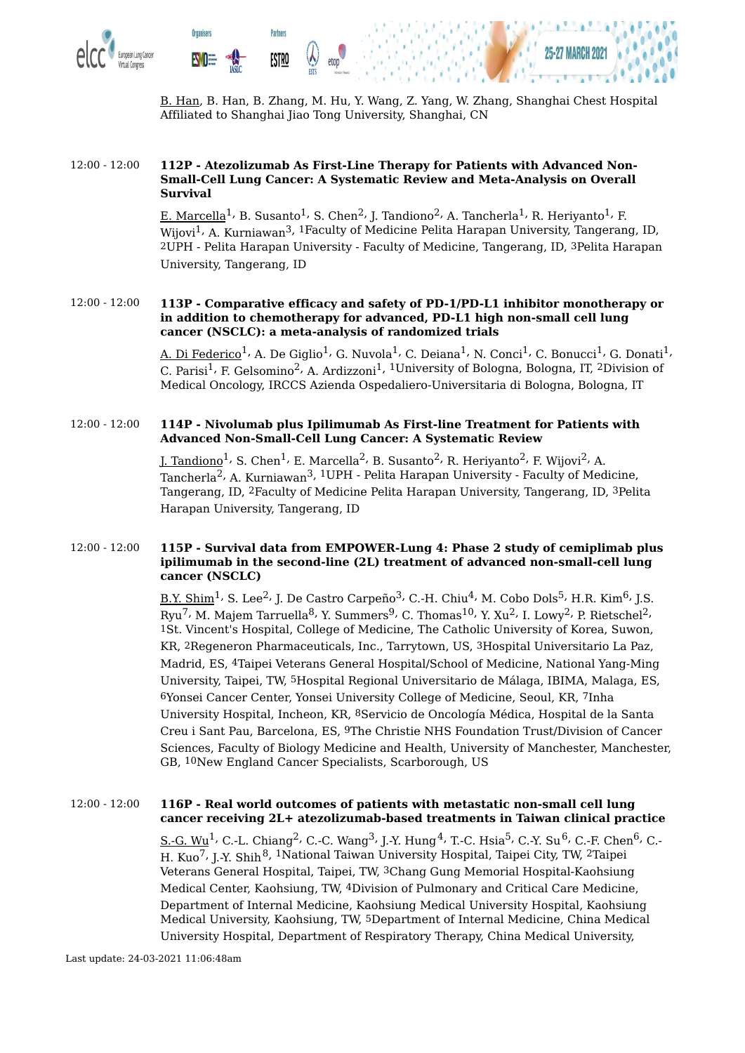

B. Han, B. Han, B. Zhang, M. Hu, Y. Wang, Z. Yang, W. Zhang, Shanghai Chest Hospital Affiliated to Shanghai Jiao Tong University, Shanghai, CN

#### 12:00 - 12:00 **112P - Atezolizumab As First-Line Therapy for Patients with Advanced Non-Small-Cell Lung Cancer: A Systematic Review and Meta-Analysis on Overall Survival**

<u>E. Marcella</u><sup>1,</sup> B. Susanto<sup>1,</sup> S. Chen<sup>2,</sup> J. Tandiono<sup>2,</sup> A. Tancherla<sup>1,</sup> R. Heriyanto<sup>1,</sup> F. Wijovi<sup>1,</sup> A. Kurniawan<sup>3, 1</sup>Faculty of Medicine Pelita Harapan University, Tangerang, ID, 2UPH - Pelita Harapan University - Faculty of Medicine, Tangerang, ID, 3Pelita Harapan University, Tangerang, ID

#### 12:00 - 12:00 **113P - Comparative efficacy and safety of PD-1/PD-L1 inhibitor monotherapy or in addition to chemotherapy for advanced, PD-L1 high non-small cell lung cancer (NSCLC): a meta-analysis of randomized trials**

<u>A. Di Federico</u> $^1$ , A. De Giglio $^1$ , G. Nuvola $^1$ , C. Deiana $^1$ , N. Conci $^1$ , C. Bonucci $^1$ , G. Donati $^1$ , C. Parisi<sup>1,</sup> F. Gelsomino<sup>2,</sup> A. Ardizzoni<sup>1, 1</sup>University of Bologna, Bologna, IT, <sup>2</sup>Division of Medical Oncology, IRCCS Azienda Ospedaliero-Universitaria di Bologna, Bologna, IT

#### 12:00 - 12:00 **114P - Nivolumab plus Ipilimumab As First-line Treatment for Patients with Advanced Non-Small-Cell Lung Cancer: A Systematic Review**

<u>J. Tandiono</u><sup>1,</sup> S. Chen<sup>1,</sup> E. Marcella<sup>2,</sup> B. Susanto<sup>2,</sup> R. Heriyanto<sup>2,</sup> F. Wijovi<sup>2,</sup> A. Tancherla<sup>2,</sup> A. Kurniawan<sup>3, 1</sup>UPH - Pelita Harapan University - Faculty of Medicine, Tangerang, ID, 2Faculty of Medicine Pelita Harapan University, Tangerang, ID, 3Pelita Harapan University, Tangerang, ID

#### 12:00 - 12:00 **115P - Survival data from EMPOWER-Lung 4: Phase 2 study of cemiplimab plus ipilimumab in the second-line (2L) treatment of advanced non-small-cell lung cancer (NSCLC)**

<u>B.Y. Shim</u><sup>1,</sup> S. Lee<sup>2,</sup> J. De Castro Carpeño<sup>3,</sup> C.-H. Chiu<sup>4,</sup> M. Cobo Dols<sup>5,</sup> H.R. Kim<sup>6,</sup> J.S. Ryu<sup>7,</sup> M. Majem Tarruella<sup>8,</sup> Y. Summers<sup>9,</sup> C. Thomas<sup>10,</sup> Y. Xu<sup>2,</sup> I. Lowy<sup>2,</sup> P. Rietschel<sup>2,</sup> 1St. Vincent's Hospital, College of Medicine, The Catholic University of Korea, Suwon, KR, 2Regeneron Pharmaceuticals, Inc., Tarrytown, US, 3Hospital Universitario La Paz, Madrid, ES, 4Taipei Veterans General Hospital/School of Medicine, National Yang-Ming University, Taipei, TW, 5Hospital Regional Universitario de Málaga, IBIMA, Malaga, ES, 6Yonsei Cancer Center, Yonsei University College of Medicine, Seoul, KR, 7Inha University Hospital, Incheon, KR, 8Servicio de Oncología Médica, Hospital de la Santa Creu i Sant Pau, Barcelona, ES, 9The Christie NHS Foundation Trust/Division of Cancer Sciences, Faculty of Biology Medicine and Health, University of Manchester, Manchester, GB, 10New England Cancer Specialists, Scarborough, US

#### 12:00 - 12:00 **116P - Real world outcomes of patients with metastatic non-small cell lung cancer receiving 2L+ atezolizumab-based treatments in Taiwan clinical practice**

<u>S.-G. Wu</u><sup>1,</sup> C.-L. Chiang<sup>2,</sup> C.-C. Wang<sup>3,</sup> J.-Y. Hung<sup>4,</sup> T.-C. Hsia<sup>5,</sup> C.-Y. Su<sup>6,</sup> C.-F. Chen<sup>6,</sup> C.-H. Kuo<sup>7,</sup> J.-Y. Shih<sup>8, 1</sup>National Taiwan University Hospital, Taipei City, TW, 2Taipei Veterans General Hospital, Taipei, TW, 3Chang Gung Memorial Hospital-Kaohsiung Medical Center, Kaohsiung, TW, 4Division of Pulmonary and Critical Care Medicine, Department of Internal Medicine, Kaohsiung Medical University Hospital, Kaohsiung Medical University, Kaohsiung, TW, 5Department of Internal Medicine, China Medical University Hospital, Department of Respiratory Therapy, China Medical University,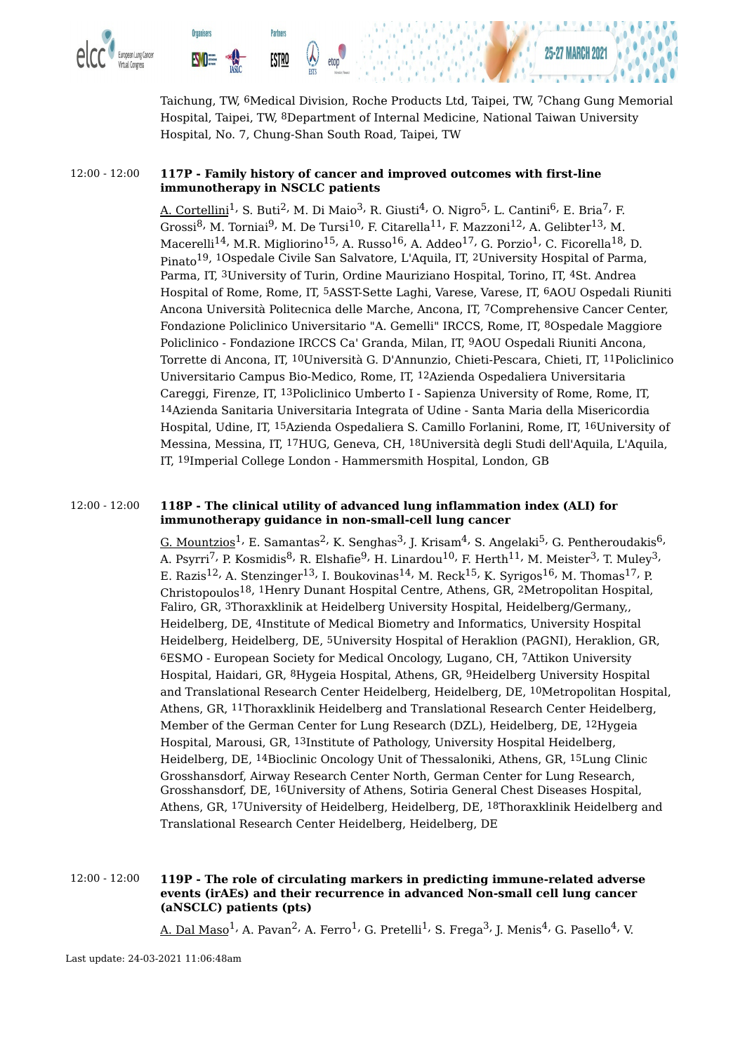

**Organisers** 

**NO** 

**Partners** 

**ESTRO** 



#### 12:00 - 12:00 **117P - Family history of cancer and improved outcomes with first-line immunotherapy in NSCLC patients**

A. Cortellini<sup>1,</sup> S. Buti<sup>2,</sup> M. Di Maio<sup>3,</sup> R. Giusti<sup>4,</sup> O. Nigro<sup>5,</sup> L. Cantini<sup>6,</sup> E. Bria<sup>7,</sup> F. Grossi $^8$ , M. Torniai $^9$ , M. De Tursi $^{10}$ , F. Citarella $^{11}$ , F. Mazzoni $^{12}$ , A. Gelibter $^{13}$ , M. Macerelli $^{14}$ , M.R. Migliorino $^{15}$ , A. Russo $^{16}$ , A. Addeo $^{17}$ , G. Porzio $^1$ , C. Ficorella $^{18}$ , D. Pinato 19, 1Ospedale Civile San Salvatore, L'Aquila, IT, 2University Hospital of Parma, Parma, IT, 3University of Turin, Ordine Mauriziano Hospital, Torino, IT, 4St. Andrea Hospital of Rome, Rome, IT, 5ASST-Sette Laghi, Varese, Varese, IT, 6AOU Ospedali Riuniti Ancona Università Politecnica delle Marche, Ancona, IT, 7Comprehensive Cancer Center, Fondazione Policlinico Universitario "A. Gemelli" IRCCS, Rome, IT, 8Ospedale Maggiore Policlinico - Fondazione IRCCS Ca' Granda, Milan, IT, 9AOU Ospedali Riuniti Ancona, Torrette di Ancona, IT, 10Università G. D'Annunzio, Chieti-Pescara, Chieti, IT, 11Policlinico Universitario Campus Bio-Medico, Rome, IT, 12Azienda Ospedaliera Universitaria Careggi, Firenze, IT, 13Policlinico Umberto I - Sapienza University of Rome, Rome, IT, 14Azienda Sanitaria Universitaria Integrata of Udine - Santa Maria della Misericordia Hospital, Udine, IT, 15Azienda Ospedaliera S. Camillo Forlanini, Rome, IT, 16University of Messina, Messina, IT, 17HUG, Geneva, CH, 18Università degli Studi dell'Aquila, L'Aquila, IT, 19Imperial College London - Hammersmith Hospital, London, GB

#### 12:00 - 12:00 **118P - The clinical utility of advanced lung inflammation index (ALI) for immunotherapy guidance in non-small-cell lung cancer**

<u>G. Mountzios</u> $^1$ , E. Samantas $^2$ , K. Senghas $^3$ , J. Krisam $^4$ , S. Angelaki $^5$ , G. Pentheroudakis $^6$ , A. Psyrri<sup>7,</sup> P. Kosmidis $^8$ , R. Elshafie $^9$ , H. Linardou $^{10}$ , F. Herth $^{11}$ , M. Meister $^3$ , T. Muley $^3$ , E. Razis $^{12}$ , A. Stenzinger $^{13}$ , I. Boukovinas $^{14}$ , M. Reck $^{15}$ , K. Syrigos $^{16}$ , M. Thomas $^{17}$ , P. Christopoulos 18, 1Henry Dunant Hospital Centre, Athens, GR, 2Metropolitan Hospital, Faliro, GR, 3Thoraxklinik at Heidelberg University Hospital, Heidelberg/Germany,, Heidelberg, DE, 4Institute of Medical Biometry and Informatics, University Hospital Heidelberg, Heidelberg, DE, 5University Hospital of Heraklion (PAGNI), Heraklion, GR, 6ESMO - European Society for Medical Oncology, Lugano, CH, 7Attikon University Hospital, Haidari, GR, 8Hygeia Hospital, Athens, GR, 9Heidelberg University Hospital and Translational Research Center Heidelberg, Heidelberg, DE, 10Metropolitan Hospital, Athens, GR, 11Thoraxklinik Heidelberg and Translational Research Center Heidelberg, Member of the German Center for Lung Research (DZL), Heidelberg, DE, 12Hygeia Hospital, Marousi, GR, 13Institute of Pathology, University Hospital Heidelberg, Heidelberg, DE, 14Bioclinic Oncology Unit of Thessaloniki, Athens, GR, 15Lung Clinic Grosshansdorf, Airway Research Center North, German Center for Lung Research, Grosshansdorf, DE, 16University of Athens, Sotiria General Chest Diseases Hospital, Athens, GR, 17University of Heidelberg, Heidelberg, DE, 18Thoraxklinik Heidelberg and Translational Research Center Heidelberg, Heidelberg, DE

#### 12:00 - 12:00 **119P - The role of circulating markers in predicting immune-related adverse events (irAEs) and their recurrence in advanced Non-small cell lung cancer (aNSCLC) patients (pts)**

<u>A. Dal Maso</u><sup>1,</sup> A. Pavan<sup>2,</sup> A. Ferro<sup>1,</sup> G. Pretelli<sup>1,</sup> S. Frega<sup>3,</sup> J. Menis<sup>4,</sup> G. Pasello<sup>4,</sup> V.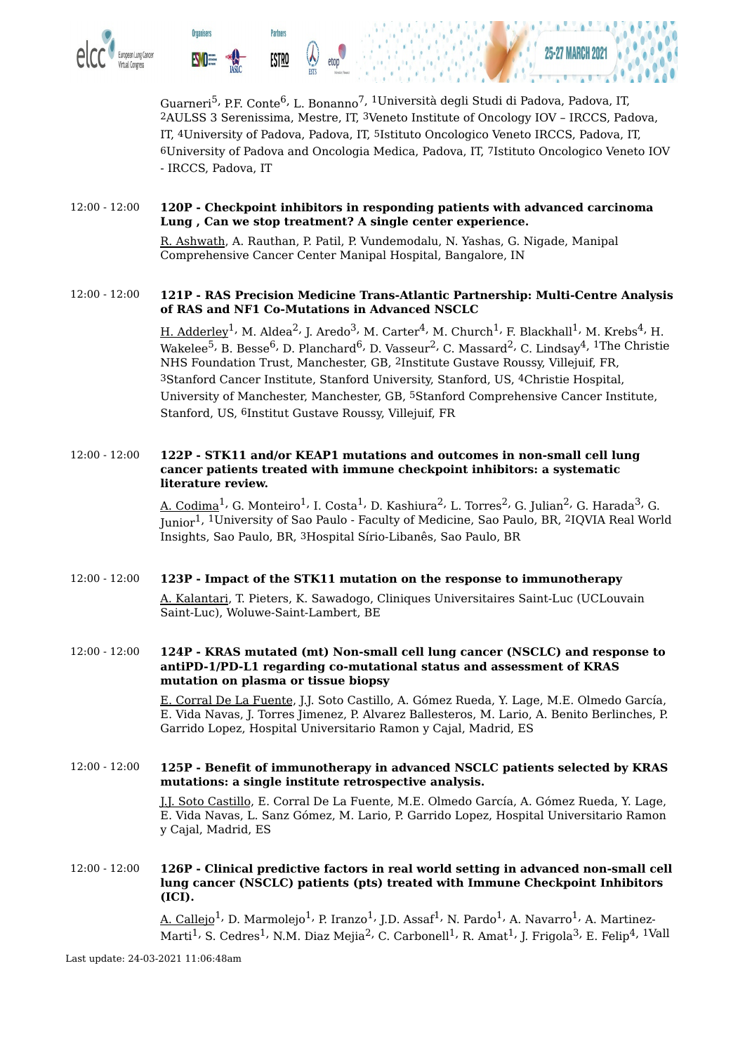

Guarneri<sup>5,</sup> P.F. Conte<sup>6,</sup> L. Bonanno<sup>7, 1</sup>Università degli Studi di Padova, Padova, IT, 2AULSS 3 Serenissima, Mestre, IT, 3Veneto Institute of Oncology IOV – IRCCS, Padova, IT, 4University of Padova, Padova, IT, 5Istituto Oncologico Veneto IRCCS, Padova, IT, 6University of Padova and Oncologia Medica, Padova, IT, 7Istituto Oncologico Veneto IOV - IRCCS, Padova, IT

#### 12:00 - 12:00 **120P - Checkpoint inhibitors in responding patients with advanced carcinoma Lung , Can we stop treatment? A single center experience.**

R. Ashwath, A. Rauthan, P. Patil, P. Vundemodalu, N. Yashas, G. Nigade, Manipal Comprehensive Cancer Center Manipal Hospital, Bangalore, IN

#### 12:00 - 12:00 **121P - RAS Precision Medicine Trans-Atlantic Partnership: Multi-Centre Analysis of RAS and NF1 Co-Mutations in Advanced NSCLC**

<u>H. Adderley</u><sup>1,</sup> M. Aldea<sup>2,</sup> J. Aredo<sup>3,</sup> M. Carter<sup>4,</sup> M. Church<sup>1,</sup> F. Blackhall<sup>1,</sup> M. Krebs<sup>4,</sup> H. Wakelee $^5$ , B. Besse $^6$ , D. Planchard $^6$ , D. Vasseur $^2$ , C. Massard $^2$ , C. Lindsay $^4$ ,  $^1{\rm The}$  Christie NHS Foundation Trust, Manchester, GB, 2Institute Gustave Roussy, Villejuif, FR, 3Stanford Cancer Institute, Stanford University, Stanford, US, 4Christie Hospital, University of Manchester, Manchester, GB, 5Stanford Comprehensive Cancer Institute, Stanford, US, 6Institut Gustave Roussy, Villejuif, FR

#### 12:00 - 12:00 **122P - STK11 and/or KEAP1 mutations and outcomes in non-small cell lung cancer patients treated with immune checkpoint inhibitors: a systematic literature review.**

A. Codima $^1$ , G. Monteiro $^1$ , I. Costa $^1$ , D. Kashiura $^2$ , L. Torres $^2$ , G. Julian $^2$ , G. Harada $^3$ , G. Junior<sup>1, 1</sup>University of Sao Paulo - Faculty of Medicine, Sao Paulo, BR, <sup>2</sup>IQVIA Real World Insights, Sao Paulo, BR, 3Hospital Sírio-Libanês, Sao Paulo, BR

#### 12:00 - 12:00 **123P - Impact of the STK11 mutation on the response to immunotherapy**

A. Kalantari, T. Pieters, K. Sawadogo, Cliniques Universitaires Saint-Luc (UCLouvain Saint-Luc), Woluwe-Saint-Lambert, BE

#### 12:00 - 12:00 **124P - KRAS mutated (mt) Non-small cell lung cancer (NSCLC) and response to antiPD-1/PD-L1 regarding co-mutational status and assessment of KRAS mutation on plasma or tissue biopsy**

E. Corral De La Fuente, J.J. Soto Castillo, A. Gómez Rueda, Y. Lage, M.E. Olmedo García, E. Vida Navas, J. Torres Jimenez, P. Alvarez Ballesteros, M. Lario, A. Benito Berlinches, P. Garrido Lopez, Hospital Universitario Ramon y Cajal, Madrid, ES

#### 12:00 - 12:00 **125P - Benefit of immunotherapy in advanced NSCLC patients selected by KRAS mutations: a single institute retrospective analysis.**

J.J. Soto Castillo, E. Corral De La Fuente, M.E. Olmedo García, A. Gómez Rueda, Y. Lage, E. Vida Navas, L. Sanz Gómez, M. Lario, P. Garrido Lopez, Hospital Universitario Ramon y Cajal, Madrid, ES

#### 12:00 - 12:00 **126P - Clinical predictive factors in real world setting in advanced non-small cell lung cancer (NSCLC) patients (pts) treated with Immune Checkpoint Inhibitors (ICI).**

A. Callejo $^1$ , D. Marmolejo $^1$ , P. Iranzo $^1$ , J.D. Assaf $^1$ , N. Pardo $^1$ , A. Navarro $^1$ , A. Martinez-Marti<sup>1,</sup> S. Cedres<sup>1,</sup> N.M. Diaz Mejia<sup>2,</sup> C. Carbonell<sup>1,</sup> R. Amat<sup>1,</sup> J. Frigola<sup>3,</sup> E. Felip<sup>4, 1</sup>Vall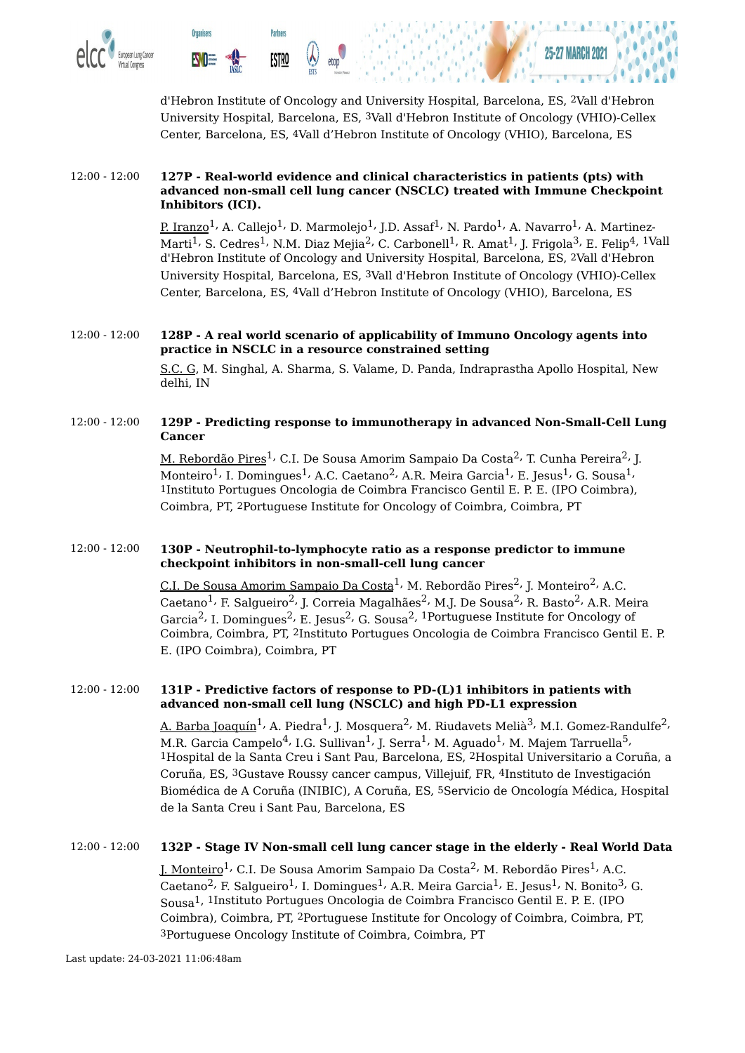

d'Hebron Institute of Oncology and University Hospital, Barcelona, ES, 2Vall d'Hebron University Hospital, Barcelona, ES, 3Vall d'Hebron Institute of Oncology (VHIO)-Cellex Center, Barcelona, ES, 4Vall d'Hebron Institute of Oncology (VHIO), Barcelona, ES

#### 12:00 - 12:00 **127P - Real-world evidence and clinical characteristics in patients (pts) with advanced non-small cell lung cancer (NSCLC) treated with Immune Checkpoint Inhibitors (ICI).**

<u>P. Iranzo</u><sup>1,</sup> A. Callejo<sup>1,</sup> D. Marmolejo<sup>1,</sup> J.D. Assaf<sup>1,</sup> N. Pardo<sup>1,</sup> A. Navarro<sup>1,</sup> A. Martinez-Marti $^1$ , S. Cedres $^1$ , N.M. Diaz Mejia $^2$ , C. Carbonell $^1$ , R. Amat $^1$ , J. Frigola $^3$ , E. Felip $^4$ ,  $^1$ Vall d'Hebron Institute of Oncology and University Hospital, Barcelona, ES, 2Vall d'Hebron University Hospital, Barcelona, ES, 3Vall d'Hebron Institute of Oncology (VHIO)-Cellex Center, Barcelona, ES, 4Vall d'Hebron Institute of Oncology (VHIO), Barcelona, ES

#### 12:00 - 12:00 **128P - A real world scenario of applicability of Immuno Oncology agents into practice in NSCLC in a resource constrained setting**

S.C. G, M. Singhal, A. Sharma, S. Valame, D. Panda, Indraprastha Apollo Hospital, New delhi, IN

#### 12:00 - 12:00 **129P - Predicting response to immunotherapy in advanced Non-Small-Cell Lung Cancer**

<u>M. Rebordão Pires</u><sup>1,</sup> C.I. De Sousa Amorim Sampaio Da Costa<sup>2,</sup> T. Cunha Pereira<sup>2,</sup> J. Monteiro $^1$ , I. Domingues $^1$ , A.C. Caetano $^2$ , A.R. Meira Garcia $^1$ , E. Jesus $^1$ , G. Sousa $^1$ , 1Instituto Portugues Oncologia de Coimbra Francisco Gentil E. P. E. (IPO Coimbra), Coimbra, PT, 2Portuguese Institute for Oncology of Coimbra, Coimbra, PT

#### 12:00 - 12:00 **130P - Neutrophil-to-lymphocyte ratio as a response predictor to immune checkpoint inhibitors in non-small-cell lung cancer**

<u>C.I. De Sousa Amorim Sampaio Da Costa<sup>1,</sup> M. Rebordão Pires<sup>2,</sup> J. Monteiro<sup>2,</sup> A.C.</u> Caetano<sup>1,</sup> F. Salgueiro<sup>2,</sup> J. Correia Magalhães<sup>2,</sup> M.J. De Sousa<sup>2,</sup> R. Basto<sup>2,</sup> A.R. Meira Garcia $^2$ , I. Domingues $^2$ , E. Jesus $^2$ , G. Sousa $^2$ ,  $^1$ Portuguese Institute for Oncology of Coimbra, Coimbra, PT, 2Instituto Portugues Oncologia de Coimbra Francisco Gentil E. P. E. (IPO Coimbra), Coimbra, PT

#### 12:00 - 12:00 **131P - Predictive factors of response to PD-(L)1 inhibitors in patients with advanced non-small cell lung (NSCLC) and high PD-L1 expression**

<u>A. Barba Joaquín</u><sup>1,</sup> A. Piedra<sup>1,</sup> J. Mosquera<sup>2,</sup> M. Riudavets Melià<sup>3,</sup> M.I. Gomez-Randulfe<sup>2,</sup> M.R. Garcia Campelo $^4$ , I.G. Sullivan $^1$ , J. Serra $^1$ , M. Aguado $^1$ , M. Majem Tarruella $^5$ , 1Hospital de la Santa Creu i Sant Pau, Barcelona, ES, 2Hospital Universitario a Coruña, a Coruña, ES, 3Gustave Roussy cancer campus, Villejuif, FR, 4Instituto de Investigación Biomédica de A Coruña (INIBIC), A Coruña, ES, 5Servicio de Oncología Médica, Hospital de la Santa Creu i Sant Pau, Barcelona, ES

#### 12:00 - 12:00 **132P - Stage IV Non-small cell lung cancer stage in the elderly - Real World Data**

<u>J. Monteiro</u><sup>1,</sup> C.I. De Sousa Amorim Sampaio Da Costa<sup>2,</sup> M. Rebordão Pires<sup>1,</sup> A.C. Caetano<sup>2,</sup> F. Salgueiro<sup>1,</sup> I. Domingues<sup>1,</sup> A.R. Meira Garcia<sup>1,</sup> E. Jesus<sup>1,</sup> N. Bonito<sup>3,</sup> G. Sousa 1, 1Instituto Portugues Oncologia de Coimbra Francisco Gentil E. P. E. (IPO Coimbra), Coimbra, PT, 2Portuguese Institute for Oncology of Coimbra, Coimbra, PT, 3Portuguese Oncology Institute of Coimbra, Coimbra, PT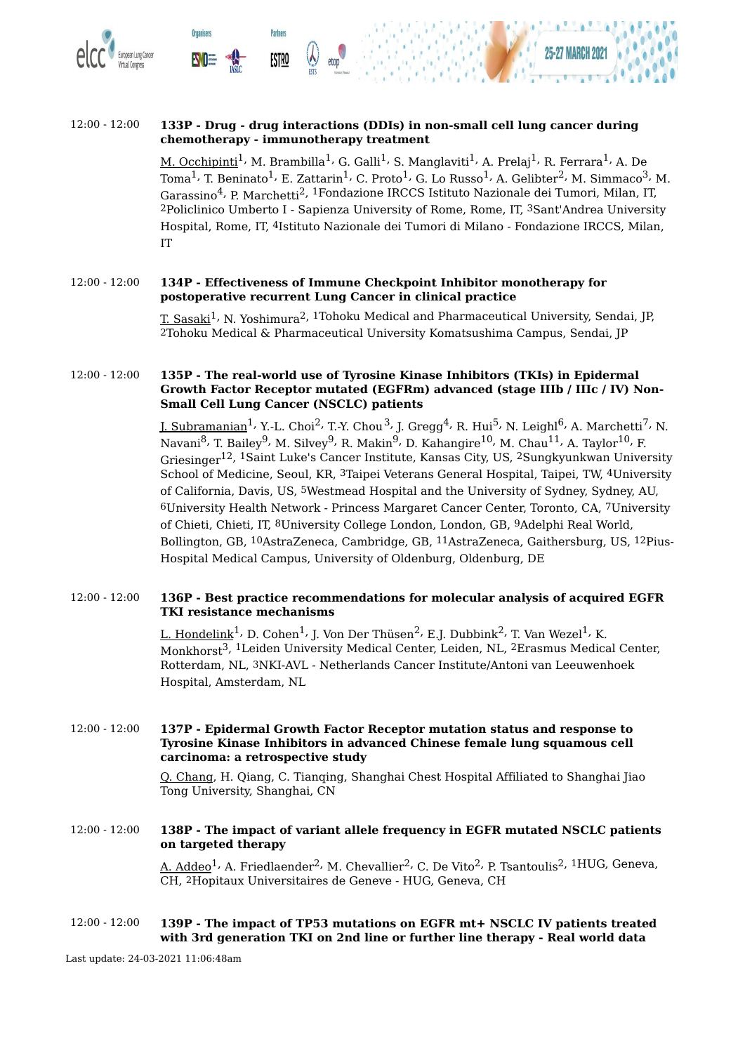

#### 12:00 - 12:00 **133P - Drug - drug interactions (DDIs) in non-small cell lung cancer during chemotherapy - immunotherapy treatment**

<u>M. Occhipinti</u><sup>1,</sup> M. Brambilla<sup>1,</sup> G. Galli<sup>1,</sup> S. Manglaviti<sup>1,</sup> A. Prelaj<sup>1,</sup> R. Ferrara<sup>1,</sup> A. De Toma $^1$ , T. Beninato $^1$ , E. Zattarin $^1$ , C. Proto $^1$ , G. Lo Russo $^1$ , A. Gelibter $^2$ , M. Simmaco $^3$ , M. Garassino <sup>4</sup>, P. Marchetti 2, 1Fondazione IRCCS Istituto Nazionale dei Tumori, Milan, IT, 2Policlinico Umberto I - Sapienza University of Rome, Rome, IT, 3Sant'Andrea University Hospital, Rome, IT, 4Istituto Nazionale dei Tumori di Milano - Fondazione IRCCS, Milan, IT

#### 12:00 - 12:00 **134P - Effectiveness of Immune Checkpoint Inhibitor monotherapy for postoperative recurrent Lung Cancer in clinical practice**

T. Sasaki $^1\cdot$  N. Yoshimura $^2$ ,  $^1$ Tohoku Medical and Pharmaceutical University, Sendai, JP, 2Tohoku Medical & Pharmaceutical University Komatsushima Campus, Sendai, JP

#### 12:00 - 12:00 **135P - The real-world use of Tyrosine Kinase Inhibitors (TKIs) in Epidermal Growth Factor Receptor mutated (EGFRm) advanced (stage IIIb / IIIc / IV) Non-Small Cell Lung Cancer (NSCLC) patients**

<u>J. Subramanian</u><sup>1,</sup> Y.-L. Choi<sup>2,</sup> T.-Y. Chou<sup>3,</sup> J. Gregg<sup>4,</sup> R. Hui<sup>5,</sup> N. Leighl<sup>6,</sup> A. Marchetti<sup>7,</sup> N. Navani<sup>8,</sup> T. Bailey<sup>9,</sup> M. Silvey<sup>9,</sup> R. Makin<sup>9,</sup> D. Kahangire<sup>10,</sup> M. Chau<sup>11,</sup> A. Taylor<sup>10,</sup> F. Griesinger 12, 1Saint Luke's Cancer Institute, Kansas City, US, 2Sungkyunkwan University School of Medicine, Seoul, KR, 3Taipei Veterans General Hospital, Taipei, TW, 4University of California, Davis, US, 5Westmead Hospital and the University of Sydney, Sydney, AU, 6University Health Network - Princess Margaret Cancer Center, Toronto, CA, 7University of Chieti, Chieti, IT, 8University College London, London, GB, 9Adelphi Real World, Bollington, GB, 10AstraZeneca, Cambridge, GB, 11AstraZeneca, Gaithersburg, US, 12Pius-Hospital Medical Campus, University of Oldenburg, Oldenburg, DE

#### 12:00 - 12:00 **136P - Best practice recommendations for molecular analysis of acquired EGFR TKI resistance mechanisms**

L. Hondelink $^{1}$ , D. Cohen $^{1}$ , J. Von Der Thüsen $^{2}$ , E.J. Dubbink $^{2}$ , T. Van Wezel $^{1}$ , K. Monkhorst 3, 1Leiden University Medical Center, Leiden, NL, 2Erasmus Medical Center, Rotterdam, NL, 3NKI-AVL - Netherlands Cancer Institute/Antoni van Leeuwenhoek Hospital, Amsterdam, NL

12:00 - 12:00 **137P - Epidermal Growth Factor Receptor mutation status and response to Tyrosine Kinase Inhibitors in advanced Chinese female lung squamous cell carcinoma: a retrospective study**

> Q. Chang, H. Qiang, C. Tianqing, Shanghai Chest Hospital Affiliated to Shanghai Jiao Tong University, Shanghai, CN

#### 12:00 - 12:00 **138P - The impact of variant allele frequency in EGFR mutated NSCLC patients on targeted therapy**

A. Addeo $^1$ , A. Friedlaender $^2$ , M. Chevallier $^2$ , C. De Vito $^2$ , P. Tsantoulis $^2$ ,  $^1{\rm HUG}$ , Geneva, CH, 2Hopitaux Universitaires de Geneve - HUG, Geneva, CH

#### 12:00 - 12:00 **139P - The impact of TP53 mutations on EGFR mt+ NSCLC IV patients treated with 3rd generation TKI on 2nd line or further line therapy - Real world data**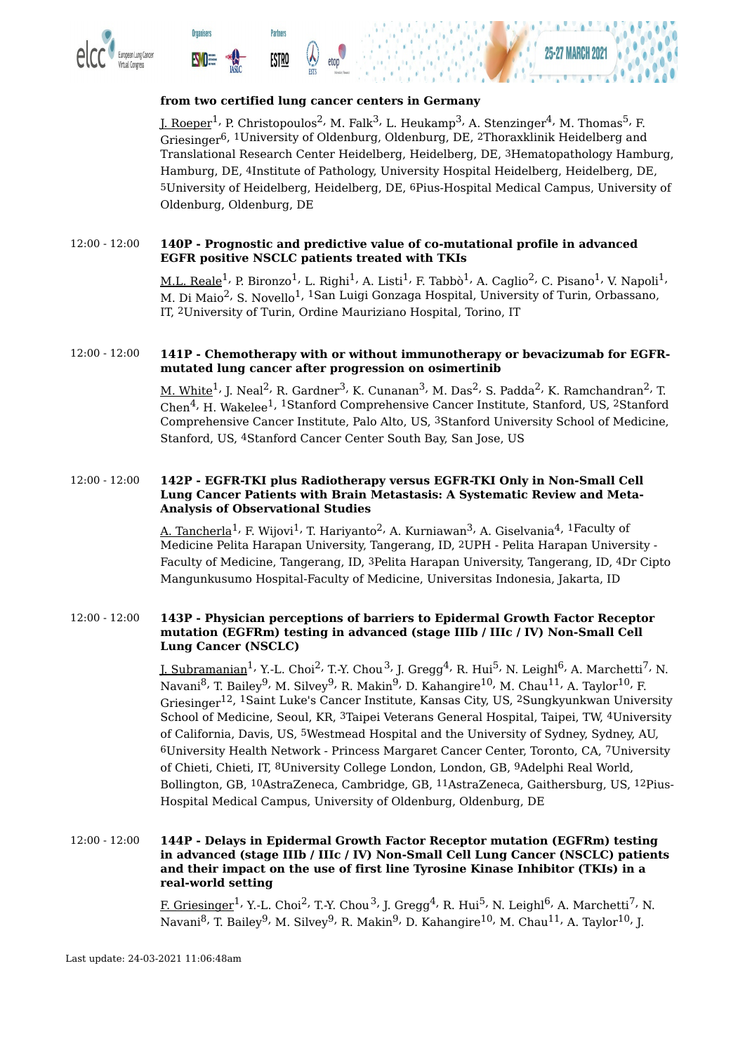





#### **from two certified lung cancer centers in Germany**

J. Roeper<sup>1,</sup> P. Christopoulos<sup>2,</sup> M. Falk<sup>3,</sup> L. Heukamp<sup>3,</sup> A. Stenzinger<sup>4,</sup> M. Thomas<sup>5,</sup> F. Griesinger<sup>6, 1</sup>University of Oldenburg, Oldenburg, DE, <sup>2</sup>Thoraxklinik Heidelberg and Translational Research Center Heidelberg, Heidelberg, DE, 3Hematopathology Hamburg, Hamburg, DE, 4Institute of Pathology, University Hospital Heidelberg, Heidelberg, DE, 5University of Heidelberg, Heidelberg, DE, 6Pius-Hospital Medical Campus, University of Oldenburg, Oldenburg, DE

#### 12:00 - 12:00 **140P - Prognostic and predictive value of co-mutational profile in advanced EGFR positive NSCLC patients treated with TKIs**

 ${\rm M.L.~Reale}^1$ , P. Bironzo $^1$ , L. Righi $^1$ , A. Listi $^1$ , F. Tabbò $^1$ , A. Caglio $^2$ , C. Pisano $^1$ , V. Napoli $^1$ , M. Di Maio<sup>2,</sup> S. Novello<sup>1, 1</sup>San Luigi Gonzaga Hospital, University of Turin, Orbassano, IT, 2University of Turin, Ordine Mauriziano Hospital, Torino, IT

#### 12:00 - 12:00 **141P - Chemotherapy with or without immunotherapy or bevacizumab for EGFRmutated lung cancer after progression on osimertinib**

 $\underline{\mathsf{M}}$ . White $^1$ , J. Neal $^2$ , R. Gardner $^3$ , K. Cunanan $^3$ , M. Das $^2$ , S. Padda $^2$ , K. Ramchandran $^2$ , T. Chen<sup>4,</sup> H. Wakelee<sup>1, 1</sup>Stanford Comprehensive Cancer Institute, Stanford, US, <sup>2</sup>Stanford Comprehensive Cancer Institute, Palo Alto, US, 3Stanford University School of Medicine, Stanford, US, 4Stanford Cancer Center South Bay, San Jose, US

#### 12:00 - 12:00 **142P - EGFR-TKI plus Radiotherapy versus EGFR-TKI Only in Non-Small Cell Lung Cancer Patients with Brain Metastasis: A Systematic Review and Meta-Analysis of Observational Studies**

A. Tancherla $^1$ , F. Wijovi $^1$ , T. Hariyanto $^2$ , A. Kurniawan $^3$ , A. Giselvania $^4$ ,  $^1$ Faculty of Medicine Pelita Harapan University, Tangerang, ID, 2UPH - Pelita Harapan University - Faculty of Medicine, Tangerang, ID, 3Pelita Harapan University, Tangerang, ID, 4Dr Cipto Mangunkusumo Hospital-Faculty of Medicine, Universitas Indonesia, Jakarta, ID

#### 12:00 - 12:00 **143P - Physician perceptions of barriers to Epidermal Growth Factor Receptor mutation (EGFRm) testing in advanced (stage IIIb / IIIc / IV) Non-Small Cell Lung Cancer (NSCLC)**

J. Subramanian<sup>1,</sup> Y.-L. Choi<sup>2,</sup> T.-Y. Chou<sup>3,</sup> J. Gregg<sup>4,</sup> R. Hui<sup>5,</sup> N. Leighl<sup>6,</sup> A. Marchetti<sup>7,</sup> N. Navani<sup>8,</sup> T. Bailey<sup>9,</sup> M. Silvey<sup>9,</sup> R. Makin<sup>9,</sup> D. Kahangire<sup>10,</sup> M. Chau<sup>11,</sup> A. Taylor<sup>10,</sup> F. Griesinger 12, 1Saint Luke's Cancer Institute, Kansas City, US, 2Sungkyunkwan University School of Medicine, Seoul, KR, 3Taipei Veterans General Hospital, Taipei, TW, 4University of California, Davis, US, 5Westmead Hospital and the University of Sydney, Sydney, AU, 6University Health Network - Princess Margaret Cancer Center, Toronto, CA, 7University of Chieti, Chieti, IT, 8University College London, London, GB, 9Adelphi Real World, Bollington, GB, 10AstraZeneca, Cambridge, GB, 11AstraZeneca, Gaithersburg, US, 12Pius-Hospital Medical Campus, University of Oldenburg, Oldenburg, DE

12:00 - 12:00 **144P - Delays in Epidermal Growth Factor Receptor mutation (EGFRm) testing in advanced (stage IIIb / IIIc / IV) Non-Small Cell Lung Cancer (NSCLC) patients and their impact on the use of first line Tyrosine Kinase Inhibitor (TKIs) in a real-world setting**

> F. Griesinger<sup>1,</sup> Y.-L. Choi<sup>2,</sup> T.-Y. Chou<sup>3,</sup> J. Gregg<sup>4,</sup> R. Hui<sup>5,</sup> N. Leighl<sup>6,</sup> A. Marchetti<sup>7,</sup> N. Navani<sup>8,</sup> T. Bailey<sup>9,</sup> M. Silvey<sup>9,</sup> R. Makin<sup>9,</sup> D. Kahangire<sup>10,</sup> M. Chau<sup>11,</sup> A. Taylor<sup>10,</sup> J.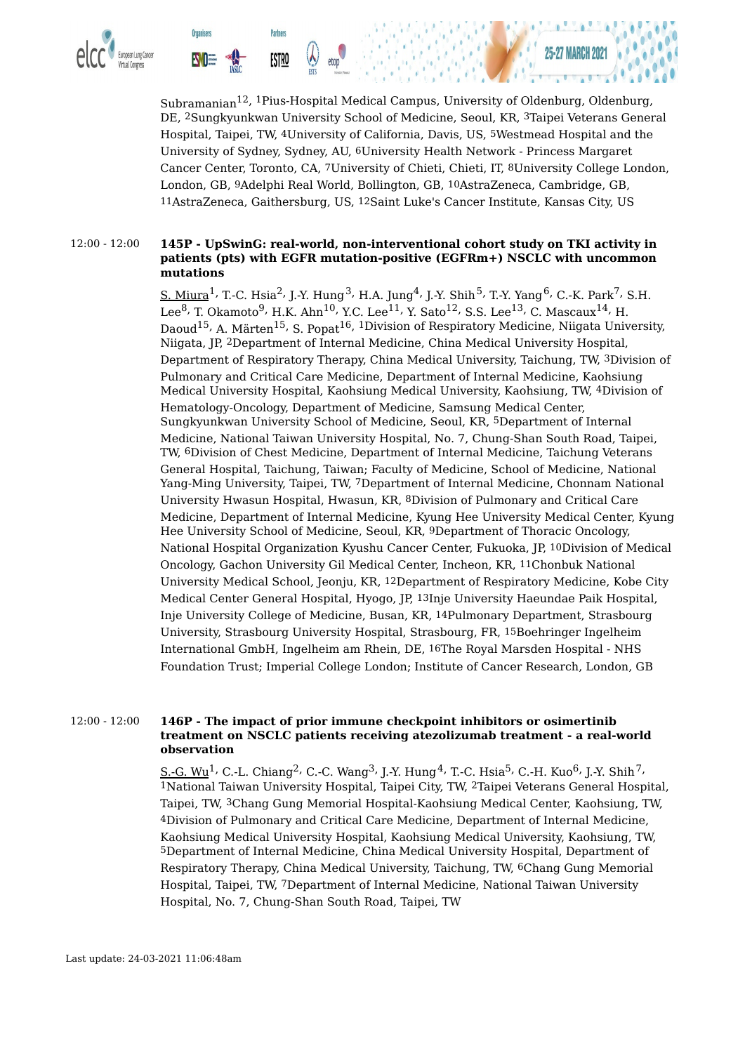

Subramanian 12, 1Pius-Hospital Medical Campus, University of Oldenburg, Oldenburg, DE, 2Sungkyunkwan University School of Medicine, Seoul, KR, 3Taipei Veterans General Hospital, Taipei, TW, 4University of California, Davis, US, 5Westmead Hospital and the University of Sydney, Sydney, AU, 6University Health Network - Princess Margaret Cancer Center, Toronto, CA, 7University of Chieti, Chieti, IT, 8University College London, London, GB, 9Adelphi Real World, Bollington, GB, 10AstraZeneca, Cambridge, GB, 11AstraZeneca, Gaithersburg, US, 12Saint Luke's Cancer Institute, Kansas City, US

#### 12:00 - 12:00 **145P - UpSwinG: real-world, non-interventional cohort study on TKI activity in patients (pts) with EGFR mutation-positive (EGFRm+) NSCLC with uncommon mutations**

<u>S. Miura</u><sup>1,</sup> T.-C. Hsia<sup>2,</sup> J.-Y. Hung<sup>3,</sup> H.A. Jung<sup>4,</sup> J.-Y. Shih<sup>5,</sup> T.-Y. Yang<sup>6,</sup> C.-K. Park<sup>7,</sup> S.H. Lee $^8$ , T. Okamoto $^9$ , H.K. Ahn $^{10}$ , Y.C. Lee $^{11}$ , Y. Sato $^{12}$ , S.S. Lee $^{13}$ , C. Mascaux $^{14}$ , H. Daoud<sup>15,</sup> A. Märten<sup>15,</sup> S. Popat<sup>16, 1</sup>Division of Respiratory Medicine, Niigata University, Niigata, JP, 2Department of Internal Medicine, China Medical University Hospital, Department of Respiratory Therapy, China Medical University, Taichung, TW, 3Division of Pulmonary and Critical Care Medicine, Department of Internal Medicine, Kaohsiung Medical University Hospital, Kaohsiung Medical University, Kaohsiung, TW, 4Division of Hematology-Oncology, Department of Medicine, Samsung Medical Center, Sungkyunkwan University School of Medicine, Seoul, KR, 5Department of Internal Medicine, National Taiwan University Hospital, No. 7, Chung-Shan South Road, Taipei, TW, 6Division of Chest Medicine, Department of Internal Medicine, Taichung Veterans General Hospital, Taichung, Taiwan; Faculty of Medicine, School of Medicine, National Yang-Ming University, Taipei, TW, 7Department of Internal Medicine, Chonnam National University Hwasun Hospital, Hwasun, KR, 8Division of Pulmonary and Critical Care Medicine, Department of Internal Medicine, Kyung Hee University Medical Center, Kyung Hee University School of Medicine, Seoul, KR, 9Department of Thoracic Oncology, National Hospital Organization Kyushu Cancer Center, Fukuoka, JP, 10Division of Medical Oncology, Gachon University Gil Medical Center, Incheon, KR, 11Chonbuk National University Medical School, Jeonju, KR, 12Department of Respiratory Medicine, Kobe City Medical Center General Hospital, Hyogo, JP, 13Inje University Haeundae Paik Hospital, Inje University College of Medicine, Busan, KR, 14Pulmonary Department, Strasbourg University, Strasbourg University Hospital, Strasbourg, FR, 15Boehringer Ingelheim International GmbH, Ingelheim am Rhein, DE, 16The Royal Marsden Hospital - NHS Foundation Trust; Imperial College London; Institute of Cancer Research, London, GB

#### 12:00 - 12:00 **146P - The impact of prior immune checkpoint inhibitors or osimertinib treatment on NSCLC patients receiving atezolizumab treatment - a real-world observation**

<u>S.-G. Wu</u><sup>1,</sup> C.-L. Chiang<sup>2,</sup> C.-C. Wang<sup>3,</sup> J.-Y. Hung<sup>4,</sup> T.-C. Hsia<sup>5,</sup> C.-H. Kuo<sup>6,</sup> J.-Y. Shih<sup>7,</sup> 1National Taiwan University Hospital, Taipei City, TW, 2Taipei Veterans General Hospital, Taipei, TW, 3Chang Gung Memorial Hospital-Kaohsiung Medical Center, Kaohsiung, TW, 4Division of Pulmonary and Critical Care Medicine, Department of Internal Medicine, Kaohsiung Medical University Hospital, Kaohsiung Medical University, Kaohsiung, TW, 5Department of Internal Medicine, China Medical University Hospital, Department of Respiratory Therapy, China Medical University, Taichung, TW, 6Chang Gung Memorial Hospital, Taipei, TW, 7Department of Internal Medicine, National Taiwan University Hospital, No. 7, Chung-Shan South Road, Taipei, TW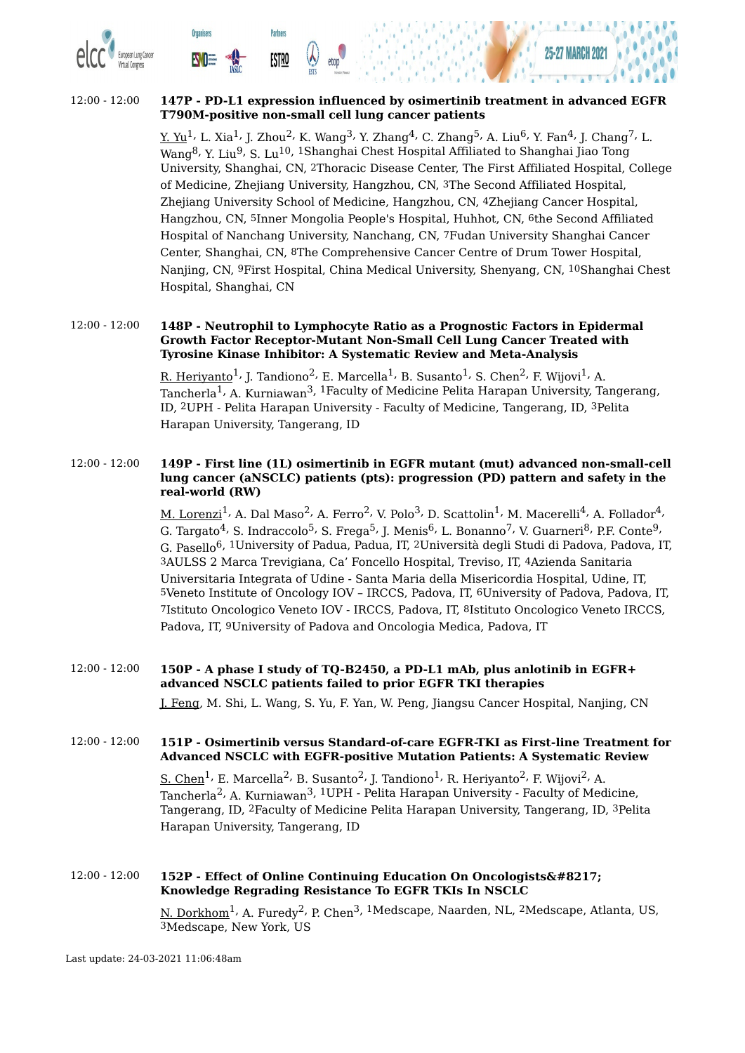

#### 12:00 - 12:00 **147P - PD-L1 expression influenced by osimertinib treatment in advanced EGFR T790M-positive non-small cell lung cancer patients**

**Partners** 

**ESTRO** 

**Organisers** 

<u>Y. Yu</u><sup>1,</sup> L. Xia<sup>1,</sup> J. Zhou<sup>2,</sup> K. Wang<sup>3,</sup> Y. Zhang<sup>4,</sup> C. Zhang<sup>5,</sup> A. Liu<sup>6,</sup> Y. Fan<sup>4,</sup> J. Chang<sup>7,</sup> L. Wang<sup>8,</sup> Y. Liu<sup>9,</sup> S. Lu<sup>10, 1</sup>Shanghai Chest Hospital Affiliated to Shanghai Jiao Tong University, Shanghai, CN, 2Thoracic Disease Center, The First Affiliated Hospital, College of Medicine, Zhejiang University, Hangzhou, CN, 3The Second Affiliated Hospital, Zhejiang University School of Medicine, Hangzhou, CN, 4Zhejiang Cancer Hospital, Hangzhou, CN, 5Inner Mongolia People's Hospital, Huhhot, CN, 6the Second Affiliated Hospital of Nanchang University, Nanchang, CN, 7Fudan University Shanghai Cancer Center, Shanghai, CN, 8The Comprehensive Cancer Centre of Drum Tower Hospital, Nanjing, CN, 9First Hospital, China Medical University, Shenyang, CN, 10Shanghai Chest Hospital, Shanghai, CN

#### 12:00 - 12:00 **148P - Neutrophil to Lymphocyte Ratio as a Prognostic Factors in Epidermal Growth Factor Receptor-Mutant Non-Small Cell Lung Cancer Treated with Tyrosine Kinase Inhibitor: A Systematic Review and Meta-Analysis**

<u>R. Heriyanto</u> $^1$ <sup>,</sup> J. Tandiono $^2$ <sup>,</sup> E. Marcella $^1$ <sup>,</sup> B. Susanto $^1$ <sup>,</sup> S. Chen $^2$ , F. Wijovi $^1$ <sup>,</sup> A. Tancherla<sup>1,</sup> A. Kurniawan<sup>3, 1</sup>Faculty of Medicine Pelita Harapan University, Tangerang, ID, 2UPH - Pelita Harapan University - Faculty of Medicine, Tangerang, ID, 3Pelita Harapan University, Tangerang, ID

#### 12:00 - 12:00 **149P - First line (1L) osimertinib in EGFR mutant (mut) advanced non-small-cell lung cancer (aNSCLC) patients (pts): progression (PD) pattern and safety in the real-world (RW)**

<u>M. Lorenzi</u><sup>1,</sup> A. Dal Maso<sup>2,</sup> A. Ferro<sup>2,</sup> V. Polo<sup>3,</sup> D. Scattolin<sup>1,</sup> M. Macerelli<sup>4,</sup> A. Follador<sup>4,</sup> G. Targato<sup>4,</sup> S. Indraccolo<sup>5,</sup> S. Frega<sup>5,</sup> J. Menis<sup>6,</sup> L. Bonanno<sup>7,</sup> V. Guarneri<sup>8,</sup> P.F. Conte<sup>9,</sup> G. Pasello 6, 1University of Padua, Padua, IT, 2Università degli Studi di Padova, Padova, IT, 3AULSS 2 Marca Trevigiana, Ca' Foncello Hospital, Treviso, IT, 4Azienda Sanitaria Universitaria Integrata of Udine - Santa Maria della Misericordia Hospital, Udine, IT, 5Veneto Institute of Oncology IOV – IRCCS, Padova, IT, 6University of Padova, Padova, IT, 7Istituto Oncologico Veneto IOV - IRCCS, Padova, IT, 8Istituto Oncologico Veneto IRCCS, Padova, IT, 9University of Padova and Oncologia Medica, Padova, IT

12:00 - 12:00 **150P - A phase I study of TQ-B2450, a PD-L1 mAb, plus anlotinib in EGFR+ advanced NSCLC patients failed to prior EGFR TKI therapies** J. Feng, M. Shi, L. Wang, S. Yu, F. Yan, W. Peng, Jiangsu Cancer Hospital, Nanjing, CN

#### 12:00 - 12:00 **151P - Osimertinib versus Standard-of-care EGFR-TKI as First-line Treatment for Advanced NSCLC with EGFR-positive Mutation Patients: A Systematic Review**

 $\rm \underline{S.~Chen}^{1}$ , E. Marcella $^{2}$ , B. Susanto $^{2}$ , J. Tandiono $^{1}$ , R. Heriyanto $^{2}$ , F. Wijovi $^{2}$ , A. Tancherla<sup>2,</sup> A. Kurniawan<sup>3, 1</sup>UPH - Pelita Harapan University - Faculty of Medicine, Tangerang, ID, 2Faculty of Medicine Pelita Harapan University, Tangerang, ID, 3Pelita Harapan University, Tangerang, ID

#### 12:00 - 12:00 **152P - Effect of Online Continuing Education On Oncologists' Knowledge Regrading Resistance To EGFR TKIs In NSCLC**

<u>N. Dorkhom</u> $^1$ , A. Furedy $^2$ , P. Chen $^3$ ,  $^1$ Medscape, Naarden, NL,  $^2$ Medscape, Atlanta, US, 3Medscape, New York, US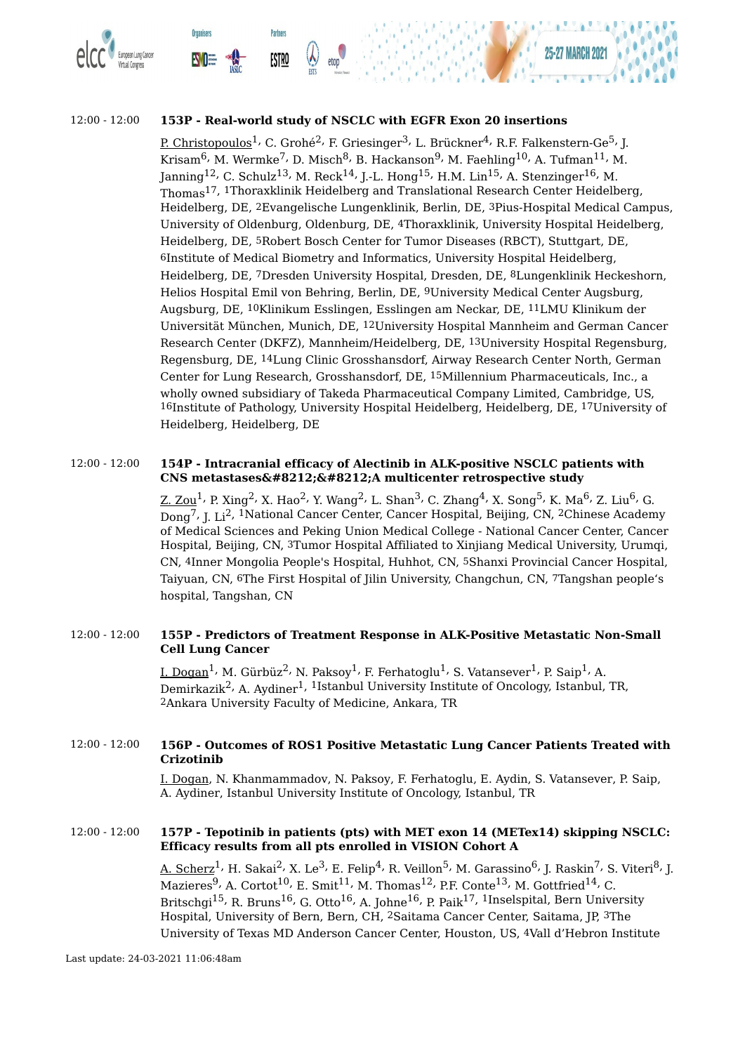

#### 12:00 - 12:00 **153P - Real-world study of NSCLC with EGFR Exon 20 insertions**

<u>P. Christopoulos</u><sup>1,</sup> C. Grohé<sup>2,</sup> F. Griesinger<sup>3,</sup> L. Brückner<sup>4,</sup> R.F. Falkenstern-Ge<sup>5,</sup> J. Krisam $^6$ , M. Wermke $^7$ , D. Misch $^8$ , B. Hackanson $^9$ , M. Faehling $^{10}$ , A. Tufman $^{11}$ , M. Janning $^{12}$ , C. Schulz $^{13}$ , M. Reck $^{14}$ , J.-L. Hong $^{15}$ , H.M. Lin $^{15}$ , A. Stenzinger $^{16}$ , M. Thomas 17, 1Thoraxklinik Heidelberg and Translational Research Center Heidelberg, Heidelberg, DE, 2Evangelische Lungenklinik, Berlin, DE, 3Pius-Hospital Medical Campus, University of Oldenburg, Oldenburg, DE, 4Thoraxklinik, University Hospital Heidelberg, Heidelberg, DE, 5Robert Bosch Center for Tumor Diseases (RBCT), Stuttgart, DE, 6Institute of Medical Biometry and Informatics, University Hospital Heidelberg, Heidelberg, DE, 7Dresden University Hospital, Dresden, DE, 8Lungenklinik Heckeshorn, Helios Hospital Emil von Behring, Berlin, DE, 9University Medical Center Augsburg, Augsburg, DE, 10Klinikum Esslingen, Esslingen am Neckar, DE, 11LMU Klinikum der Universität München, Munich, DE, 12University Hospital Mannheim and German Cancer Research Center (DKFZ), Mannheim/Heidelberg, DE, 13University Hospital Regensburg, Regensburg, DE, 14Lung Clinic Grosshansdorf, Airway Research Center North, German Center for Lung Research, Grosshansdorf, DE, 15Millennium Pharmaceuticals, Inc., a wholly owned subsidiary of Takeda Pharmaceutical Company Limited, Cambridge, US, 16Institute of Pathology, University Hospital Heidelberg, Heidelberg, DE, 17University of Heidelberg, Heidelberg, DE

#### 12:00 - 12:00 **154P - Intracranial efficacy of Alectinib in ALK-positive NSCLC patients with CNS** metastases——A multicenter retrospective study

<u>Z. Zou</u><sup>1,</sup> P. Xing<sup>2,</sup> X. Hao<sup>2,</sup> Y. Wang<sup>2,</sup> L. Shan<sup>3,</sup> C. Zhang<sup>4,</sup> X. Song<sup>5,</sup> K. Ma<sup>6,</sup> Z. Liu<sup>6,</sup> G. Dong<sup>7,</sup> J. Li<sup>2, 1</sup>National Cancer Center, Cancer Hospital, Beijing, CN, <sup>2</sup>Chinese Academy of Medical Sciences and Peking Union Medical College - National Cancer Center, Cancer Hospital, Beijing, CN, 3Tumor Hospital Affiliated to Xinjiang Medical University, Urumqi, CN, 4Inner Mongolia People's Hospital, Huhhot, CN, 5Shanxi Provincial Cancer Hospital, Taiyuan, CN, 6The First Hospital of Jilin University, Changchun, CN, 7Tangshan people's hospital, Tangshan, CN

#### 12:00 - 12:00 **155P - Predictors of Treatment Response in ALK-Positive Metastatic Non-Small Cell Lung Cancer**

<u>I. Dogan</u><sup>1,</sup> M. Gürbüz<sup>2,</sup> N. Paksoy<sup>1,</sup> F. Ferhatoglu<sup>1,</sup> S. Vatansever<sup>1,</sup> P. Saip<sup>1,</sup> A. Demirkazik<sup>2,</sup> A. Aydiner<sup>1, 1</sup>Istanbul University Institute of Oncology, Istanbul, TR, 2Ankara University Faculty of Medicine, Ankara, TR

#### 12:00 - 12:00 **156P - Outcomes of ROS1 Positive Metastatic Lung Cancer Patients Treated with Crizotinib**

I. Dogan, N. Khanmammadov, N. Paksoy, F. Ferhatoglu, E. Aydin, S. Vatansever, P. Saip, A. Aydiner, Istanbul University Institute of Oncology, Istanbul, TR

#### 12:00 - 12:00 **157P - Tepotinib in patients (pts) with MET exon 14 (METex14) skipping NSCLC: Efficacy results from all pts enrolled in VISION Cohort A**

<u>A. Scherz $^1$ , H. Sakai $^2$ , X. Le $^3$ , E. Felip $^4$ , R. Veillon $^5$ , M. Garassino $^6$ , J. Raskin $^7$ , S. Viteri $^8$ , J.</u> Mazieres $^9$ , A. Cortot $^{10}$ , E. Smit $^{11}$ , M. Thomas $^{12}$ , P.F. Conte $^{13}$ , M. Gottfried $^{14}$ , C. Britschgi<sup>15,</sup> R. Bruns<sup>16,</sup> G. Otto<sup>16,</sup> A. Johne<sup>16,</sup> P. Paik<sup>17, 1</sup>Inselspital, Bern University Hospital, University of Bern, Bern, CH, 2Saitama Cancer Center, Saitama, JP, 3The University of Texas MD Anderson Cancer Center, Houston, US, 4Vall d'Hebron Institute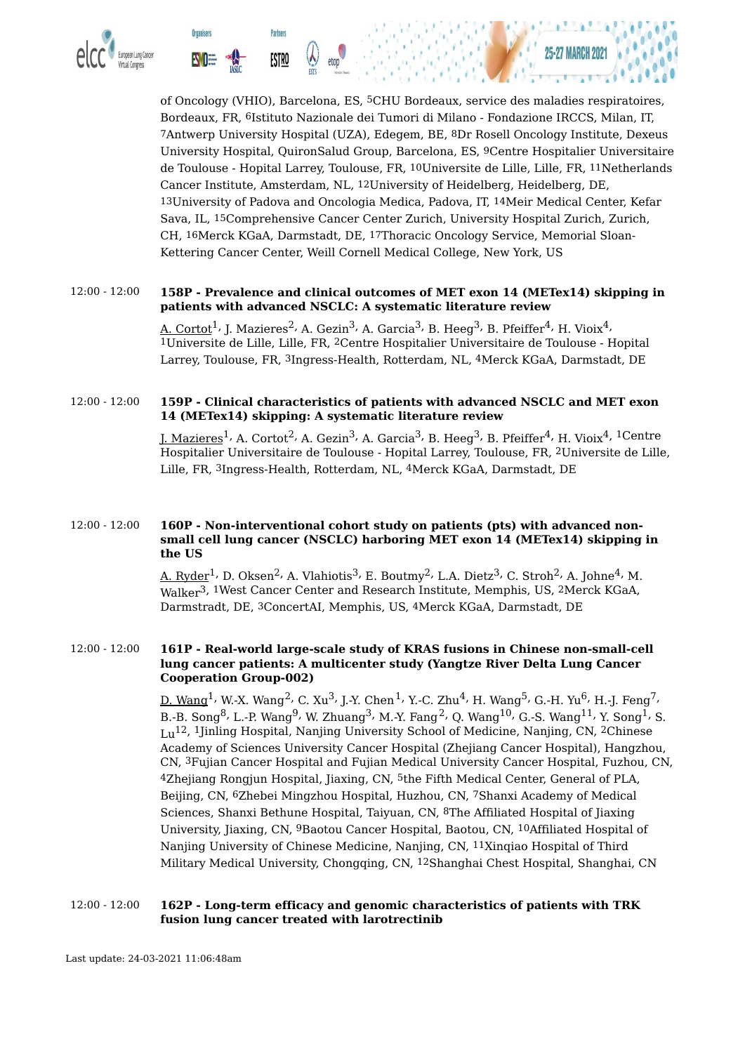

of Oncology (VHIO), Barcelona, ES, 5CHU Bordeaux, service des maladies respiratoires, Bordeaux, FR, 6Istituto Nazionale dei Tumori di Milano - Fondazione IRCCS, Milan, IT, 7Antwerp University Hospital (UZA), Edegem, BE, 8Dr Rosell Oncology Institute, Dexeus University Hospital, QuironSalud Group, Barcelona, ES, 9Centre Hospitalier Universitaire de Toulouse - Hopital Larrey, Toulouse, FR, 10Universite de Lille, Lille, FR, 11Netherlands Cancer Institute, Amsterdam, NL, 12University of Heidelberg, Heidelberg, DE, 13University of Padova and Oncologia Medica, Padova, IT, 14Meir Medical Center, Kefar Sava, IL, 15Comprehensive Cancer Center Zurich, University Hospital Zurich, Zurich, CH, 16Merck KGaA, Darmstadt, DE, 17Thoracic Oncology Service, Memorial Sloan-Kettering Cancer Center, Weill Cornell Medical College, New York, US

#### 12:00 - 12:00 **158P - Prevalence and clinical outcomes of MET exon 14 (METex14) skipping in patients with advanced NSCLC: A systematic literature review**

<u>A. Cortot</u><sup>1,</sup> J. Mazieres<sup>2,</sup> A. Gezin<sup>3,</sup> A. Garcia<sup>3,</sup> B. Heeg<sup>3,</sup> B. Pfeiffer<sup>4,</sup> H. Vioix<sup>4,</sup> 1Universite de Lille, Lille, FR, 2Centre Hospitalier Universitaire de Toulouse - Hopital Larrey, Toulouse, FR, 3Ingress-Health, Rotterdam, NL, 4Merck KGaA, Darmstadt, DE

#### 12:00 - 12:00 **159P - Clinical characteristics of patients with advanced NSCLC and MET exon 14 (METex14) skipping: A systematic literature review**

<u>J. Mazieres</u><sup>1,</sup> A. Cortot<sup>2,</sup> A. Gezin<sup>3,</sup> A. Garcia<sup>3,</sup> B. Heeg<sup>3,</sup> B. Pfeiffer<sup>4,</sup> H. Vioix<sup>4, 1</sup>Centre Hospitalier Universitaire de Toulouse - Hopital Larrey, Toulouse, FR, 2Universite de Lille, Lille, FR, 3Ingress-Health, Rotterdam, NL, 4Merck KGaA, Darmstadt, DE

#### 12:00 - 12:00 **160P - Non-interventional cohort study on patients (pts) with advanced nonsmall cell lung cancer (NSCLC) harboring MET exon 14 (METex14) skipping in the US**

<u>A. Ryder</u><sup>1,</sup> D. Oksen<sup>2,</sup> A. Vlahiotis<sup>3,</sup> E. Boutmy<sup>2,</sup> L.A. Dietz<sup>3,</sup> C. Stroh<sup>2,</sup> A. Johne<sup>4,</sup> M. Walker 3, 1West Cancer Center and Research Institute, Memphis, US, 2Merck KGaA, Darmstradt, DE, 3ConcertAI, Memphis, US, 4Merck KGaA, Darmstadt, DE

#### 12:00 - 12:00 **161P - Real-world large-scale study of KRAS fusions in Chinese non-small-cell lung cancer patients: A multicenter study (Yangtze River Delta Lung Cancer Cooperation Group-002)**

<u>D. Wang</u><sup>1,</sup> W.-X. Wang<sup>2,</sup> C. Xu<sup>3,</sup> J.-Y. Chen<sup>1,</sup> Y.-C. Zhu<sup>4,</sup> H. Wang<sup>5,</sup> G.-H. Yu<sup>6,</sup> H.-J. Feng<sup>7,</sup> B.-B. Song $^8$ , L.-P. Wang $^9$ , W. Zhuang $^3$ , M.-Y. Fang $^2$ , Q. Wang $^{10}$ , G.-S. Wang $^{11}$ , Y. Song $^1$ , S. Lu 12, 1Jinling Hospital, Nanjing University School of Medicine, Nanjing, CN, 2Chinese Academy of Sciences University Cancer Hospital (Zhejiang Cancer Hospital), Hangzhou, CN, 3Fujian Cancer Hospital and Fujian Medical University Cancer Hospital, Fuzhou, CN, 4Zhejiang Rongjun Hospital, Jiaxing, CN, 5the Fifth Medical Center, General of PLA, Beijing, CN, 6Zhebei Mingzhou Hospital, Huzhou, CN, 7Shanxi Academy of Medical Sciences, Shanxi Bethune Hospital, Taiyuan, CN, 8The Affiliated Hospital of Jiaxing University, Jiaxing, CN, 9Baotou Cancer Hospital, Baotou, CN, 10Affiliated Hospital of Nanjing University of Chinese Medicine, Nanjing, CN, 11Xinqiao Hospital of Third Military Medical University, Chongqing, CN, 12Shanghai Chest Hospital, Shanghai, CN

#### 12:00 - 12:00 **162P - Long-term efficacy and genomic characteristics of patients with TRK fusion lung cancer treated with larotrectinib**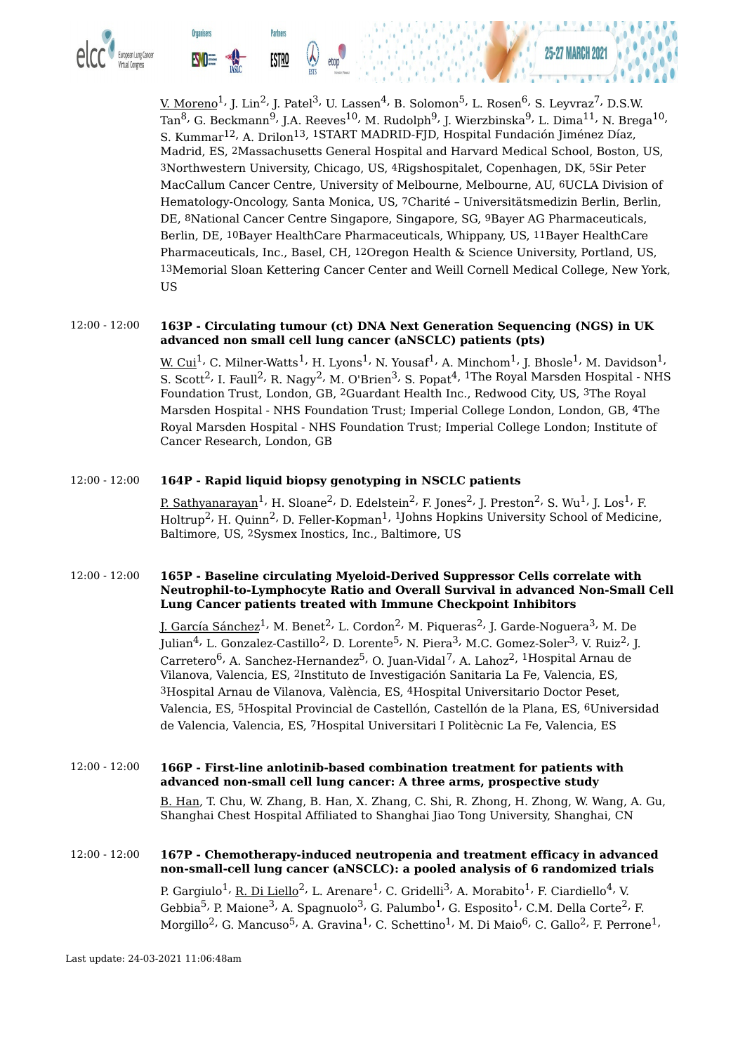

**Organisers** 

<u>V. Moreno</u> $^1$ , J. Lin $^2$ , J. Patel $^3$ , U. Lassen $^4$ , B. Solomon $^5$ , L. Rosen $^6$ , S. Leyvraz $^7$ , D.S.W. Tan<sup>8,</sup> G. Beckmann<sup>9,</sup> J.A. Reeves<sup>10,</sup> M. Rudolph<sup>9,</sup> J. Wierzbinska<sup>9,</sup> L. Dima<sup>11,</sup> N. Brega<sup>10,</sup> S. Kummar<sup>12,</sup> A. Drilon<sup>13, 1</sup>START MADRID-FJD, Hospital Fundación Jiménez Díaz, Madrid, ES, 2Massachusetts General Hospital and Harvard Medical School, Boston, US, 3Northwestern University, Chicago, US, 4Rigshospitalet, Copenhagen, DK, 5Sir Peter MacCallum Cancer Centre, University of Melbourne, Melbourne, AU, 6UCLA Division of Hematology-Oncology, Santa Monica, US, 7Charité – Universitätsmedizin Berlin, Berlin, DE, 8National Cancer Centre Singapore, Singapore, SG, 9Bayer AG Pharmaceuticals, Berlin, DE, 10Bayer HealthCare Pharmaceuticals, Whippany, US, 11Bayer HealthCare Pharmaceuticals, Inc., Basel, CH, 12Oregon Health & Science University, Portland, US, 13Memorial Sloan Kettering Cancer Center and Weill Cornell Medical College, New York, US

#### 12:00 - 12:00 **163P - Circulating tumour (ct) DNA Next Generation Sequencing (NGS) in UK advanced non small cell lung cancer (aNSCLC) patients (pts)**

<u>W. Cui</u><sup>1,</sup> C. Milner-Watts<sup>1,</sup> H. Lyons<sup>1,</sup> N. Yousaf<sup>1,</sup> A. Minchom<sup>1,</sup> J. Bhosle<sup>1,</sup> M. Davidson<sup>1,</sup> S. Scott $^2$ , I. Faull $^2$ , R. Nagy $^2$ , M. O'Brien $^3$ , S. Popat $^4$ ,  $^1$ The Royal Marsden Hospital - NHS Foundation Trust, London, GB, 2Guardant Health Inc., Redwood City, US, 3The Royal Marsden Hospital - NHS Foundation Trust; Imperial College London, London, GB, 4The Royal Marsden Hospital - NHS Foundation Trust; Imperial College London; Institute of Cancer Research, London, GB

#### 12:00 - 12:00 **164P - Rapid liquid biopsy genotyping in NSCLC patients**

**Partners** 

ESTRO

<u>P. Sathyanarayan</u><sup>1,</sup> H. Sloane<sup>2,</sup> D. Edelstein<sup>2,</sup> F. Jones<sup>2,</sup> J. Preston<sup>2,</sup> S. Wu<sup>1,</sup> J. Los<sup>1,</sup> F. Holtrup<sup>2,</sup> H. Quinn<sup>2,</sup> D. Feller-Kopman<sup>1, 1</sup>Johns Hopkins University School of Medicine, Baltimore, US, 2Sysmex Inostics, Inc., Baltimore, US

#### 12:00 - 12:00 **165P - Baseline circulating Myeloid-Derived Suppressor Cells correlate with Neutrophil-to-Lymphocyte Ratio and Overall Survival in advanced Non-Small Cell Lung Cancer patients treated with Immune Checkpoint Inhibitors**

J. García Sánchez<sup>1,</sup> M. Benet<sup>2,</sup> L. Cordon<sup>2,</sup> M. Piqueras<sup>2,</sup> J. Garde-Noguera<sup>3,</sup> M. De Julian<sup>4,</sup> L. Gonzalez-Castillo<sup>2,</sup> D. Lorente<sup>5,</sup> N. Piera<sup>3,</sup> M.C. Gomez-Soler<sup>3,</sup> V. Ruiz<sup>2,</sup> J. Carretero<sup>6,</sup> A. Sanchez-Hernandez<sup>5,</sup> O. Juan-Vidal<sup>7,</sup> A. Lahoz<sup>2, 1</sup>Hospital Arnau de Vilanova, Valencia, ES, 2Instituto de Investigación Sanitaria La Fe, Valencia, ES, 3Hospital Arnau de Vilanova, València, ES, 4Hospital Universitario Doctor Peset, Valencia, ES, 5Hospital Provincial de Castellón, Castellón de la Plana, ES, 6Universidad de Valencia, Valencia, ES, 7Hospital Universitari I Politècnic La Fe, Valencia, ES

12:00 - 12:00 **166P - First-line anlotinib-based combination treatment for patients with advanced non-small cell lung cancer: A three arms, prospective study** B. Han, T. Chu, W. Zhang, B. Han, X. Zhang, C. Shi, R. Zhong, H. Zhong, W. Wang, A. Gu,

Shanghai Chest Hospital Affiliated to Shanghai Jiao Tong University, Shanghai, CN

# 12:00 - 12:00 **167P - Chemotherapy-induced neutropenia and treatment efficacy in advanced non-small-cell lung cancer (aNSCLC): a pooled analysis of 6 randomized trials** P. Gargiulo $^1$ , <u>R. Di Liello</u> $^2$ , L. Arenare $^1$ , C. Gridelli $^3$ , A. Morabito $^1$ , F. Ciardiello $^4$ , V. Gebbia $^5$ , P. Maione $^3$ , A. Spagnuolo $^3$ , G. Palumbo $^1$ , G. Esposito $^1$ , C.M. Della Corte $^2$ , F.

Morgillo $^2$ , G. Mancuso $^5$ , A. Gravina $^1$ , C. Schettino $^1$ , M. Di Maio $^6$ , C. Gallo $^2$ , F. Perrone $^1$ ,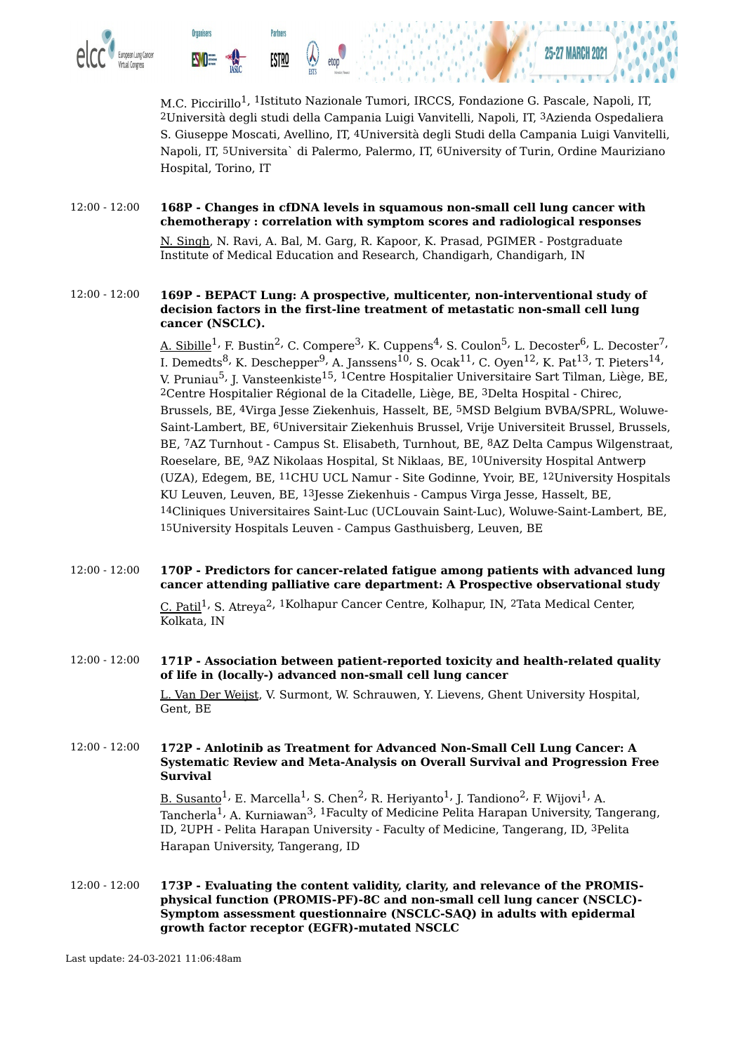

M.C. Piccirillo<sup>1, 1</sup>Istituto Nazionale Tumori, IRCCS, Fondazione G. Pascale, Napoli, IT, 2Università degli studi della Campania Luigi Vanvitelli, Napoli, IT, 3Azienda Ospedaliera S. Giuseppe Moscati, Avellino, IT, 4Università degli Studi della Campania Luigi Vanvitelli, Napoli, IT, 5Universita` di Palermo, Palermo, IT, 6University of Turin, Ordine Mauriziano Hospital, Torino, IT

#### 12:00 - 12:00 **168P - Changes in cfDNA levels in squamous non-small cell lung cancer with chemotherapy : correlation with symptom scores and radiological responses**

N. Singh, N. Ravi, A. Bal, M. Garg, R. Kapoor, K. Prasad, PGIMER - Postgraduate Institute of Medical Education and Research, Chandigarh, Chandigarh, IN

#### 12:00 - 12:00 **169P - BEPACT Lung: A prospective, multicenter, non-interventional study of decision factors in the first-line treatment of metastatic non-small cell lung cancer (NSCLC).**

<u>A. Sibille</u><sup>1,</sup> F. Bustin<sup>2,</sup> C. Compere<sup>3,</sup> K. Cuppens<sup>4,</sup> S. Coulon<sup>5,</sup> L. Decoster<sup>6,</sup> L. Decoster<sup>7,</sup> I. Demedts $^8$ , K. Deschepper $^9$ , A. Janssens $^{10}$ , S. Ocak $^{11}$ , C. Oyen $^{12}$ , K. Pat $^{13}$ , T. Pieters $^{14}$ , V. Pruniau<sup>5,</sup> J. Vansteenkiste<sup>15, 1</sup>Centre Hospitalier Universitaire Sart Tilman, Liège, BE, 2Centre Hospitalier Régional de la Citadelle, Liège, BE, 3Delta Hospital - Chirec, Brussels, BE, 4Virga Jesse Ziekenhuis, Hasselt, BE, 5MSD Belgium BVBA/SPRL, Woluwe-Saint-Lambert, BE, 6Universitair Ziekenhuis Brussel, Vrije Universiteit Brussel, Brussels, BE, 7AZ Turnhout - Campus St. Elisabeth, Turnhout, BE, 8AZ Delta Campus Wilgenstraat, Roeselare, BE, 9AZ Nikolaas Hospital, St Niklaas, BE, 10University Hospital Antwerp (UZA), Edegem, BE, 11CHU UCL Namur - Site Godinne, Yvoir, BE, 12University Hospitals KU Leuven, Leuven, BE, 13Jesse Ziekenhuis - Campus Virga Jesse, Hasselt, BE, 14Cliniques Universitaires Saint-Luc (UCLouvain Saint-Luc), Woluwe-Saint-Lambert, BE, 15University Hospitals Leuven - Campus Gasthuisberg, Leuven, BE

#### 12:00 - 12:00 **170P - Predictors for cancer-related fatigue among patients with advanced lung cancer attending palliative care department: A Prospective observational study** C. Patil<sup>1,</sup> S. Atreya<sup>2, 1</sup>Kolhapur Cancer Centre, Kolhapur, IN, <sup>2</sup>Tata Medical Center, Kolkata, IN

#### 12:00 - 12:00 **171P - Association between patient-reported toxicity and health-related quality of life in (locally-) advanced non-small cell lung cancer** L. Van Der Weijst, V. Surmont, W. Schrauwen, Y. Lievens, Ghent University Hospital, Gent, BE

#### 12:00 - 12:00 **172P - Anlotinib as Treatment for Advanced Non-Small Cell Lung Cancer: A Systematic Review and Meta-Analysis on Overall Survival and Progression Free Survival**

<u>B. Susanto</u><sup>1,</sup> E. Marcella<sup>1,</sup> S. Chen<sup>2,</sup> R. Heriyanto<sup>1,</sup> J. Tandiono<sup>2,</sup> F. Wijovi<sup>1,</sup> A. Tancherla<sup>1,</sup> A. Kurniawan<sup>3, 1</sup>Faculty of Medicine Pelita Harapan University, Tangerang, ID, 2UPH - Pelita Harapan University - Faculty of Medicine, Tangerang, ID, 3Pelita Harapan University, Tangerang, ID

12:00 - 12:00 **173P - Evaluating the content validity, clarity, and relevance of the PROMISphysical function (PROMIS-PF)-8C and non-small cell lung cancer (NSCLC)- Symptom assessment questionnaire (NSCLC-SAQ) in adults with epidermal growth factor receptor (EGFR)-mutated NSCLC**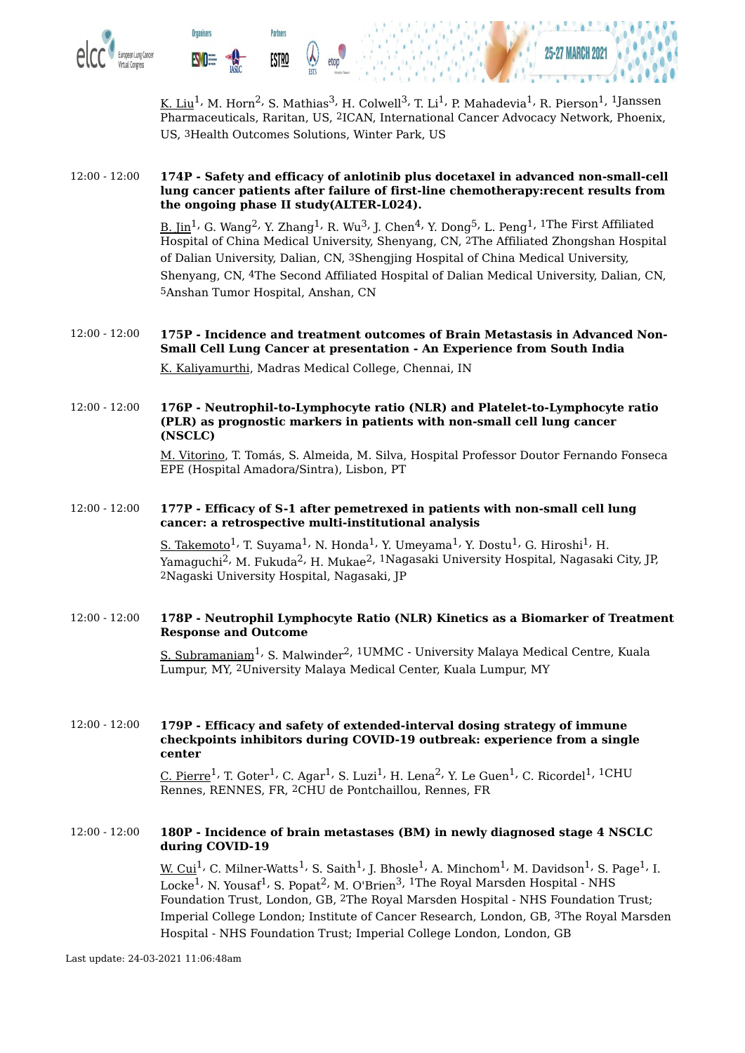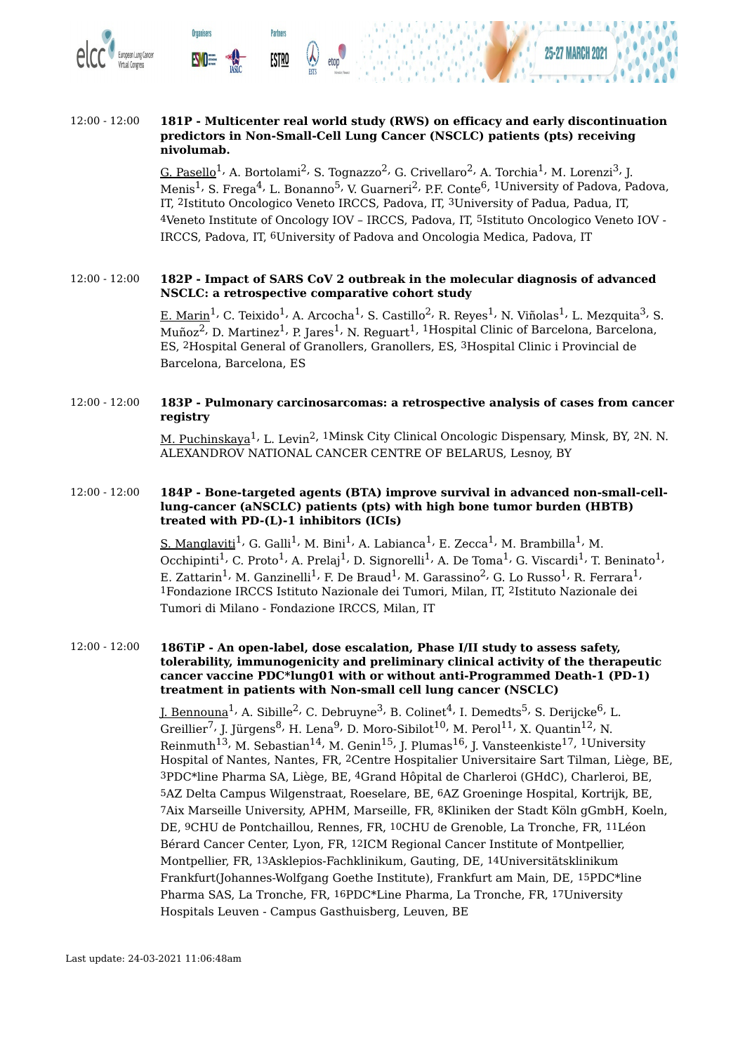

#### 12:00 - 12:00 **181P - Multicenter real world study (RWS) on efficacy and early discontinuation predictors in Non-Small-Cell Lung Cancer (NSCLC) patients (pts) receiving nivolumab.**

<u>G. Pasello</u><sup>1,</sup> A. Bortolami<sup>2,</sup> S. Tognazzo<sup>2,</sup> G. Crivellaro<sup>2,</sup> A. Torchia<sup>1,</sup> M. Lorenzi<sup>3,</sup> J. Menis<sup>1,</sup> S. Frega<sup>4,</sup> L. Bonanno<sup>5,</sup> V. Guarneri<sup>2,</sup> P.F. Conte<sup>6, 1</sup>University of Padova, Padova, IT, 2Istituto Oncologico Veneto IRCCS, Padova, IT, 3University of Padua, Padua, IT, 4Veneto Institute of Oncology IOV – IRCCS, Padova, IT, 5Istituto Oncologico Veneto IOV - IRCCS, Padova, IT, 6University of Padova and Oncologia Medica, Padova, IT

#### 12:00 - 12:00 **182P - Impact of SARS CoV 2 outbreak in the molecular diagnosis of advanced NSCLC: a retrospective comparative cohort study**

<u>E. Marin</u><sup>1,</sup> C. Teixido<sup>1,</sup> A. Arcocha<sup>1,</sup> S. Castillo<sup>2,</sup> R. Reyes<sup>1,</sup> N. Viñolas<sup>1,</sup> L. Mezquita<sup>3,</sup> S. Muñoz<sup>2,</sup> D. Martinez<sup>1,</sup> P. Jares<sup>1,</sup> N. Reguart<sup>1, 1</sup>Hospital Clinic of Barcelona, Barcelona, ES, 2Hospital General of Granollers, Granollers, ES, 3Hospital Clinic i Provincial de Barcelona, Barcelona, ES

#### 12:00 - 12:00 **183P - Pulmonary carcinosarcomas: a retrospective analysis of cases from cancer registry**

M. Puchinskaya<sup>1,</sup> L. Levin<sup>2, 1</sup>Minsk City Clinical Oncologic Dispensary, Minsk, BY, <sup>2</sup>N. N. ALEXANDROV NATIONAL CANCER CENTRE OF BELARUS, Lesnoy, BY

#### 12:00 - 12:00 **184P - Bone-targeted agents (BTA) improve survival in advanced non-small-celllung-cancer (aNSCLC) patients (pts) with high bone tumor burden (HBTB) treated with PD-(L)-1 inhibitors (ICIs)**

<u>S. Manglaviti</u><sup>1,</sup> G. Galli<sup>1,</sup> M. Bini<sup>1,</sup> A. Labianca<sup>1,</sup> E. Zecca<sup>1,</sup> M. Brambilla<sup>1,</sup> M. Occhipinti $^1$ , C. Proto $^1$ , A. Prelaj $^1$ , D. Signorelli $^1$ , A. De Toma $^1$ , G. Viscardi $^1$ , T. Beninato $^1$ , E. Zattarin $^1$ , M. Ganzinelli $^1$ , F. De Braud $^1$ , M. Garassino $^2$ , G. Lo Russo $^1$ , R. Ferrara $^1$ , 1Fondazione IRCCS Istituto Nazionale dei Tumori, Milan, IT, 2Istituto Nazionale dei Tumori di Milano - Fondazione IRCCS, Milan, IT

#### 12:00 - 12:00 **186TiP - An open-label, dose escalation, Phase I/II study to assess safety, tolerability, immunogenicity and preliminary clinical activity of the therapeutic cancer vaccine PDC\*lung01 with or without anti-Programmed Death-1 (PD-1) treatment in patients with Non-small cell lung cancer (NSCLC)**

<u>J. Bennouna</u><sup>1,</sup> A. Sibille<sup>2,</sup> C. Debruyne<sup>3,</sup> B. Colinet<sup>4,</sup> I. Demedts<sup>5,</sup> S. Derijcke<sup>6,</sup> L. Greillier $^7$ , J. Jürgens $^8$ , H. Lena $^9$ , D. Moro-Sibilot $^{10}$ , M. Perol $^{11}$ , X. Quantin $^{12}$ , N. Reinmuth $^{13}$ , M. Sebastian $^{14}$ , M. Genin $^{15}$ , J. Plumas $^{16}$ , J. Vansteenkiste $^{17}$ ,  $^{1}\rm{University}$ Hospital of Nantes, Nantes, FR, 2Centre Hospitalier Universitaire Sart Tilman, Liège, BE, 3PDC\*line Pharma SA, Liège, BE, 4Grand Hôpital de Charleroi (GHdC), Charleroi, BE, 5AZ Delta Campus Wilgenstraat, Roeselare, BE, 6AZ Groeninge Hospital, Kortrijk, BE, 7Aix Marseille University, APHM, Marseille, FR, 8Kliniken der Stadt Köln gGmbH, Koeln, DE, 9CHU de Pontchaillou, Rennes, FR, 10CHU de Grenoble, La Tronche, FR, 11Léon Bérard Cancer Center, Lyon, FR, 12ICM Regional Cancer Institute of Montpellier, Montpellier, FR, 13Asklepios-Fachklinikum, Gauting, DE, 14Universitätsklinikum Frankfurt(Johannes-Wolfgang Goethe Institute), Frankfurt am Main, DE, 15PDC\*line Pharma SAS, La Tronche, FR, 16PDC\*Line Pharma, La Tronche, FR, 17University Hospitals Leuven - Campus Gasthuisberg, Leuven, BE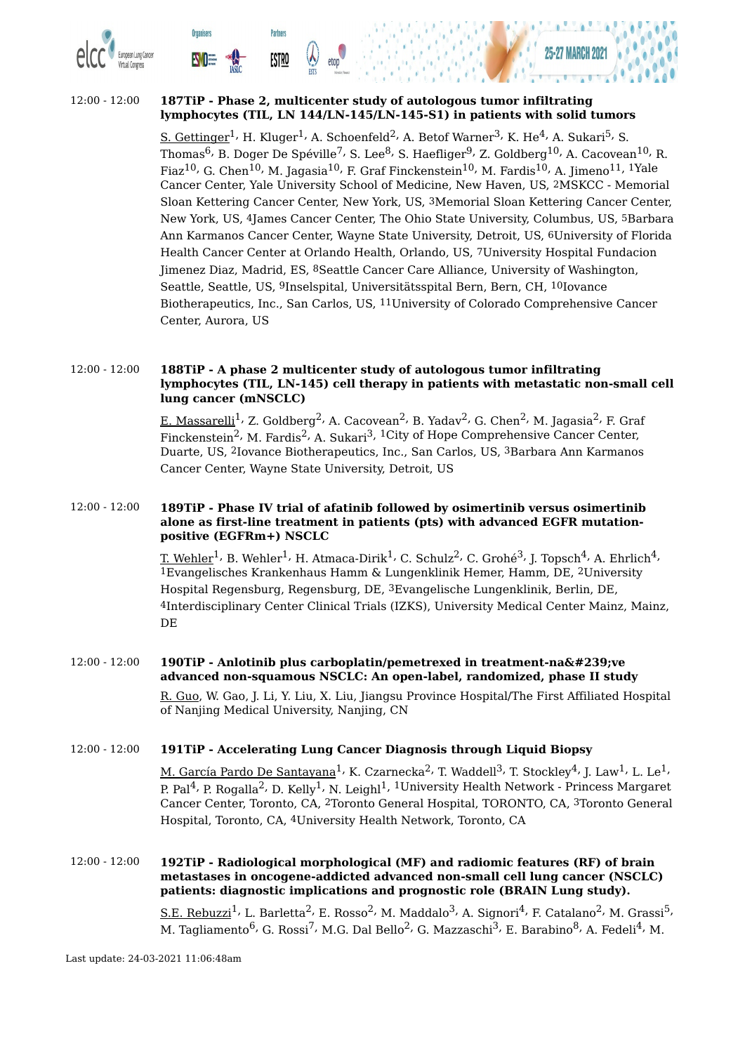



**Partners** 

**ESTRO** 

**Organisers** 

**EVOE** 

<u>S. Gettinger</u> $^1$ , H. Kluger $^1$ , A. Schoenfeld $^2$ , A. Betof Warner $^3$ , K. He $^4$ , A. Sukari $^5$ , S. Thomas $^6$ , B. Doger De Spéville $^7$ , S. Lee $^8$ , S. Haefliger $^9$ , Z. Goldberg $^{10}$ , A. Cacovean $^{10}$ , R. Fiaz $^{10}$ , G. Chen $^{10}$ , M. Jagasia $^{10}$ , F. Graf Finckenstein $^{10}$ , M. Fardis $^{10}$ , A. Jimeno $^{11}$ ,  $^{1}\mathrm{Y}$ ale Cancer Center, Yale University School of Medicine, New Haven, US, 2MSKCC - Memorial Sloan Kettering Cancer Center, New York, US, 3Memorial Sloan Kettering Cancer Center, New York, US, 4James Cancer Center, The Ohio State University, Columbus, US, 5Barbara Ann Karmanos Cancer Center, Wayne State University, Detroit, US, 6University of Florida Health Cancer Center at Orlando Health, Orlando, US, 7University Hospital Fundacion Jimenez Diaz, Madrid, ES, 8Seattle Cancer Care Alliance, University of Washington, Seattle, Seattle, US, 9Inselspital, Universitätsspital Bern, Bern, CH, 10Iovance Biotherapeutics, Inc., San Carlos, US, 11University of Colorado Comprehensive Cancer Center, Aurora, US

#### 12:00 - 12:00 **188TiP - A phase 2 multicenter study of autologous tumor infiltrating lymphocytes (TIL, LN-145) cell therapy in patients with metastatic non-small cell lung cancer (mNSCLC)**

<u>E. Massarelli</u><sup>1,</sup> Z. Goldberg<sup>2,</sup> A. Cacovean<sup>2,</sup> B. Yadav<sup>2,</sup> G. Chen<sup>2,</sup> M. Jagasia<sup>2,</sup> F. Graf Finckenstein<sup>2,</sup> M. Fardis<sup>2,</sup> A. Sukari<sup>3, 1</sup>City of Hope Comprehensive Cancer Center, Duarte, US, 2Iovance Biotherapeutics, Inc., San Carlos, US, 3Barbara Ann Karmanos Cancer Center, Wayne State University, Detroit, US

#### 12:00 - 12:00 **189TiP - Phase IV trial of afatinib followed by osimertinib versus osimertinib alone as first-line treatment in patients (pts) with advanced EGFR mutationpositive (EGFRm+) NSCLC**

<u>T. Wehler $^1$ , B. Wehler $^1$ , H. Atmaca-Dirik $^1$ , C. Schulz $^2$ , C. Grohé $^3$ , J. Topsch $^4$ , A. Ehrlich $^4$ ,</u> 1Evangelisches Krankenhaus Hamm & Lungenklinik Hemer, Hamm, DE, 2University Hospital Regensburg, Regensburg, DE, 3Evangelische Lungenklinik, Berlin, DE, 4Interdisciplinary Center Clinical Trials (IZKS), University Medical Center Mainz, Mainz, DE

## 12:00 - 12:00 **190TiP** - Anlotinib plus carboplatin/pemetrexed in treatment-naïve **advanced non-squamous NSCLC: An open-label, randomized, phase II study**

R. Guo, W. Gao, J. Li, Y. Liu, X. Liu, Jiangsu Province Hospital/The First Affiliated Hospital of Nanjing Medical University, Nanjing, CN

#### 12:00 - 12:00 **191TiP - Accelerating Lung Cancer Diagnosis through Liquid Biopsy**

<u>M. García Pardo De Santayana</u><sup>1,</sup> K. Czarnecka<sup>2,</sup> T. Waddell<sup>3,</sup> T. Stockley<sup>4,</sup> J. Law<sup>1,</sup> L. Le<sup>1,</sup> P. Pal<sup>4,</sup> P. Rogalla<sup>2,</sup> D. Kelly<sup>1,</sup> N. Leighl<sup>1, 1</sup>University Health Network - Princess Margaret Cancer Center, Toronto, CA, 2Toronto General Hospital, TORONTO, CA, 3Toronto General Hospital, Toronto, CA, 4University Health Network, Toronto, CA

#### 12:00 - 12:00 **192TiP - Radiological morphological (MF) and radiomic features (RF) of brain metastases in oncogene-addicted advanced non-small cell lung cancer (NSCLC) patients: diagnostic implications and prognostic role (BRAIN Lung study).**

 $\rm S.E.~Rebuzzi^{1}$ , L. Barletta $^2$ , E. Rosso $^2$ , M. Maddalo $^3$ , A. Signori $^4$ , F. Catalano $^2$ , M. Grassi $^5$ , M. Tagliamento<sup>6,</sup> G. Rossi<sup>7,</sup> M.G. Dal Bello<sup>2,</sup> G. Mazzaschi<sup>3,</sup> E. Barabino<sup>8,</sup> A. Fedeli<sup>4,</sup> M.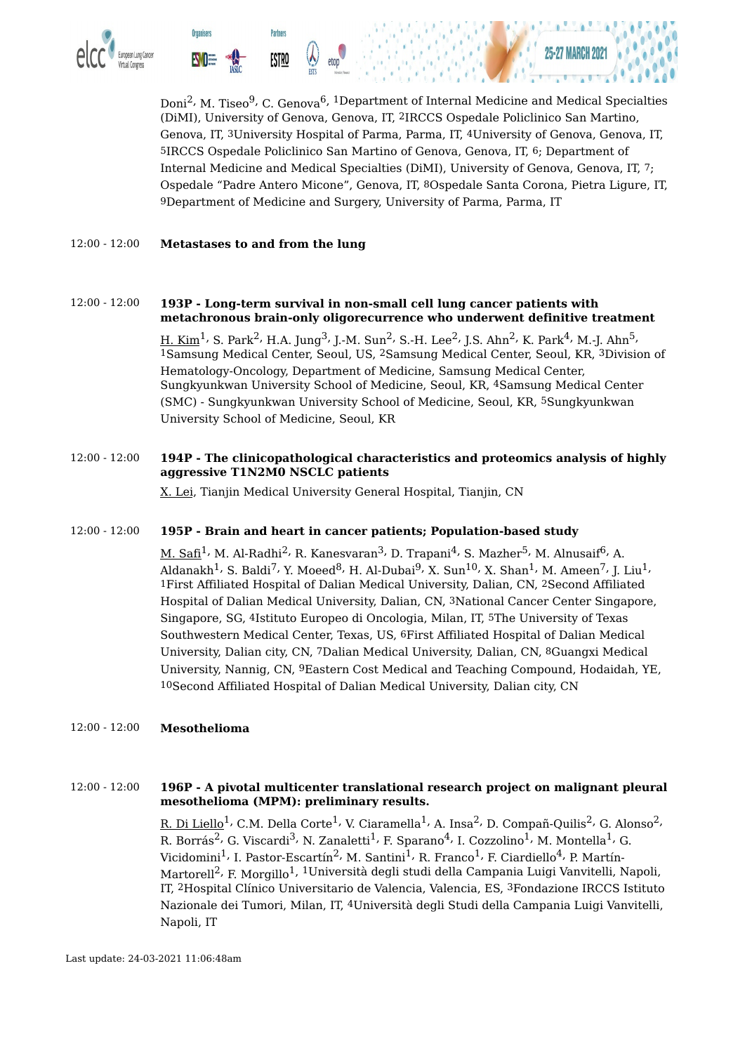

Doni<sup>2,</sup> M. Tiseo<sup>9,</sup> C. Genova<sup>6, 1</sup>Department of Internal Medicine and Medical Specialties (DiMI), University of Genova, Genova, IT, 2IRCCS Ospedale Policlinico San Martino, Genova, IT, 3University Hospital of Parma, Parma, IT, 4University of Genova, Genova, IT, 5IRCCS Ospedale Policlinico San Martino of Genova, Genova, IT, 6; Department of Internal Medicine and Medical Specialties (DiMI), University of Genova, Genova, IT, 7; Ospedale "Padre Antero Micone", Genova, IT, 8Ospedale Santa Corona, Pietra Ligure, IT, 9Department of Medicine and Surgery, University of Parma, Parma, IT

#### 12:00 - 12:00 **Metastases to and from the lung**

- 12:00 12:00 **193P - Long-term survival in non-small cell lung cancer patients with metachronous brain-only oligorecurrence who underwent definitive treatment**  $\rm H.~Kim^1$ , S. Park $^2$ , H.A. Jung $^3$ , J.-M. Sun $^2$ , S.-H. Lee $^2$ , J.S. Ahn $^2$ , K. Park $^4$ , M.-J. Ahn $^5$ , 1Samsung Medical Center, Seoul, US, 2Samsung Medical Center, Seoul, KR, 3Division of Hematology-Oncology, Department of Medicine, Samsung Medical Center, Sungkyunkwan University School of Medicine, Seoul, KR, 4Samsung Medical Center (SMC) - Sungkyunkwan University School of Medicine, Seoul, KR, 5Sungkyunkwan University School of Medicine, Seoul, KR
- 12:00 12:00 **194P - The clinicopathological characteristics and proteomics analysis of highly aggressive T1N2M0 NSCLC patients**

X. Lei, Tianjin Medical University General Hospital, Tianjin, CN

#### 12:00 - 12:00 **195P - Brain and heart in cancer patients; Population-based study**

M. Safi $^1$ , M. Al-Radhi $^2$ , R. Kanesvaran $^3$ , D. Trapani $^4$ , S. Mazher $^5$ , M. Alnusaif $^6$ , A. Aldanakh $^1$ , S. Baldi $^7$ , Y. Moeed $^8$ , H. Al-Dubai $^9$ , X. Sun $^{10}$ , X. Shan $^1$ , M. Ameen $^7$ , J. Liu $^1$ , 1First Affiliated Hospital of Dalian Medical University, Dalian, CN, 2Second Affiliated Hospital of Dalian Medical University, Dalian, CN, 3National Cancer Center Singapore, Singapore, SG, 4Istituto Europeo di Oncologia, Milan, IT, 5The University of Texas Southwestern Medical Center, Texas, US, 6First Affiliated Hospital of Dalian Medical University, Dalian city, CN, 7Dalian Medical University, Dalian, CN, 8Guangxi Medical University, Nannig, CN, 9Eastern Cost Medical and Teaching Compound, Hodaidah, YE, 10Second Affiliated Hospital of Dalian Medical University, Dalian city, CN

12:00 - 12:00 **Mesothelioma**

#### 12:00 - 12:00 **196P - A pivotal multicenter translational research project on malignant pleural mesothelioma (MPM): preliminary results.**

<u>R. Di Liello</u><sup>1,</sup> C.M. Della Corte<sup>1,</sup> V. Ciaramella<sup>1,</sup> A. Insa<sup>2,</sup> D. Compañ-Quilis<sup>2,</sup> G. Alonso<sup>2,</sup> R. Borrás<sup>2,</sup> G. Viscardi<sup>3,</sup> N. Zanaletti<sup>1,</sup> F. Sparano<sup>4,</sup> I. Cozzolino<sup>1,</sup> M. Montella<sup>1,</sup> G. Vicidomini<sup>1,</sup> I. Pastor-Escartín<sup>2,</sup> M. Santini<sup>1,</sup> R. Franco<sup>1,</sup> F. Ciardiello<sup>4,</sup> P. Martín-Martorell<sup>2,</sup> F. Morgillo<sup>1, 1</sup>Università degli studi della Campania Luigi Vanvitelli, Napoli, IT, 2Hospital Clínico Universitario de Valencia, Valencia, ES, 3Fondazione IRCCS Istituto Nazionale dei Tumori, Milan, IT, 4Università degli Studi della Campania Luigi Vanvitelli, Napoli, IT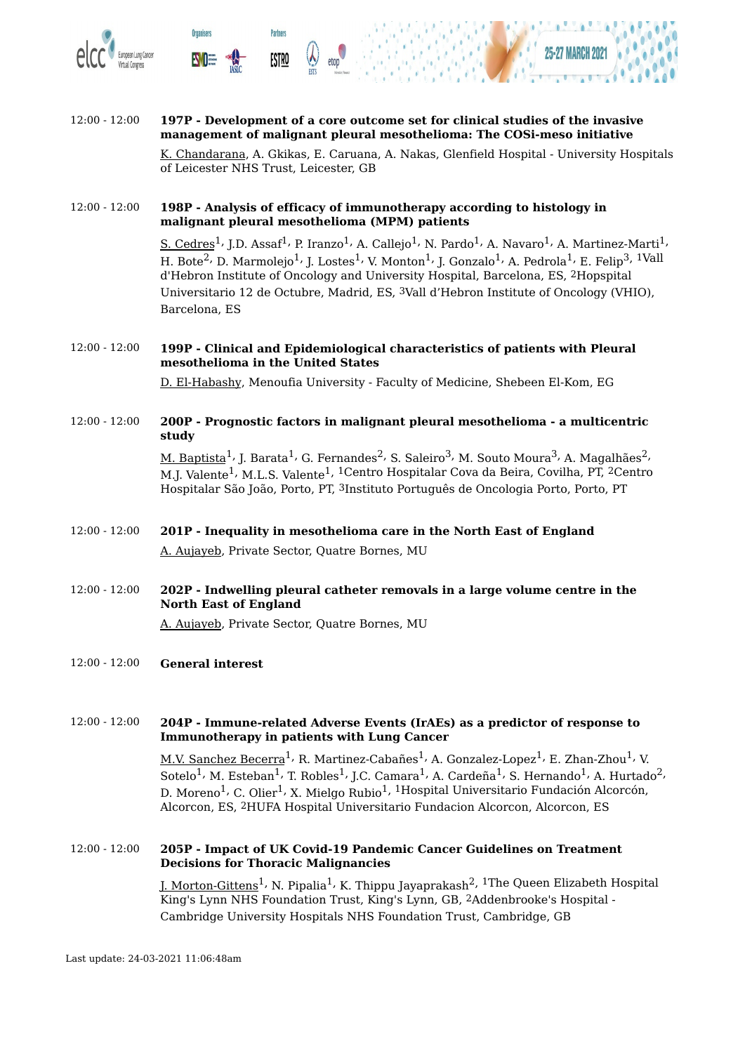

**Organisers** 

**Partners** 

**ESTRO** 



K. Chandarana, A. Gkikas, E. Caruana, A. Nakas, Glenfield Hospital - University Hospitals of Leicester NHS Trust, Leicester, GB

#### 12:00 - 12:00 **198P - Analysis of efficacy of immunotherapy according to histology in malignant pleural mesothelioma (MPM) patients**

 $\rm \underline{S.~Cedres}^{1}$ , J.D. Assaf $^{1}$ , P. Iranzo $^{1}$ , A. Callejo $^{1}$ , N. Pardo $^{1}$ , A. Navaro $^{1}$ , A. Martinez-Marti $^{1}$ , H. Bote $^2$ , D. Marmolejo $^1$ , J. Lostes $^1$ , V. Monton $^1$ , J. Gonzalo $^1$ , A. Pedrola $^1$ , E. Felip $^3$ ,  $^1$ Vall d'Hebron Institute of Oncology and University Hospital, Barcelona, ES, 2Hopspital Universitario 12 de Octubre, Madrid, ES, 3Vall d'Hebron Institute of Oncology (VHIO), Barcelona, ES

#### 12:00 - 12:00 **199P - Clinical and Epidemiological characteristics of patients with Pleural mesothelioma in the United States**

D. El-Habashy, Menoufia University - Faculty of Medicine, Shebeen El-Kom, EG

#### 12:00 - 12:00 **200P - Prognostic factors in malignant pleural mesothelioma - a multicentric study**

<u>M. Baptista</u><sup>1,</sup> J. Barata<sup>1,</sup> G. Fernandes<sup>2,</sup> S. Saleiro<sup>3,</sup> M. Souto Moura<sup>3,</sup> A. Magalhães<sup>2,</sup> M.J. Valente<sup>1,</sup> M.L.S. Valente<sup>1, 1</sup>Centro Hospitalar Cova da Beira, Covilha, PT, <sup>2</sup>Centro Hospitalar São João, Porto, PT, 3Instituto Português de Oncologia Porto, Porto, PT

### 12:00 - 12:00 **201P - Inequality in mesothelioma care in the North East of England** A. Aujayeb, Private Sector, Quatre Bornes, MU

12:00 - 12:00 **202P - Indwelling pleural catheter removals in a large volume centre in the North East of England**

A. Aujayeb, Private Sector, Quatre Bornes, MU

12:00 - 12:00 **General interest**

#### 12:00 - 12:00 **204P - Immune-related Adverse Events (IrAEs) as a predictor of response to Immunotherapy in patients with Lung Cancer**

M.V. Sanchez Becerra<sup>1,</sup> R. Martinez-Cabañes<sup>1,</sup> A. Gonzalez-Lopez<sup>1,</sup> E. Zhan-Zhou<sup>1,</sup> V. Sotelo $^1$ , M. Esteban $^1$ , T. Robles $^1$ , J.C. Camara $^1$ , A. Cardeña $^1$ , S. Hernando $^1$ , A. Hurtado $^2$ , D. Moreno $^1$ , C. Olier $^1$ , X. Mielgo Rubio $^1$ ,  $^1$ Hospital Universitario Fundación Alcorcón, Alcorcon, ES, 2HUFA Hospital Universitario Fundacion Alcorcon, Alcorcon, ES

#### 12:00 - 12:00 **205P - Impact of UK Covid-19 Pandemic Cancer Guidelines on Treatment Decisions for Thoracic Malignancies**

<u>J. Morton-Gittens</u><sup>1,</sup> N. Pipalia<sup>1,</sup> K. Thippu Jayaprakash<sup>2, 1</sup>The Queen Elizabeth Hospital King's Lynn NHS Foundation Trust, King's Lynn, GB, 2Addenbrooke's Hospital - Cambridge University Hospitals NHS Foundation Trust, Cambridge, GB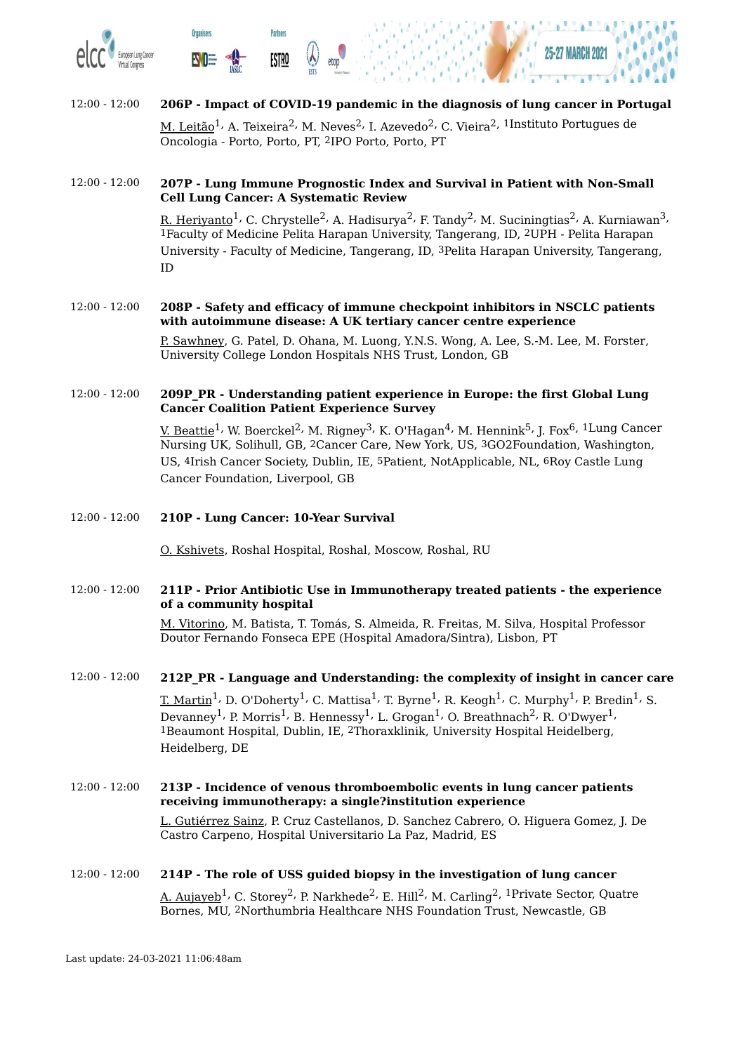

**Organisers** 

**Partners** 

**ESTRO** 



### 12:00 - 12:00 **206P - Impact of COVID-19 pandemic in the diagnosis of lung cancer in Portugal**

M. Leitão $^1$ , A. Teixeira $^2$ , M. Neves $^2$ , I. Azevedo $^2$ , C. Vieira $^2$ ,  $^1$ Instituto Portugues de Oncologia - Porto, Porto, PT, 2IPO Porto, Porto, PT

#### 12:00 - 12:00 **207P - Lung Immune Prognostic Index and Survival in Patient with Non-Small Cell Lung Cancer: A Systematic Review**

<u>R. Heriyanto</u> $^1$ , C. Chrystelle $^2$ , A. Hadisurya $^2$ , F. Tandy $^2$ , M. Suciningtias $^2$ , A. Kurniawan $^3$ , 1Faculty of Medicine Pelita Harapan University, Tangerang, ID, 2UPH - Pelita Harapan University - Faculty of Medicine, Tangerang, ID, 3Pelita Harapan University, Tangerang, ID

# 12:00 - 12:00 **208P - Safety and efficacy of immune checkpoint inhibitors in NSCLC patients with autoimmune disease: A UK tertiary cancer centre experience**

P. Sawhney, G. Patel, D. Ohana, M. Luong, Y.N.S. Wong, A. Lee, S.-M. Lee, M. Forster, University College London Hospitals NHS Trust, London, GB

#### 12:00 - 12:00 **209P\_PR - Understanding patient experience in Europe: the first Global Lung Cancer Coalition Patient Experience Survey**

V. Beattie<sup>1,</sup> W. Boerckel<sup>2,</sup> M. Rigney<sup>3,</sup> K. O'Hagan<sup>4,</sup> M. Hennink<sup>5,</sup> J. Fox<sup>6, 1</sup>Lung Cancer Nursing UK, Solihull, GB, 2Cancer Care, New York, US, 3GO2Foundation, Washington, US, 4Irish Cancer Society, Dublin, IE, 5Patient, NotApplicable, NL, 6Roy Castle Lung Cancer Foundation, Liverpool, GB

#### 12:00 - 12:00 **210P - Lung Cancer: 10-Year Survival**

O. Kshivets, Roshal Hospital, Roshal, Moscow, Roshal, RU

#### 12:00 - 12:00 **211P - Prior Antibiotic Use in Immunotherapy treated patients - the experience of a community hospital**

M. Vitorino, M. Batista, T. Tomás, S. Almeida, R. Freitas, M. Silva, Hospital Professor Doutor Fernando Fonseca EPE (Hospital Amadora/Sintra), Lisbon, PT

#### 12:00 - 12:00 **212P\_PR - Language and Understanding: the complexity of insight in cancer care**

<u>T. Martin</u><sup>1,</sup> D. O'Doherty<sup>1,</sup> C. Mattisa<sup>1,</sup> T. Byrne<sup>1,</sup> R. Keogh<sup>1,</sup> C. Murphy<sup>1,</sup> P. Bredin<sup>1,</sup> S. Devanney $^1$ , P. Morris $^1$ , B. Hennessy $^1$ , L. Grogan $^1$ , O. Breathnach $^2$ , R. O'Dwyer $^1$ , 1Beaumont Hospital, Dublin, IE, 2Thoraxklinik, University Hospital Heidelberg, Heidelberg, DE

#### 12:00 - 12:00 **213P - Incidence of venous thromboembolic events in lung cancer patients receiving immunotherapy: a single?institution experience**

L. Gutiérrez Sainz, P. Cruz Castellanos, D. Sanchez Cabrero, O. Higuera Gomez, J. De Castro Carpeno, Hospital Universitario La Paz, Madrid, ES

#### 12:00 - 12:00 **214P - The role of USS guided biopsy in the investigation of lung cancer**

<u>A. Aujayeb</u><sup>1,</sup> C. Storey<sup>2,</sup> P. Narkhede<sup>2,</sup> E. Hill<sup>2,</sup> M. Carling<sup>2, 1</sup>Private Sector, Quatre Bornes, MU, 2Northumbria Healthcare NHS Foundation Trust, Newcastle, GB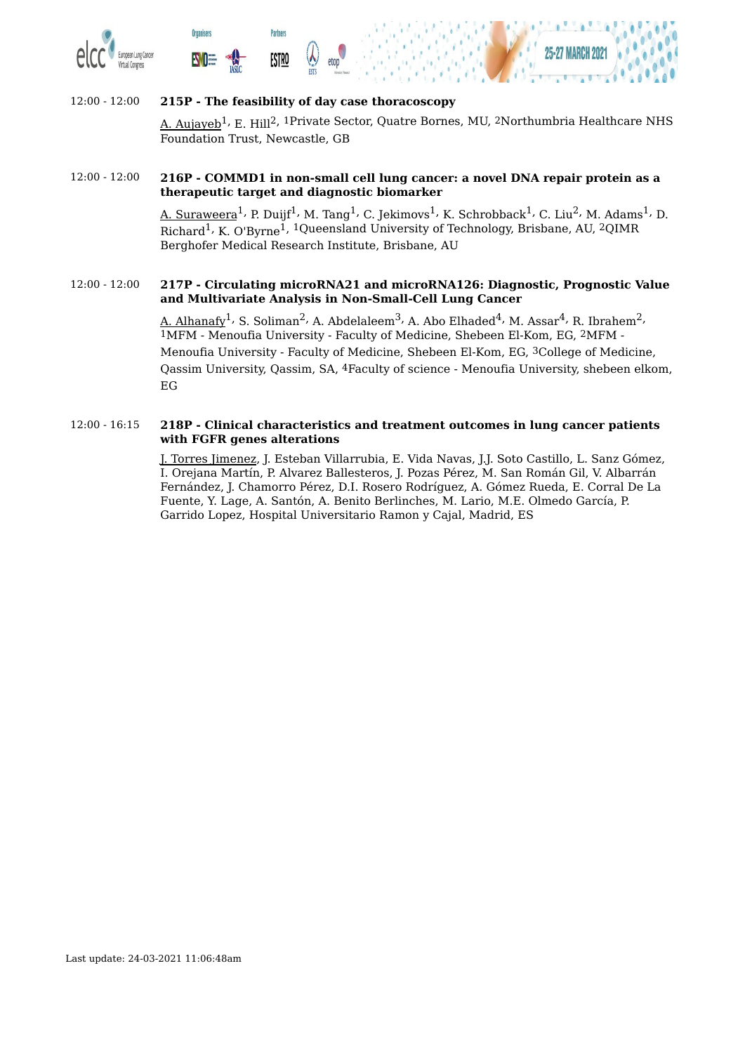





# 12:00 - 12:00 **215P - The feasibility of day case thoracoscopy** <u>A. Aujayeb</u><sup>1,</sup> E. Hill<sup>2, 1</sup>Private Sector, Quatre Bornes, MU, <sup>2</sup>Northumbria Healthcare NHS Foundation Trust, Newcastle, GB

#### 12:00 - 12:00 **216P - COMMD1 in non-small cell lung cancer: a novel DNA repair protein as a therapeutic target and diagnostic biomarker**

<u>A. Suraweera</u><sup>1,</sup> P. Duijf<sup>1,</sup> M. Tang<sup>1,</sup> C. Jekimovs<sup>1,</sup> K. Schrobback<sup>1,</sup> C. Liu<sup>2,</sup> M. Adams<sup>1,</sup> D. Richard<sup>1,</sup> K. O'Byrne<sup>1, 1</sup>Queensland University of Technology, Brisbane, AU, 2QIMR Berghofer Medical Research Institute, Brisbane, AU

#### 12:00 - 12:00 **217P - Circulating microRNA21 and microRNA126: Diagnostic, Prognostic Value and Multivariate Analysis in Non-Small-Cell Lung Cancer**

<u>A. Alhanafy</u><sup>1,</sup> S. Soliman<sup>2,</sup> A. Abdelaleem<sup>3,</sup> A. Abo Elhaded<sup>4,</sup> M. Assar<sup>4,</sup> R. Ibrahem<sup>2,</sup> 1MFM - Menoufia University - Faculty of Medicine, Shebeen El-Kom, EG, 2MFM - Menoufia University - Faculty of Medicine, Shebeen El-Kom, EG, 3College of Medicine, Qassim University, Qassim, SA, 4Faculty of science - Menoufia University, shebeen elkom, EG

#### 12:00 - 16:15 **218P - Clinical characteristics and treatment outcomes in lung cancer patients with FGFR genes alterations**

J. Torres Jimenez, J. Esteban Villarrubia, E. Vida Navas, J.J. Soto Castillo, L. Sanz Gómez, I. Orejana Martín, P. Alvarez Ballesteros, J. Pozas Pérez, M. San Román Gil, V. Albarrán Fernández, J. Chamorro Pérez, D.I. Rosero Rodríguez, A. Gómez Rueda, E. Corral De La Fuente, Y. Lage, A. Santón, A. Benito Berlinches, M. Lario, M.E. Olmedo García, P. Garrido Lopez, Hospital Universitario Ramon y Cajal, Madrid, ES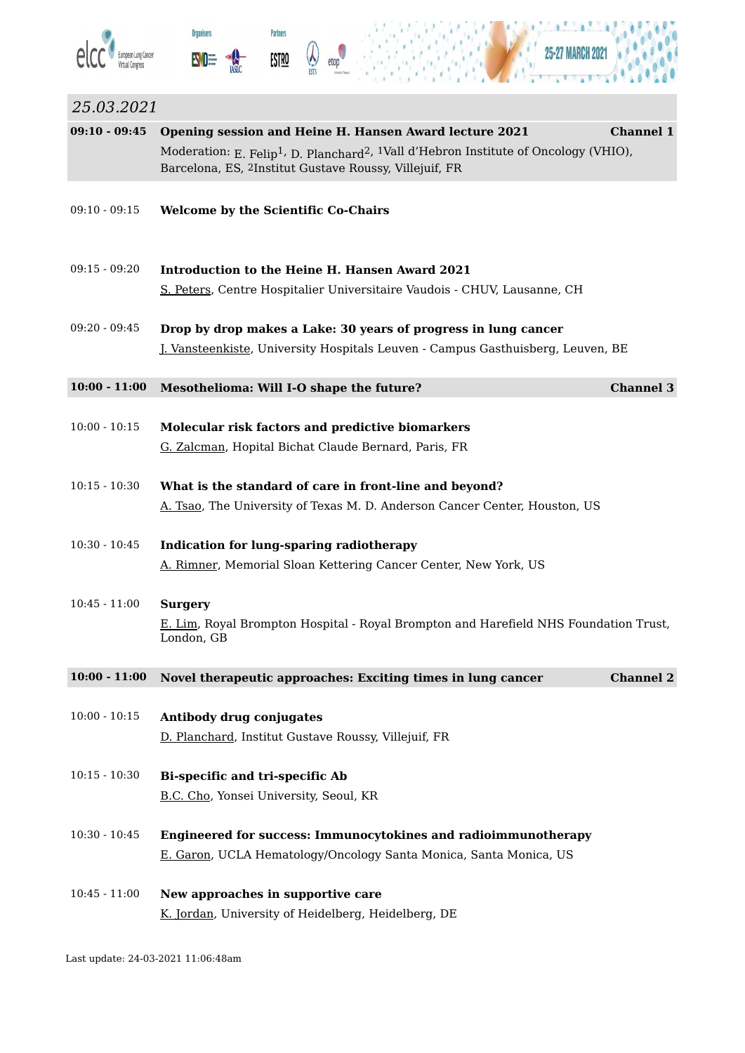





×

à

ä

| 25.03.2021      |                                                                                                                                                                                                |                  |
|-----------------|------------------------------------------------------------------------------------------------------------------------------------------------------------------------------------------------|------------------|
| $09:10 - 09:45$ | Opening session and Heine H. Hansen Award lecture 2021                                                                                                                                         | <b>Channel 1</b> |
|                 | Moderation: E. Felip <sup>1</sup> , D. Planchard <sup>2</sup> , <sup>1</sup> Vall d'Hebron Institute of Oncology (VHIO),<br>Barcelona, ES, <sup>2</sup> Institut Gustave Roussy, Villejuif, FR |                  |
| $09:10 - 09:15$ | <b>Welcome by the Scientific Co-Chairs</b>                                                                                                                                                     |                  |
| $09:15 - 09:20$ | Introduction to the Heine H. Hansen Award 2021                                                                                                                                                 |                  |
|                 | S. Peters, Centre Hospitalier Universitaire Vaudois - CHUV, Lausanne, CH                                                                                                                       |                  |
| $09:20 - 09:45$ | Drop by drop makes a Lake: 30 years of progress in lung cancer                                                                                                                                 |                  |
|                 | <u>J. Vansteenkiste</u> , University Hospitals Leuven - Campus Gasthuisberg, Leuven, BE                                                                                                        |                  |
| $10:00 - 11:00$ | Mesothelioma: Will I-O shape the future?                                                                                                                                                       | <b>Channel 3</b> |
| $10:00 - 10:15$ | <b>Molecular risk factors and predictive biomarkers</b>                                                                                                                                        |                  |
|                 | G. Zalcman, Hopital Bichat Claude Bernard, Paris, FR                                                                                                                                           |                  |
| $10:15 - 10:30$ | What is the standard of care in front-line and beyond?                                                                                                                                         |                  |
|                 | A. Tsao, The University of Texas M. D. Anderson Cancer Center, Houston, US                                                                                                                     |                  |
| $10:30 - 10:45$ | <b>Indication for lung-sparing radiotherapy</b>                                                                                                                                                |                  |
|                 | A. Rimner, Memorial Sloan Kettering Cancer Center, New York, US                                                                                                                                |                  |
| $10:45 - 11:00$ | <b>Surgery</b>                                                                                                                                                                                 |                  |
|                 | <u>E. Lim</u> , Royal Brompton Hospital - Royal Brompton and Harefield NHS Foundation Trust,<br>London, GB                                                                                     |                  |
| $10:00 - 11:00$ | Novel therapeutic approaches: Exciting times in lung cancer                                                                                                                                    | <b>Channel 2</b> |
| $10:00 - 10:15$ | Antibody drug conjugates                                                                                                                                                                       |                  |
|                 | D. Planchard, Institut Gustave Roussy, Villejuif, FR                                                                                                                                           |                  |
| $10:15 - 10:30$ | <b>Bi-specific and tri-specific Ab</b>                                                                                                                                                         |                  |
|                 | B.C. Cho, Yonsei University, Seoul, KR                                                                                                                                                         |                  |
| $10:30 - 10:45$ | <b>Engineered for success: Immunocytokines and radioimmunotherapy</b>                                                                                                                          |                  |
|                 | <u>E. Garon</u> , UCLA Hematology/Oncology Santa Monica, Santa Monica, US                                                                                                                      |                  |
|                 |                                                                                                                                                                                                |                  |
| $10:45 - 11:00$ | New approaches in supportive care<br>K. Jordan, University of Heidelberg, Heidelberg, DE                                                                                                       |                  |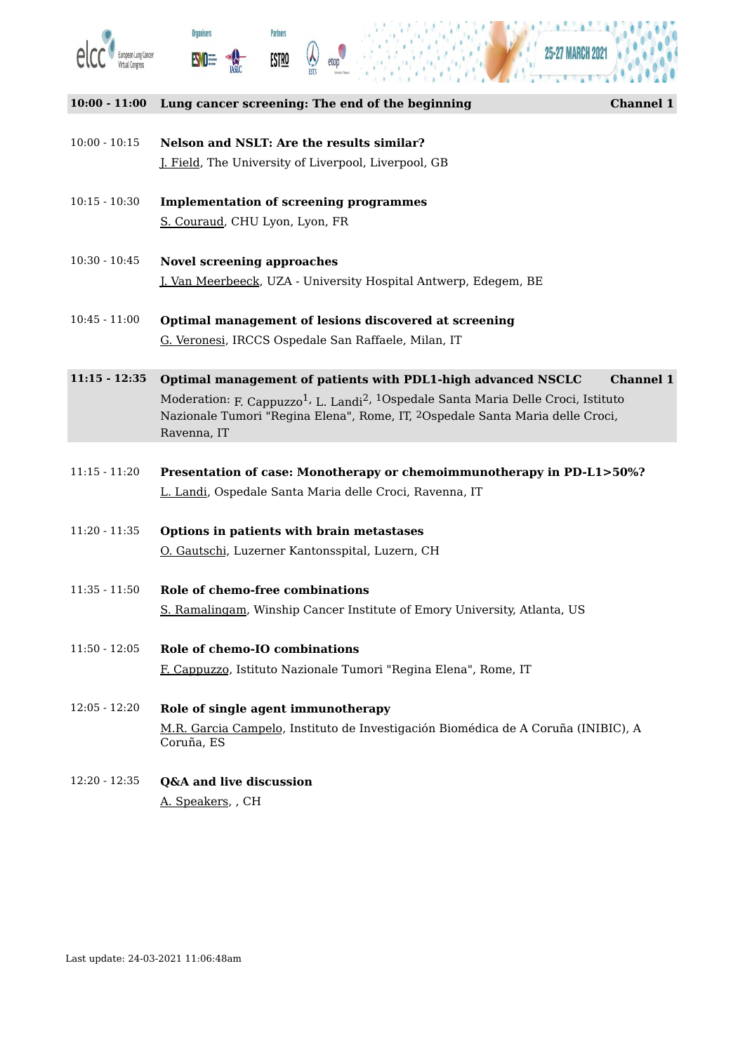





#### **10:00 - 11:00 Lung cancer screening: The end of the beginning Channel 1**

- 10:00 10:15 **Nelson and NSLT: Are the results similar?** J. Field, The University of Liverpool, Liverpool, GB
- 10:15 10:30 **Implementation of screening programmes** S. Couraud, CHU Lyon, Lyon, FR
- 10:30 10:45 **Novel screening approaches** J. Van Meerbeeck, UZA - University Hospital Antwerp, Edegem, BE
- 10:45 11:00 **Optimal management of lesions discovered at screening** G. Veronesi, IRCCS Ospedale San Raffaele, Milan, IT
- **11:15 - 12:35 Optimal management of patients with PDL1-high advanced NSCLC Channel 1** Moderation: <sub>F. Cappuzzo</sub>1, <sub>L. Landi</sub>2, <sup>1</sup>Ospedale Santa Maria Delle Croci, Istituto Nazionale Tumori "Regina Elena", Rome, IT, 2Ospedale Santa Maria delle Croci, Ravenna, IT
- 11:15 11:20 **Presentation of case: Monotherapy or chemoimmunotherapy in PD-L1>50%?** L. Landi, Ospedale Santa Maria delle Croci, Ravenna, IT
- 11:20 11:35 **Options in patients with brain metastases** O. Gautschi, Luzerner Kantonsspital, Luzern, CH
- 11:35 11:50 **Role of chemo-free combinations** S. Ramalingam, Winship Cancer Institute of Emory University, Atlanta, US
- 11:50 12:05 **Role of chemo-IO combinations** F. Cappuzzo, Istituto Nazionale Tumori "Regina Elena", Rome, IT
- 12:05 12:20 **Role of single agent immunotherapy** M.R. Garcia Campelo, Instituto de Investigación Biomédica de A Coruña (INIBIC), A Coruña, ES
- 12:20 12:35 **Q&A and live discussion** A. Speakers, , CH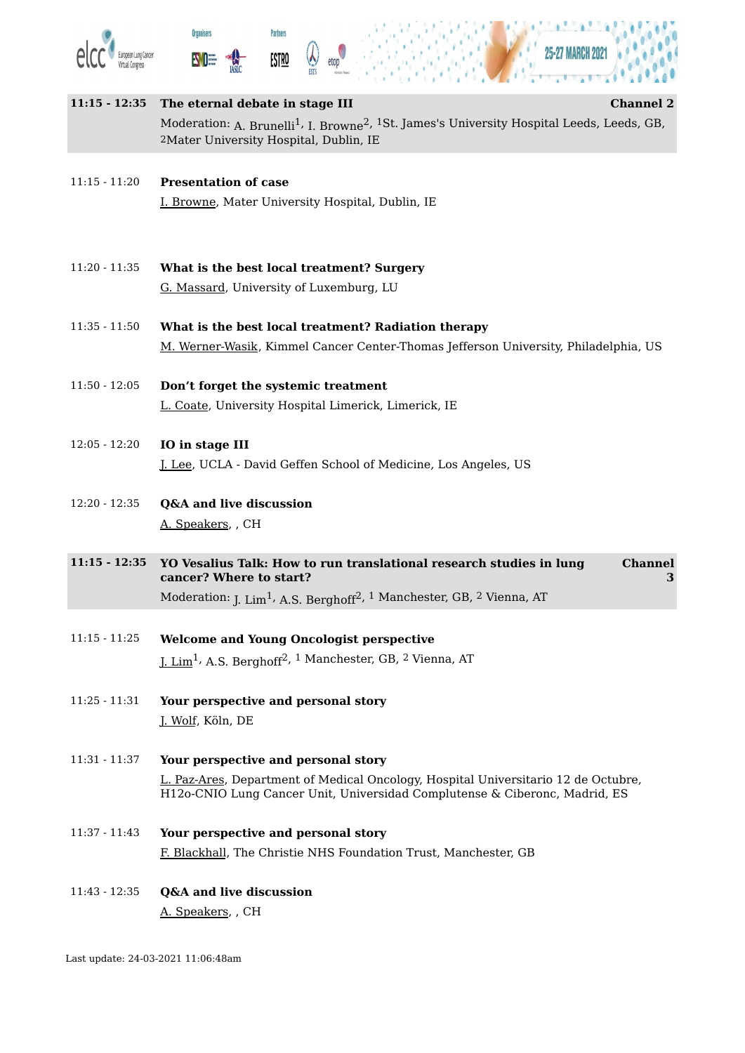





| $11:15 - 12:35$ | <b>Channel 2</b><br>The eternal debate in stage III                                                                                                                                  |
|-----------------|--------------------------------------------------------------------------------------------------------------------------------------------------------------------------------------|
|                 | Moderation: A. Brunelli <sup>1</sup> , I. Browne <sup>2</sup> , <sup>1</sup> St. James's University Hospital Leeds, Leeds, GB,<br><sup>2</sup> Mater University Hospital, Dublin, IE |
| $11:15 - 11:20$ | <b>Presentation of case</b>                                                                                                                                                          |
|                 | I. Browne, Mater University Hospital, Dublin, IE                                                                                                                                     |
|                 |                                                                                                                                                                                      |
| $11:20 - 11:35$ | What is the best local treatment? Surgery                                                                                                                                            |
|                 | G. Massard, University of Luxemburg, LU                                                                                                                                              |
| $11:35 - 11:50$ | What is the best local treatment? Radiation therapy                                                                                                                                  |
|                 | M. Werner-Wasik, Kimmel Cancer Center-Thomas Jefferson University, Philadelphia, US                                                                                                  |
| $11:50 - 12:05$ | Don't forget the systemic treatment                                                                                                                                                  |
|                 | L. Coate, University Hospital Limerick, Limerick, IE                                                                                                                                 |
| $12:05 - 12:20$ | IO in stage III                                                                                                                                                                      |
|                 | <u>J. Lee</u> , UCLA - David Geffen School of Medicine, Los Angeles, US                                                                                                              |
| $12:20 - 12:35$ | Q&A and live discussion                                                                                                                                                              |
|                 | A. Speakers, CH                                                                                                                                                                      |
| $11:15 - 12:35$ | <b>Channel</b><br>YO Vesalius Talk: How to run translational research studies in lung<br>cancer? Where to start?<br>3                                                                |
|                 | Moderation: J. Lim <sup>1</sup> , A.S. Berghoff <sup>2</sup> , <sup>1</sup> Manchester, GB, <sup>2</sup> Vienna, AT                                                                  |
| $11:15 - 11:25$ | <b>Welcome and Young Oncologist perspective</b>                                                                                                                                      |
|                 | J. Lim <sup>1</sup> , A.S. Berghoff <sup>2, 1</sup> Manchester, GB, <sup>2</sup> Vienna, AT                                                                                          |
| $11:25 - 11:31$ | Your perspective and personal story                                                                                                                                                  |
|                 | J. Wolf, Köln, DE                                                                                                                                                                    |
| $11:31 - 11:37$ | Your perspective and personal story                                                                                                                                                  |
|                 | L. Paz-Ares, Department of Medical Oncology, Hospital Universitario 12 de Octubre,<br>H12o-CNIO Lung Cancer Unit, Universidad Complutense & Ciberonc, Madrid, ES                     |
| $11:37 - 11:43$ | Your perspective and personal story                                                                                                                                                  |
|                 | F. Blackhall, The Christie NHS Foundation Trust, Manchester, GB                                                                                                                      |
| $11:43 - 12:35$ | Q&A and live discussion                                                                                                                                                              |
|                 | A. Speakers, GH                                                                                                                                                                      |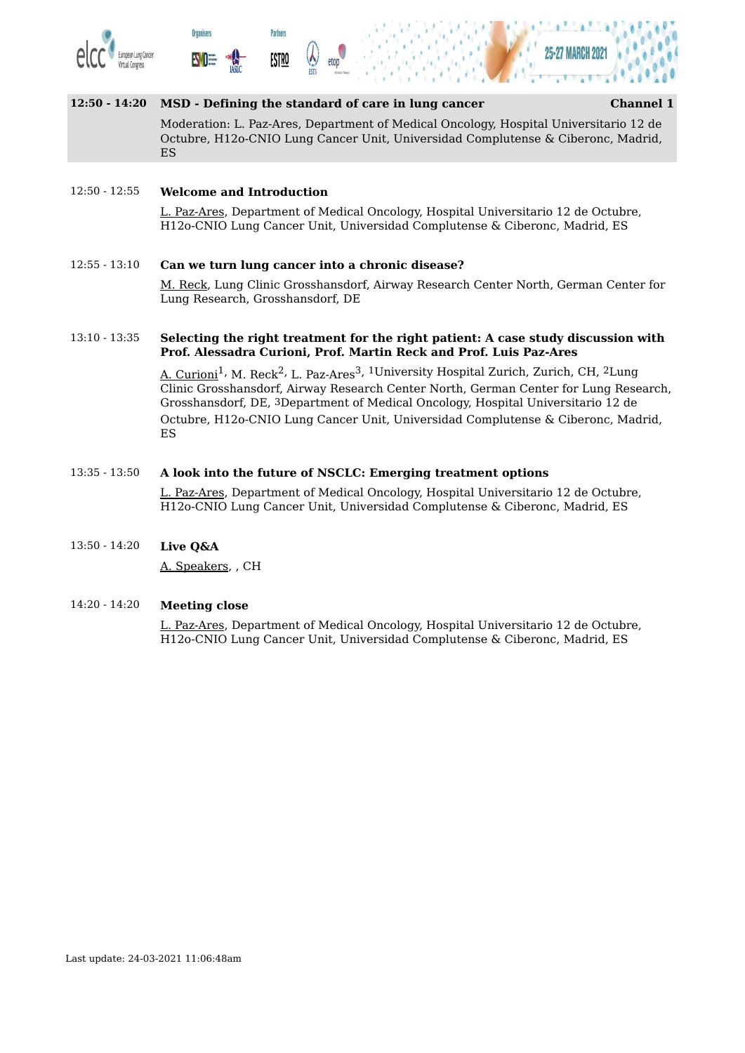





#### **12:50 - 14:20 MSD - Defining the standard of care in lung cancer Channel 1**

Moderation: L. Paz-Ares, Department of Medical Oncology, Hospital Universitario 12 de Octubre, H12o-CNIO Lung Cancer Unit, Universidad Complutense & Ciberonc, Madrid, ES

#### 12:50 - 12:55 **Welcome and Introduction**

L. Paz-Ares, Department of Medical Oncology, Hospital Universitario 12 de Octubre, H12o-CNIO Lung Cancer Unit, Universidad Complutense & Ciberonc, Madrid, ES

#### 12:55 - 13:10 **Can we turn lung cancer into a chronic disease?**

M. Reck, Lung Clinic Grosshansdorf, Airway Research Center North, German Center for Lung Research, Grosshansdorf, DE

#### 13:10 - 13:35 **Selecting the right treatment for the right patient: A case study discussion with Prof. Alessadra Curioni, Prof. Martin Reck and Prof. Luis Paz-Ares**

A. Curioni<sup>1,</sup> M. Reck<sup>2,</sup> L. Paz-Ares<sup>3, 1</sup>University Hospital Zurich, Zurich, CH, <sup>2</sup>Lung Clinic Grosshansdorf, Airway Research Center North, German Center for Lung Research, Grosshansdorf, DE, 3Department of Medical Oncology, Hospital Universitario 12 de Octubre, H12o-CNIO Lung Cancer Unit, Universidad Complutense & Ciberonc, Madrid, ES

#### 13:35 - 13:50 **A look into the future of NSCLC: Emerging treatment options**

L. Paz-Ares, Department of Medical Oncology, Hospital Universitario 12 de Octubre, H12o-CNIO Lung Cancer Unit, Universidad Complutense & Ciberonc, Madrid, ES

#### 13:50 - 14:20 **Live Q&A**

A. Speakers, , CH

#### 14:20 - 14:20 **Meeting close**

L. Paz-Ares, Department of Medical Oncology, Hospital Universitario 12 de Octubre, H12o-CNIO Lung Cancer Unit, Universidad Complutense & Ciberonc, Madrid, ES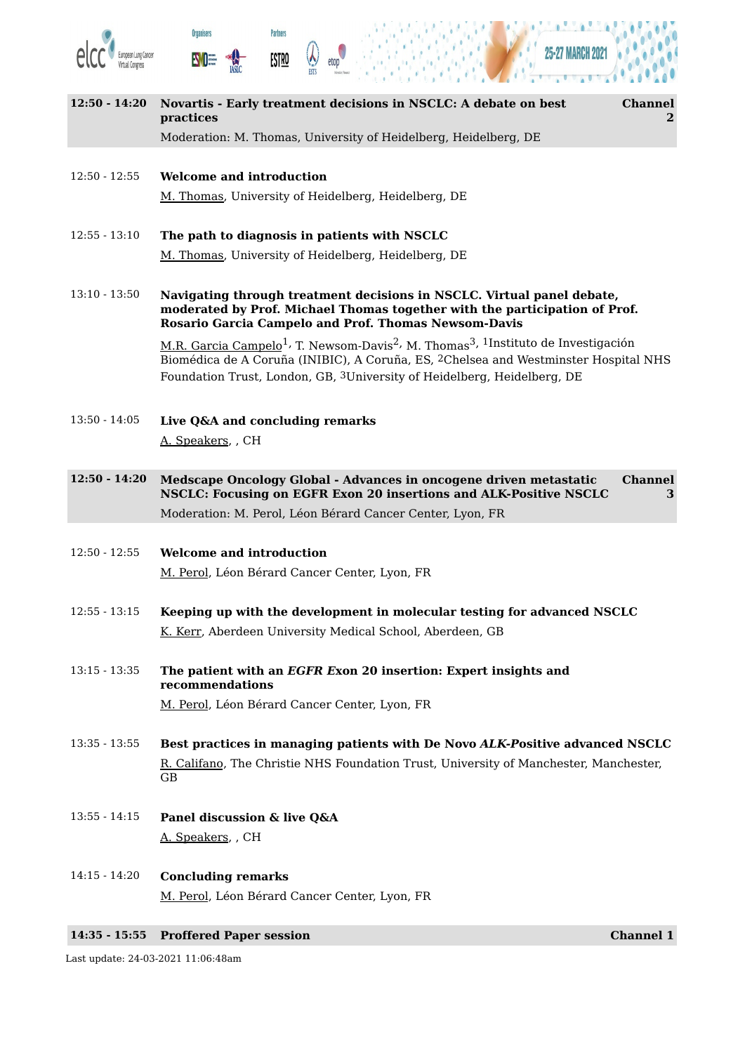





×

| $12:50 - 14:20$ | Novartis - Early treatment decisions in NSCLC: A debate on best<br><b>Channel</b><br>practices<br>2 <sup>1</sup>                                                                                                                                                                                                 |
|-----------------|------------------------------------------------------------------------------------------------------------------------------------------------------------------------------------------------------------------------------------------------------------------------------------------------------------------|
|                 | Moderation: M. Thomas, University of Heidelberg, Heidelberg, DE                                                                                                                                                                                                                                                  |
| $12:50 - 12:55$ | <b>Welcome and introduction</b>                                                                                                                                                                                                                                                                                  |
|                 | M. Thomas, University of Heidelberg, Heidelberg, DE                                                                                                                                                                                                                                                              |
| $12:55 - 13:10$ | The path to diagnosis in patients with NSCLC                                                                                                                                                                                                                                                                     |
|                 | M. Thomas, University of Heidelberg, Heidelberg, DE                                                                                                                                                                                                                                                              |
| $13:10 - 13:50$ | Navigating through treatment decisions in NSCLC. Virtual panel debate,<br>moderated by Prof. Michael Thomas together with the participation of Prof.<br><b>Rosario Garcia Campelo and Prof. Thomas Newsom-Davis</b>                                                                                              |
|                 | M.R. Garcia Campelo <sup>1</sup> , T. Newsom-Davis <sup>2</sup> , M. Thomas <sup>3</sup> , <sup>1</sup> Instituto de Investigación<br>Biomédica de A Coruña (INIBIC), A Coruña, ES, <sup>2</sup> Chelsea and Westminster Hospital NHS<br>Foundation Trust, London, GB, 3University of Heidelberg, Heidelberg, DE |
| $13:50 - 14:05$ | Live Q&A and concluding remarks                                                                                                                                                                                                                                                                                  |
|                 | A. Speakers, CH                                                                                                                                                                                                                                                                                                  |
| $12:50 - 14:20$ | <b>Channel</b><br>Medscape Oncology Global - Advances in oncogene driven metastatic<br>NSCLC: Focusing on EGFR Exon 20 insertions and ALK-Positive NSCLC<br>3                                                                                                                                                    |
|                 | Moderation: M. Perol, Léon Bérard Cancer Center, Lyon, FR                                                                                                                                                                                                                                                        |
| $12:50 - 12:55$ | <b>Welcome and introduction</b>                                                                                                                                                                                                                                                                                  |
|                 | M. Perol, Léon Bérard Cancer Center, Lyon, FR                                                                                                                                                                                                                                                                    |
| $12:55 - 13:15$ | Keeping up with the development in molecular testing for advanced NSCLC                                                                                                                                                                                                                                          |
|                 | K. Kerr, Aberdeen University Medical School, Aberdeen, GB                                                                                                                                                                                                                                                        |
| $13:15 - 13:35$ | The patient with an EGFR Exon 20 insertion: Expert insights and<br>recommendations                                                                                                                                                                                                                               |
|                 | M. Perol, Léon Bérard Cancer Center, Lyon, FR                                                                                                                                                                                                                                                                    |
| $13:35 - 13:55$ | Best practices in managing patients with De Novo ALK-Positive advanced NSCLC                                                                                                                                                                                                                                     |
|                 | R. Califano, The Christie NHS Foundation Trust, University of Manchester, Manchester,<br><b>GB</b>                                                                                                                                                                                                               |
| $13:55 - 14:15$ | Panel discussion & live Q&A                                                                                                                                                                                                                                                                                      |
|                 | A. Speakers, CH                                                                                                                                                                                                                                                                                                  |
| $14:15 - 14:20$ | <b>Concluding remarks</b>                                                                                                                                                                                                                                                                                        |
|                 | M. Perol, Léon Bérard Cancer Center, Lyon, FR                                                                                                                                                                                                                                                                    |

**14:35 - 15:55 Proffered Paper session Channel 1**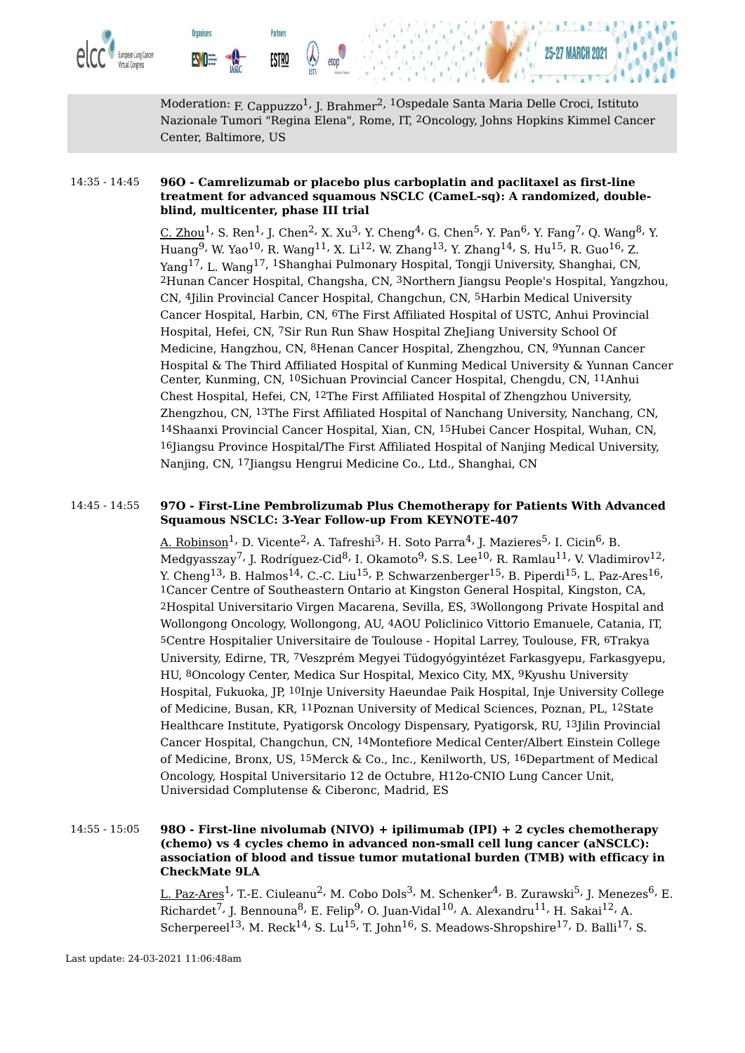



Moderation: <sub>F. Cappuzzo</sub>1, <sub>J. Brahmer</sub>2, <sup>1</sup>Ospedale Santa Maria Delle Croci, Istituto Nazionale Tumori "Regina Elena", Rome, IT, 2Oncology, Johns Hopkins Kimmel Cancer Center, Baltimore, US

#### 14:35 - 14:45 **96O - Camrelizumab or placebo plus carboplatin and paclitaxel as first-line treatment for advanced squamous NSCLC (CameL-sq): A randomized, doubleblind, multicenter, phase III trial**

**Partners** 

<u>ESTRO</u>

**Organisers** 

EWO:

<u>C. Zhou</u><sup>1,</sup> S. Ren<sup>1,</sup> J. Chen<sup>2,</sup> X. Xu<sup>3,</sup> Y. Cheng<sup>4,</sup> G. Chen<sup>5,</sup> Y. Pan<sup>6,</sup> Y. Fang<sup>7,</sup> Q. Wang<sup>8,</sup> Y. Huang $^9$ , W. Yao $^{10}$ , R. Wang $^{11}$ , X. Li $^{12}$ , W. Zhang $^{13}$ , Y. Zhang $^{14}$ , S. Hu $^{15}$ , R. Guo $^{16}$ , Z. Yang<sup>17,</sup> L. Wang<sup>17, 1</sup>Shanghai Pulmonary Hospital, Tongji University, Shanghai, CN, 2Hunan Cancer Hospital, Changsha, CN, 3Northern Jiangsu People's Hospital, Yangzhou, CN, 4Jilin Provincial Cancer Hospital, Changchun, CN, 5Harbin Medical University Cancer Hospital, Harbin, CN, 6The First Affiliated Hospital of USTC, Anhui Provincial Hospital, Hefei, CN, 7Sir Run Run Shaw Hospital ZheJiang University School Of Medicine, Hangzhou, CN, 8Henan Cancer Hospital, Zhengzhou, CN, 9Yunnan Cancer Hospital & The Third Affiliated Hospital of Kunming Medical University & Yunnan Cancer Center, Kunming, CN, 10Sichuan Provincial Cancer Hospital, Chengdu, CN, 11Anhui Chest Hospital, Hefei, CN, 12The First Affiliated Hospital of Zhengzhou University, Zhengzhou, CN, 13The First Affiliated Hospital of Nanchang University, Nanchang, CN, 14Shaanxi Provincial Cancer Hospital, Xian, CN, 15Hubei Cancer Hospital, Wuhan, CN, 16Jiangsu Province Hospital/The First Affiliated Hospital of Nanjing Medical University, Nanjing, CN, 17Jiangsu Hengrui Medicine Co., Ltd., Shanghai, CN

#### 14:45 - 14:55 **97O - First-Line Pembrolizumab Plus Chemotherapy for Patients With Advanced Squamous NSCLC: 3-Year Follow-up From KEYNOTE-407**

A. Robinson $^1$ , D. Vicente $^2$ , A. Tafreshi $^3$ , H. Soto Parra $^4$ , J. Mazieres $^5$ , I. Cicin $^6$ , B. Medgyasszay $^7$ , J. Rodríguez-Cid $^8$ , I. Okamoto $^9$ , S.S. Lee $^{10}$ , R. Ramlau $^{11}$ , V. Vladimirov $^{12}$ , Y. Cheng<sup>13,</sup> B. Halmos<sup>14,</sup> C.-C. Liu<sup>15,</sup> P. Schwarzenberger<sup>15,</sup> B. Piperdi<sup>15,</sup> L. Paz-Ares<sup>16,</sup> 1Cancer Centre of Southeastern Ontario at Kingston General Hospital, Kingston, CA, 2Hospital Universitario Virgen Macarena, Sevilla, ES, 3Wollongong Private Hospital and Wollongong Oncology, Wollongong, AU, 4AOU Policlinico Vittorio Emanuele, Catania, IT, 5Centre Hospitalier Universitaire de Toulouse - Hopital Larrey, Toulouse, FR, 6Trakya University, Edirne, TR, 7Veszprém Megyei Tüdogyógyintézet Farkasgyepu, Farkasgyepu, HU, 8Oncology Center, Medica Sur Hospital, Mexico City, MX, 9Kyushu University Hospital, Fukuoka, JP, 10Inje University Haeundae Paik Hospital, Inje University College of Medicine, Busan, KR, 11Poznan University of Medical Sciences, Poznan, PL, 12State Healthcare Institute, Pyatigorsk Oncology Dispensary, Pyatigorsk, RU, 13Jilin Provincial Cancer Hospital, Changchun, CN, 14Montefiore Medical Center/Albert Einstein College of Medicine, Bronx, US, 15Merck & Co., Inc., Kenilworth, US, 16Department of Medical Oncology, Hospital Universitario 12 de Octubre, H12o-CNIO Lung Cancer Unit, Universidad Complutense & Ciberonc, Madrid, ES

14:55 - 15:05 **98O - First-line nivolumab (NIVO) + ipilimumab (IPI) + 2 cycles chemotherapy (chemo) vs 4 cycles chemo in advanced non-small cell lung cancer (aNSCLC): association of blood and tissue tumor mutational burden (TMB) with efficacy in CheckMate 9LA**

> L. Paz-Ares<sup>1,</sup> T.-E. Ciuleanu<sup>2,</sup> M. Cobo Dols<sup>3,</sup> M. Schenker<sup>4,</sup> B. Zurawski<sup>5,</sup> J. Menezes<sup>6,</sup> E. Richardet<sup>7,</sup> J. Bennouna<sup>8,</sup> E. Felip<sup>9,</sup> O. Juan-Vidal<sup>10,</sup> A. Alexandru<sup>11,</sup> H. Sakai<sup>12,</sup> A. Scherpereel $^{13}$ , M. Reck $^{14}$ , S. Lu $^{15}$ , T. John $^{16}$ , S. Meadows-Shropshire $^{17}$ , D. Balli $^{17}$ , S.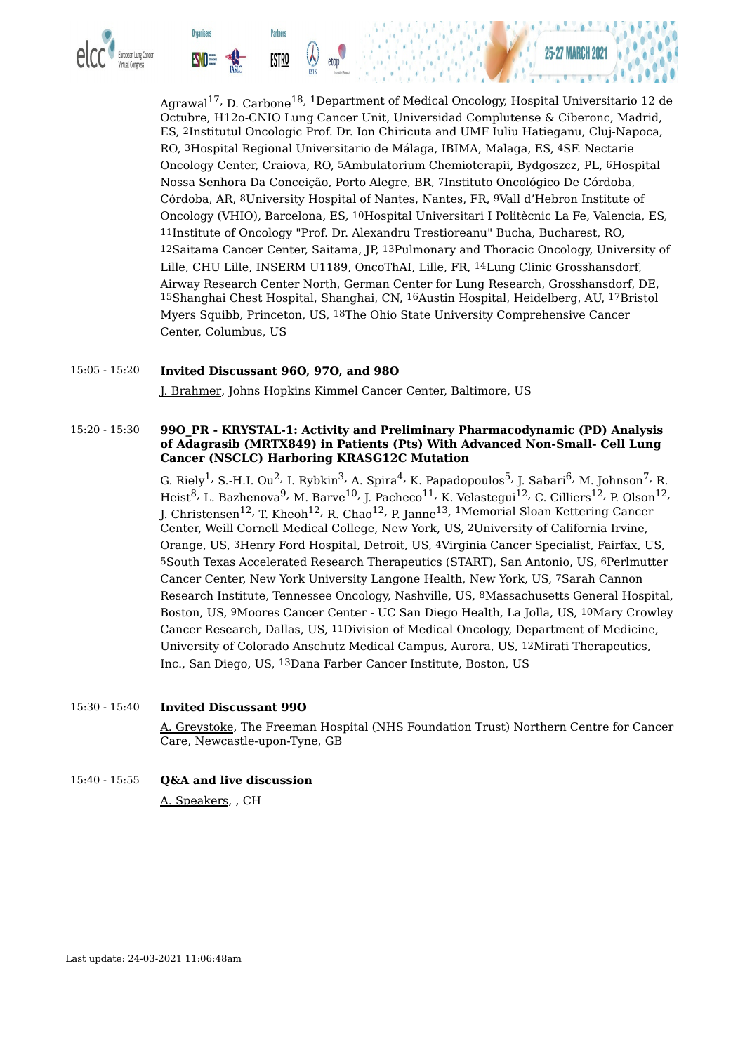

**Organisers** 

**Partners** 

<u>ESTRO</u>



#### 15:05 - 15:20 **Invited Discussant 96O, 97O, and 98O**

J. Brahmer, Johns Hopkins Kimmel Cancer Center, Baltimore, US

#### 15:20 - 15:30 **99O\_PR - KRYSTAL-1: Activity and Preliminary Pharmacodynamic (PD) Analysis of Adagrasib (MRTX849) in Patients (Pts) With Advanced Non-Small- Cell Lung Cancer (NSCLC) Harboring KRASG12C Mutation**

<u>G. Riely</u><sup>1,</sup> S.-H.I. Ou<sup>2,</sup> I. Rybkin<sup>3,</sup> A. Spira<sup>4,</sup> K. Papadopoulos<sup>5,</sup> J. Sabari<sup>6,</sup> M. Johnson<sup>7,</sup> R. Heist $^8$ , L. Bazhenova $^9$ , M. Barve $^{10}$ , J. Pacheco $^{11}$ , K. Velastegui $^{12}$ , C. Cilliers $^{12}$ , P. Olson $^{12}$ , J. Christensen $^{12}$ , T. Kheoh $^{12}$ , R. Chao $^{12}$ , P. Janne $^{13}$ ,  $^{1}$ Memorial Sloan Kettering Cancer Center, Weill Cornell Medical College, New York, US, 2University of California Irvine, Orange, US, 3Henry Ford Hospital, Detroit, US, 4Virginia Cancer Specialist, Fairfax, US, 5South Texas Accelerated Research Therapeutics (START), San Antonio, US, 6Perlmutter Cancer Center, New York University Langone Health, New York, US, 7Sarah Cannon Research Institute, Tennessee Oncology, Nashville, US, 8Massachusetts General Hospital, Boston, US, 9Moores Cancer Center - UC San Diego Health, La Jolla, US, 10Mary Crowley Cancer Research, Dallas, US, 11Division of Medical Oncology, Department of Medicine, University of Colorado Anschutz Medical Campus, Aurora, US, 12Mirati Therapeutics, Inc., San Diego, US, 13Dana Farber Cancer Institute, Boston, US

#### 15:30 - 15:40 **Invited Discussant 99O**

A. Greystoke, The Freeman Hospital (NHS Foundation Trust) Northern Centre for Cancer Care, Newcastle-upon-Tyne, GB

### 15:40 - 15:55 **Q&A and live discussion**

A. Speakers, , CH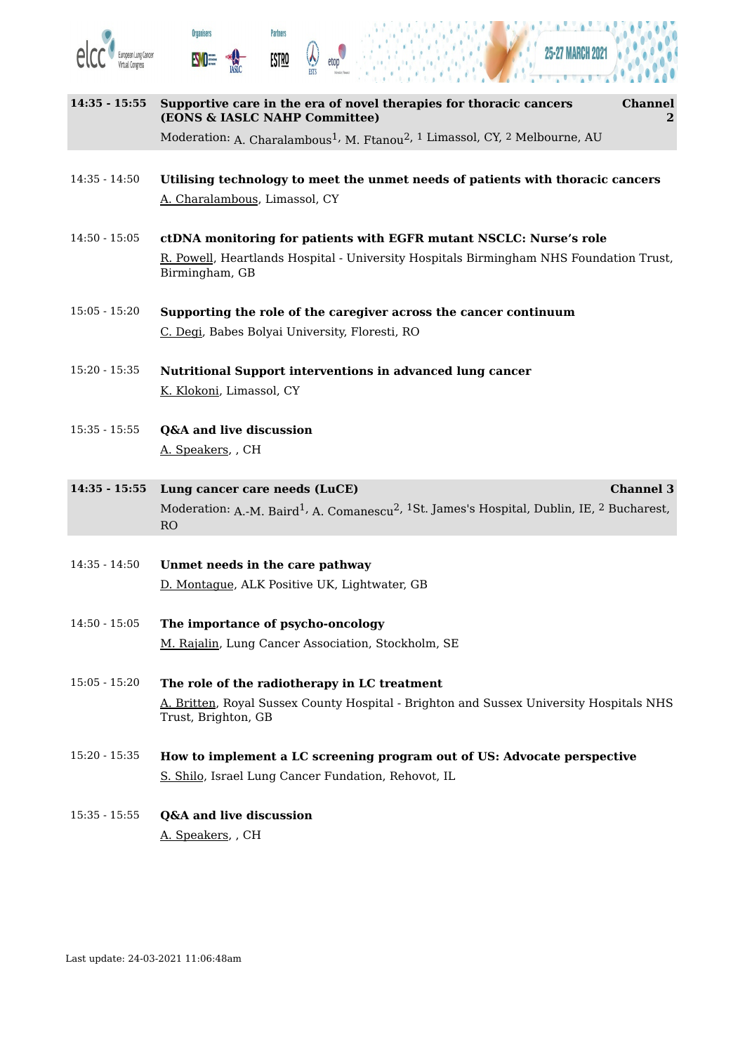





- **14:35 - 15:55 Supportive care in the era of novel therapies for thoracic cancers (EONS & IASLC NAHP Committee) Channel 2** Moderation: <sub>A. Charalambous</sub>1, <sub>M. Ftanou</sub>2, <sup>1</sup> Limassol, CY, <sup>2</sup> Melbourne, AU 14:35 - 14:50 **Utilising technology to meet the unmet needs of patients with thoracic cancers** A. Charalambous, Limassol, CY 14:50 - 15:05 **ctDNA monitoring for patients with EGFR mutant NSCLC: Nurse's role**
- R. Powell, Heartlands Hospital University Hospitals Birmingham NHS Foundation Trust, Birmingham, GB
- 15:05 15:20 **Supporting the role of the caregiver across the cancer continuum** C. Degi, Babes Bolyai University, Floresti, RO
- 15:20 15:35 **Nutritional Support interventions in advanced lung cancer** K. Klokoni, Limassol, CY
- 15:35 15:55 **Q&A and live discussion** A. Speakers, , CH
- **14:35 - 15:55 Lung cancer care needs (LuCE) Channel 3** Moderation: <sub>A.-M.</sub> Baird<sup>1,</sup> A. Comanescu<sup>2, 1</sup>St. James's Hospital, Dublin, IE, <sup>2</sup> Bucharest, RO
- 14:35 14:50 **Unmet needs in the care pathway** D. Montague, ALK Positive UK, Lightwater, GB
- 14:50 15:05 **The importance of psycho-oncology** M. Rajalin, Lung Cancer Association, Stockholm, SE
- 15:05 15:20 **The role of the radiotherapy in LC treatment** A. Britten, Royal Sussex County Hospital - Brighton and Sussex University Hospitals NHS Trust, Brighton, GB
- 15:20 15:35 **How to implement a LC screening program out of US: Advocate perspective** S. Shilo, Israel Lung Cancer Fundation, Rehovot, IL
- 15:35 15:55 **Q&A and live discussion** A. Speakers, , CH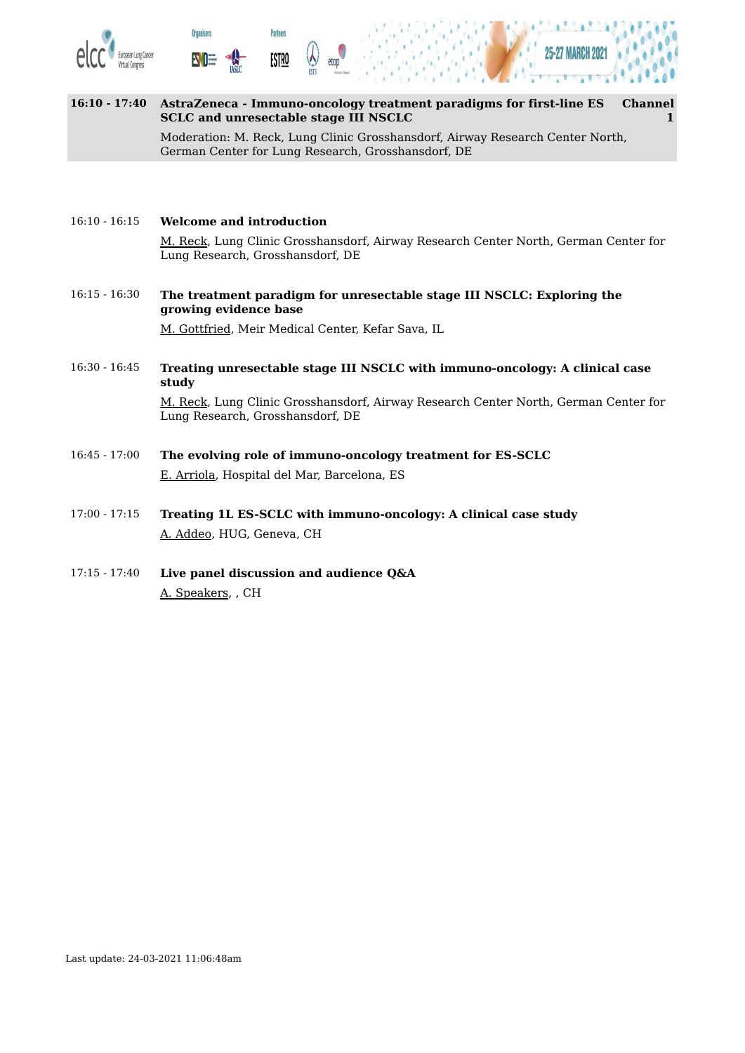





| $16:10 - 17:40$ | AstraZeneca - Immuno-oncology treatment paradigms for first-line ES<br>SCLC and unresectable stage III NSCLC                        | <b>Channel</b> |
|-----------------|-------------------------------------------------------------------------------------------------------------------------------------|----------------|
|                 | Moderation: M. Reck, Lung Clinic Grosshansdorf, Airway Research Center North,<br>German Center for Lung Research, Grosshansdorf, DE |                |
|                 |                                                                                                                                     |                |

#### 16:10 - 16:15 **Welcome and introduction**

M. Reck, Lung Clinic Grosshansdorf, Airway Research Center North, German Center for Lung Research, Grosshansdorf, DE

16:15 - 16:30 **The treatment paradigm for unresectable stage III NSCLC: Exploring the growing evidence base**

M. Gottfried, Meir Medical Center, Kefar Sava, IL

16:30 - 16:45 **Treating unresectable stage III NSCLC with immuno-oncology: A clinical case study**

> M. Reck, Lung Clinic Grosshansdorf, Airway Research Center North, German Center for Lung Research, Grosshansdorf, DE

- 16:45 17:00 **The evolving role of immuno-oncology treatment for ES-SCLC** E. Arriola, Hospital del Mar, Barcelona, ES
- 17:00 17:15 **Treating 1L ES-SCLC with immuno-oncology: A clinical case study** A. Addeo, HUG, Geneva, CH
- 17:15 17:40 **Live panel discussion and audience Q&A** A. Speakers, , CH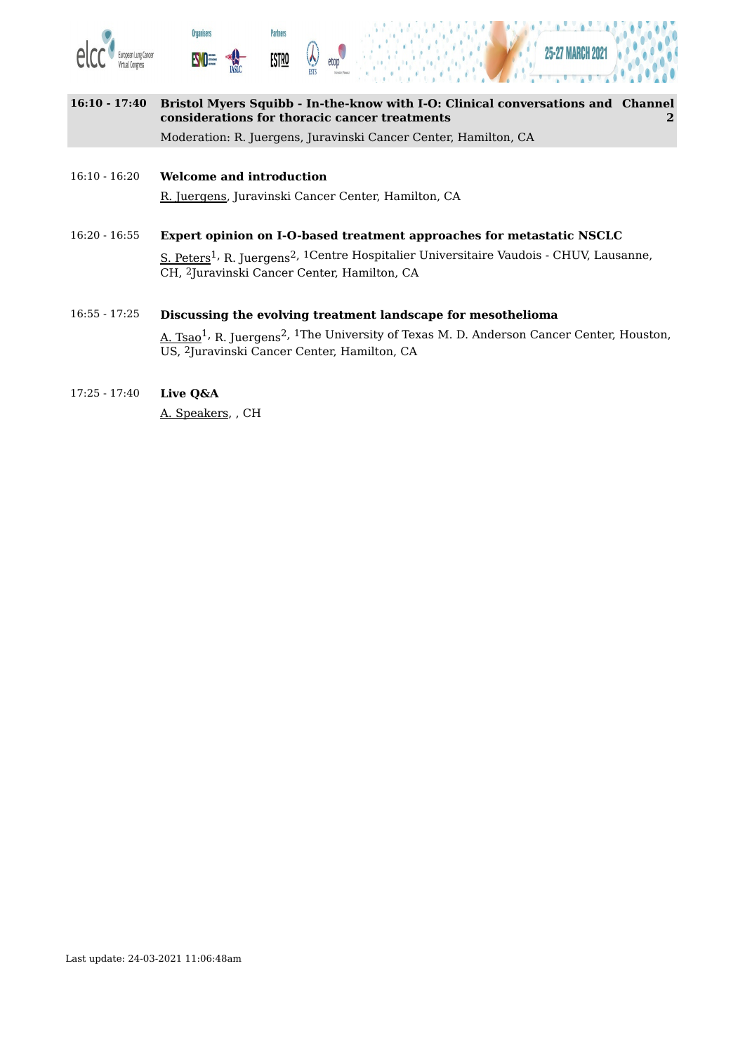





**16:10 - 17:40 Bristol Myers Squibb - In-the-know with I-O: Clinical conversations and Channel considerations for thoracic cancer treatments 2** Moderation: R. Juergens, Juravinski Cancer Center, Hamilton, CA

#### 16:10 - 16:20 **Welcome and introduction** R. Juergens, Juravinski Cancer Center, Hamilton, CA

16:20 - 16:55 **Expert opinion on I-O-based treatment approaches for metastatic NSCLC** <u>S. Peters</u><sup>1,</sup> R. Juergens<sup>2, 1</sup>Centre Hospitalier Universitaire Vaudois - CHUV, Lausanne, CH, 2Juravinski Cancer Center, Hamilton, CA

# 16:55 - 17:25 **Discussing the evolving treatment landscape for mesothelioma**

A. Tsao<sup>1,</sup> R. Juergens<sup>2, 1</sup>The University of Texas M. D. Anderson Cancer Center, Houston, US, 2Juravinski Cancer Center, Hamilton, CA

## 17:25 - 17:40 **Live Q&A**

A. Speakers, , CH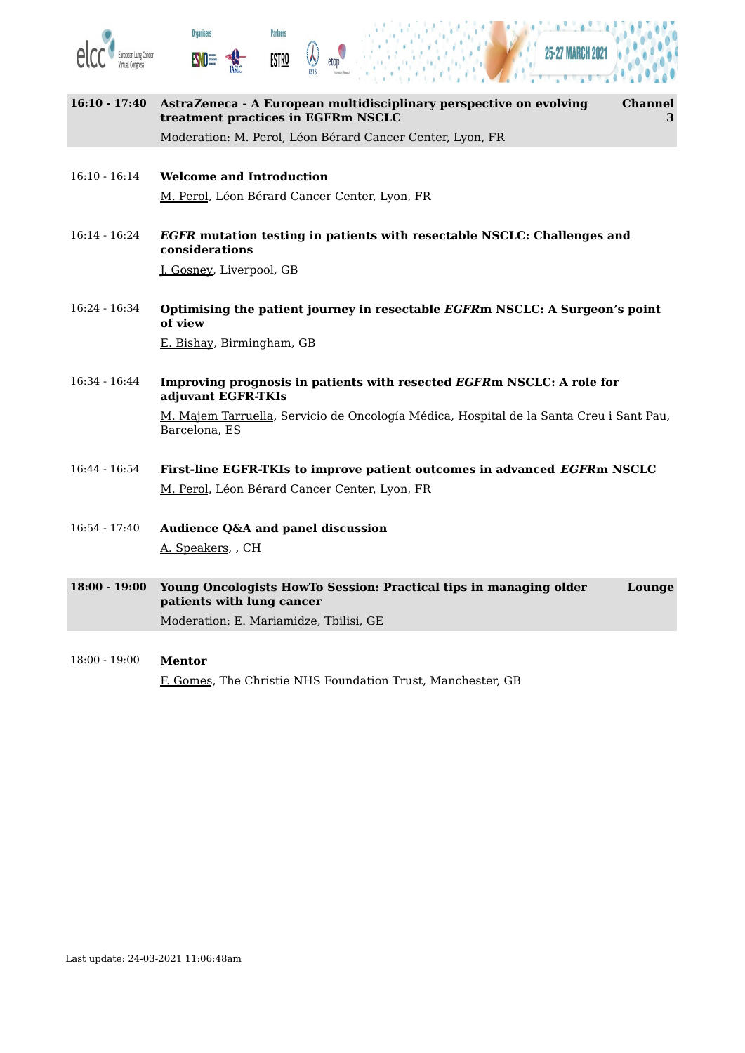





| $16:10 - 17:40$ | AstraZeneca - A European multidisciplinary perspective on evolving<br><b>Channel</b><br>treatment practices in EGFRm NSCLC<br>3 |
|-----------------|---------------------------------------------------------------------------------------------------------------------------------|
|                 | Moderation: M. Perol, Léon Bérard Cancer Center, Lyon, FR                                                                       |
|                 |                                                                                                                                 |
| $16:10 - 16:14$ | <b>Welcome and Introduction</b>                                                                                                 |
|                 | M. Perol, Léon Bérard Cancer Center, Lyon, FR                                                                                   |
| $16:14 - 16:24$ | EGFR mutation testing in patients with resectable NSCLC: Challenges and<br>considerations                                       |
|                 | J. Gosney, Liverpool, GB                                                                                                        |
| $16:24 - 16:34$ | Optimising the patient journey in resectable EGFRm NSCLC: A Surgeon's point<br>of view                                          |
|                 | E. Bishay, Birmingham, GB                                                                                                       |
| $16:34 - 16:44$ | Improving prognosis in patients with resected EGFRm NSCLC: A role for<br>adjuvant EGFR-TKIs                                     |
|                 | M. Majem Tarruella, Servicio de Oncología Médica, Hospital de la Santa Creu i Sant Pau,<br>Barcelona, ES                        |
| $16:44 - 16:54$ | First-line EGFR-TKIs to improve patient outcomes in advanced EGFRm NSCLC                                                        |
|                 | M. Perol, Léon Bérard Cancer Center, Lyon, FR                                                                                   |
| $16:54 - 17:40$ | <b>Audience Q&amp;A and panel discussion</b>                                                                                    |
|                 | A. Speakers, CH                                                                                                                 |
| $18:00 - 19:00$ | Young Oncologists HowTo Session: Practical tips in managing older<br>Lounge<br>patients with lung cancer                        |
|                 | Moderation: E. Mariamidze, Tbilisi, GE                                                                                          |
|                 |                                                                                                                                 |
| $18:00 - 19:00$ | <b>Mentor</b>                                                                                                                   |

F. Gomes, The Christie NHS Foundation Trust, Manchester, GB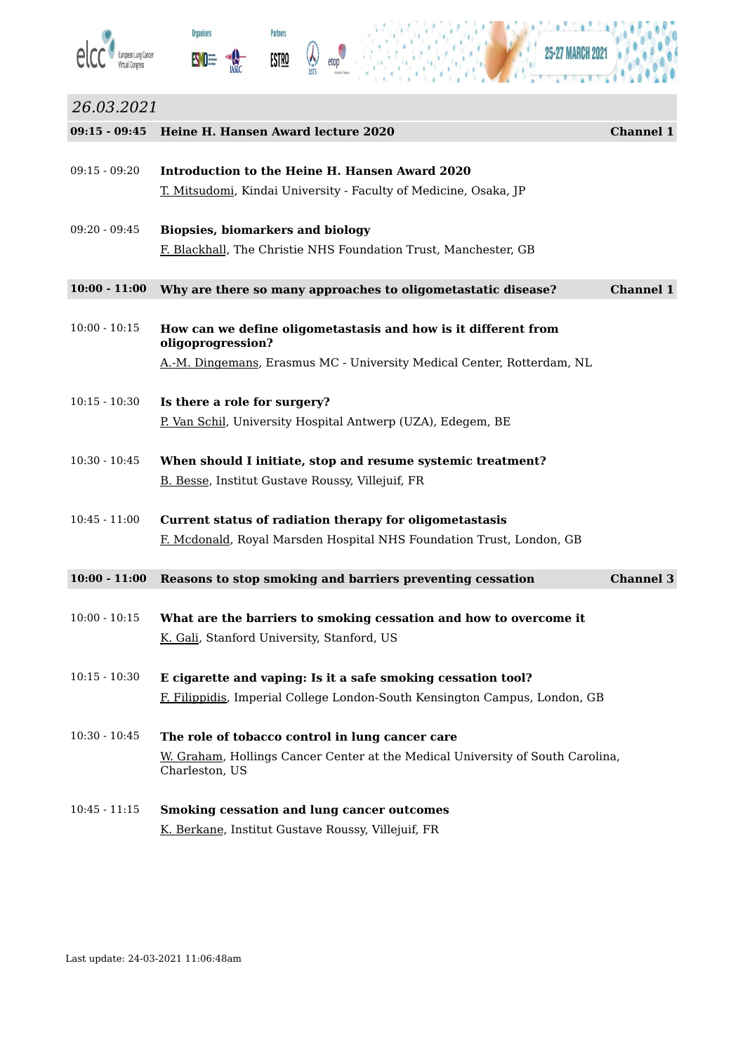





# *26.03.2021* **09:15 - 09:45 Heine H. Hansen Award lecture 2020 Channel 1** 09:15 - 09:20 **Introduction to the Heine H. Hansen Award 2020** T. Mitsudomi, Kindai University - Faculty of Medicine, Osaka, JP 09:20 - 09:45 **Biopsies, biomarkers and biology** F. Blackhall, The Christie NHS Foundation Trust, Manchester, GB **10:00 - 11:00 Why are there so many approaches to oligometastatic disease? Channel 1** 10:00 - 10:15 **How can we define oligometastasis and how is it different from oligoprogression?** A.-M. Dingemans, Erasmus MC - University Medical Center, Rotterdam, NL 10:15 - 10:30 **Is there a role for surgery?** P. Van Schil, University Hospital Antwerp (UZA), Edegem, BE 10:30 - 10:45 **When should I initiate, stop and resume systemic treatment?** B. Besse, Institut Gustave Roussy, Villejuif, FR 10:45 - 11:00 **Current status of radiation therapy for oligometastasis** F. Mcdonald, Royal Marsden Hospital NHS Foundation Trust, London, GB **10:00 - 11:00 Reasons to stop smoking and barriers preventing cessation Channel 3** 10:00 - 10:15 **What are the barriers to smoking cessation and how to overcome it** K. Gali, Stanford University, Stanford, US 10:15 - 10:30 **E cigarette and vaping: Is it a safe smoking cessation tool?** F. Filippidis, Imperial College London-South Kensington Campus, London, GB 10:30 - 10:45 **The role of tobacco control in lung cancer care** W. Graham, Hollings Cancer Center at the Medical University of South Carolina,

10:45 - 11:15 **Smoking cessation and lung cancer outcomes** K. Berkane, Institut Gustave Roussy, Villejuif, FR

Charleston, US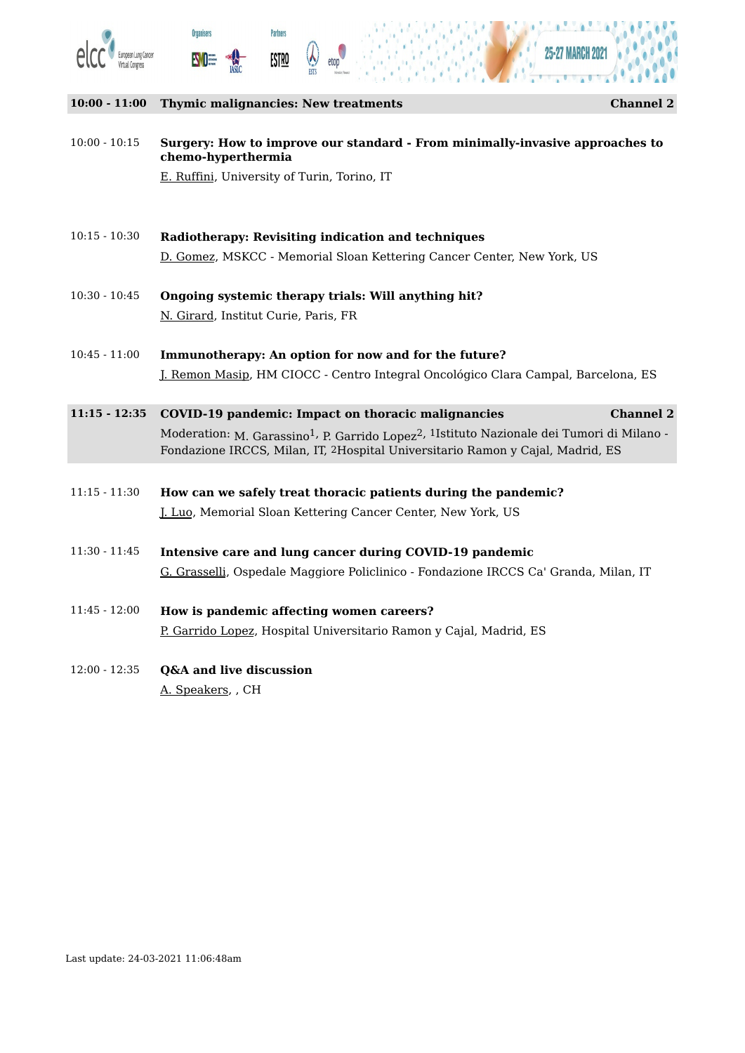





#### **10:00 - 11:00 Thymic malignancies: New treatments Channel 2**

10:00 - 10:15 **Surgery: How to improve our standard - From minimally-invasive approaches to chemo-hyperthermia**

E. Ruffini, University of Turin, Torino, IT

- 10:15 10:30 **Radiotherapy: Revisiting indication and techniques** D. Gomez, MSKCC - Memorial Sloan Kettering Cancer Center, New York, US
- 10:30 10:45 **Ongoing systemic therapy trials: Will anything hit?** N. Girard, Institut Curie, Paris, FR
- 10:45 11:00 **Immunotherapy: An option for now and for the future?** J. Remon Masip, HM CIOCC - Centro Integral Oncológico Clara Campal, Barcelona, ES
- **11:15 - 12:35 COVID-19 pandemic: Impact on thoracic malignancies Channel 2** Moderation: <sub>M. Garassino</sub>1, <sub>P. Garrido Lopez</sub>2, 1Istituto Nazionale dei Tumori di Milano -Fondazione IRCCS, Milan, IT, 2Hospital Universitario Ramon y Cajal, Madrid, ES
- 11:15 11:30 **How can we safely treat thoracic patients during the pandemic?** J. Luo, Memorial Sloan Kettering Cancer Center, New York, US
- 11:30 11:45 **Intensive care and lung cancer during COVID-19 pandemic** G. Grasselli, Ospedale Maggiore Policlinico - Fondazione IRCCS Ca' Granda, Milan, IT
- 11:45 12:00 **How is pandemic affecting women careers?** P. Garrido Lopez, Hospital Universitario Ramon y Cajal, Madrid, ES
- 12:00 12:35 **Q&A and live discussion** A. Speakers, , CH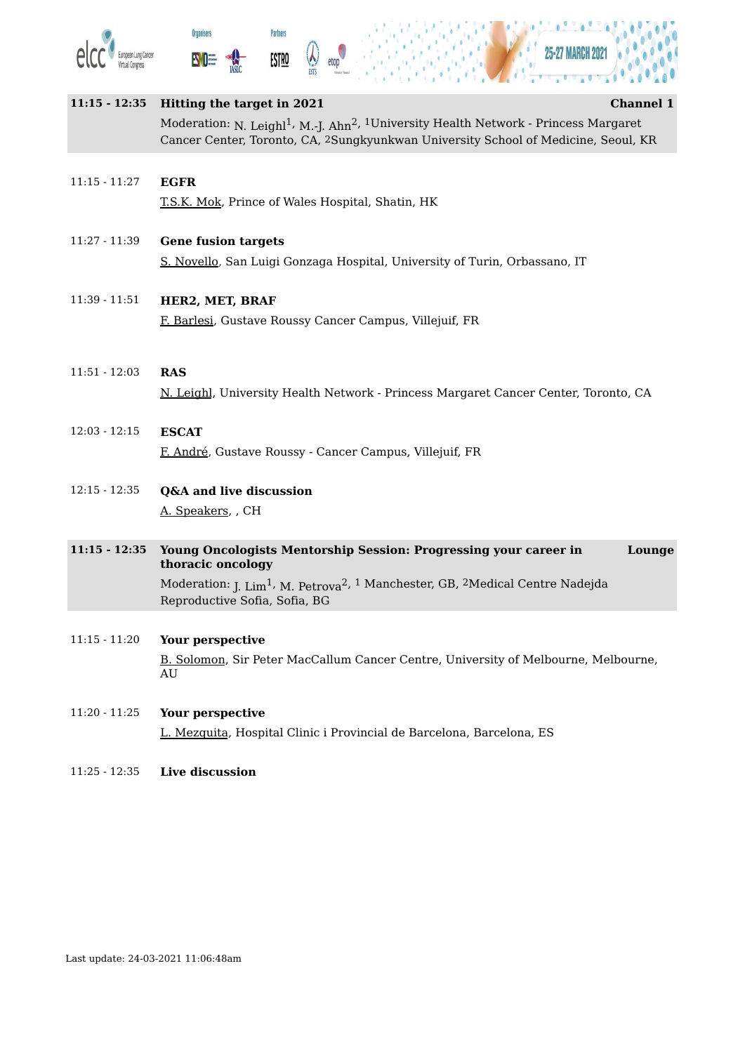





# **11:15 - 12:35 Hitting the target in 2021 Channel 1** Moderation: <sub>N. Leighl</sub>1, <sub>M.-J. Ahn<sup>2, 1</sup>University Health Network - Princess Margaret</sub> Cancer Center, Toronto, CA, 2Sungkyunkwan University School of Medicine, Seoul, KR 11:15 - 11:27 **EGFR** T.S.K. Mok, Prince of Wales Hospital, Shatin, HK 11:27 - 11:39 **Gene fusion targets** S. Novello, San Luigi Gonzaga Hospital, University of Turin, Orbassano, IT 11:39 - 11:51 **HER2, MET, BRAF**

F. Barlesi, Gustave Roussy Cancer Campus, Villejuif, FR

# 11:51 - 12:03 **RAS** N. Leighl, University Health Network - Princess Margaret Cancer Center, Toronto, CA

- 12:03 12:15 **ESCAT** F. André, Gustave Roussy - Cancer Campus, Villejuif, FR
- 12:15 12:35 **Q&A and live discussion** A. Speakers, , CH

#### **11:15 - 12:35 Young Oncologists Mentorship Session: Progressing your career in thoracic oncology Lounge** Moderation: <sub>J. Lim</sub>1, <sub>M. Petrova</sub>2, <sup>1</sup> Manchester, GB, 2Medical Centre Nadejda Reproductive Sofia, Sofia, BG

# 11:15 - 11:20 **Your perspective**

B. Solomon, Sir Peter MacCallum Cancer Centre, University of Melbourne, Melbourne, AU

# 11:20 - 11:25 **Your perspective**

L. Mezquita, Hospital Clinic i Provincial de Barcelona, Barcelona, ES

# 11:25 - 12:35 **Live discussion**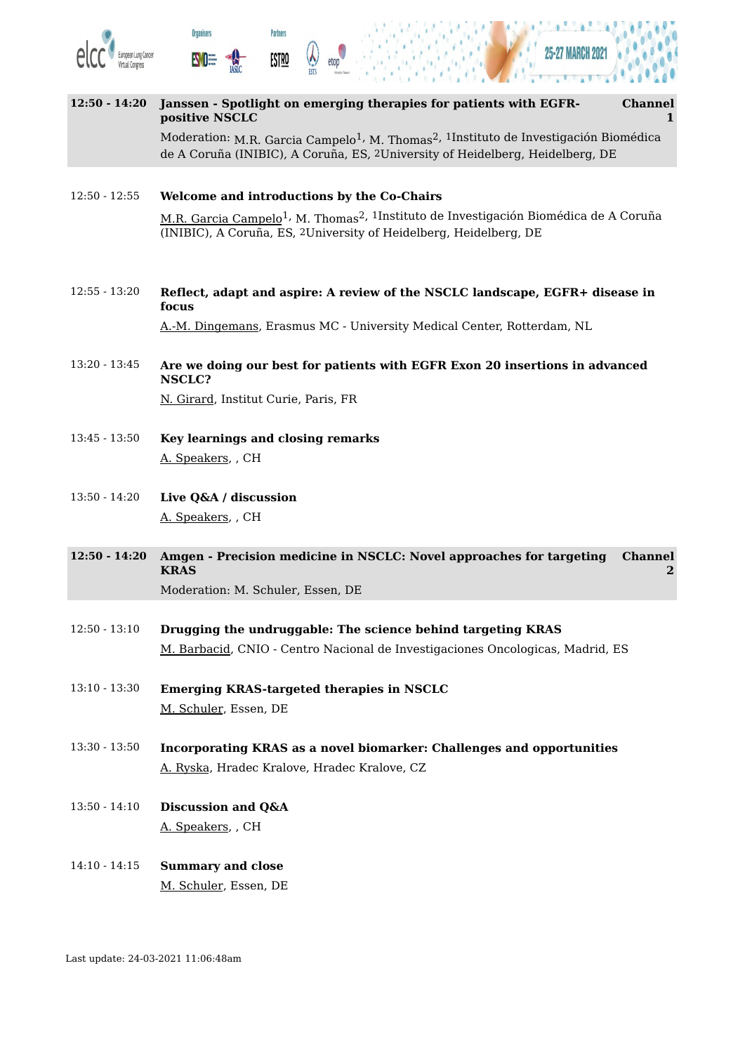

**12:50 - 14:20 Janssen - Spotlight on emerging therapies for patients with EGFRpositive NSCLC Channel 1** Moderation: <sub>M.R. Garcia Campelo<sup>1,</sup> M. Thomas<sup>2, 1</sup>Instituto de Investigación Biomédica</sub> de A Coruña (INIBIC), A Coruña, ES, 2University of Heidelberg, Heidelberg, DE

12:50 - 12:55 **Welcome and introductions by the Co-Chairs** M.R. <u>Garcia Campelo</u><sup>1,</sup> M. Thomas<sup>2, 1</sup>Instituto de Investigación Biomédica de A Coruña (INIBIC), A Coruña, ES, 2University of Heidelberg, Heidelberg, DE

12:55 - 13:20 **Reflect, adapt and aspire: A review of the NSCLC landscape, EGFR+ disease in focus**

A.-M. Dingemans, Erasmus MC - University Medical Center, Rotterdam, NL

13:20 - 13:45 **Are we doing our best for patients with EGFR Exon 20 insertions in advanced NSCLC?**

N. Girard, Institut Curie, Paris, FR

- 13:45 13:50 **Key learnings and closing remarks** A. Speakers, , CH
- 13:50 14:20 **Live Q&A / discussion** A. Speakers, , CH
- **12:50 - 14:20 Amgen - Precision medicine in NSCLC: Novel approaches for targeting KRAS Channel 2** Moderation: M. Schuler, Essen, DE
- 12:50 13:10 **Drugging the undruggable: The science behind targeting KRAS** M. Barbacid, CNIO - Centro Nacional de Investigaciones Oncologicas, Madrid, ES
- 13:10 13:30 **Emerging KRAS-targeted therapies in NSCLC** M. Schuler, Essen, DE
- 13:30 13:50 **Incorporating KRAS as a novel biomarker: Challenges and opportunities** A. Ryska, Hradec Kralove, Hradec Kralove, CZ
- 13:50 14:10 **Discussion and Q&A** A. Speakers, , CH
- 14:10 14:15 **Summary and close** M. Schuler, Essen, DE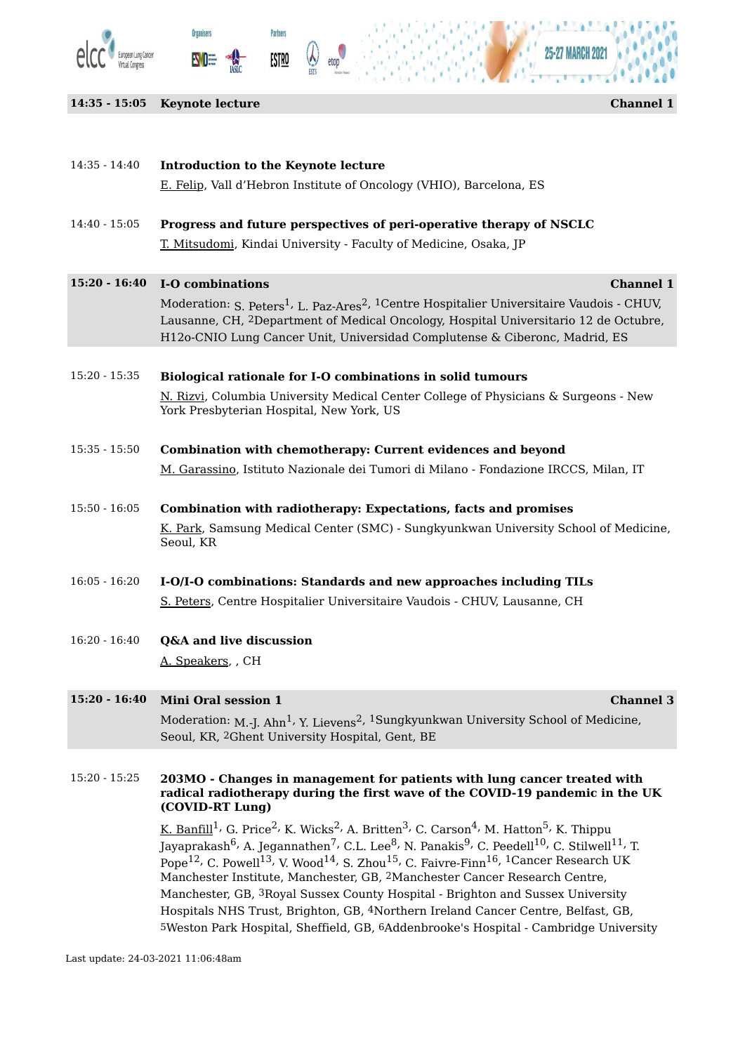

**14:35 - 15:05 Keynote lecture Channel 1**

**Organisers** 

**SVO** 

H

**Partners** 

**ESTRO** 

 $\sum_{ESIS}$ 

etop



| $14:35 - 14:40$ | Introduction to the Keynote lecture                                                                                                                                                                                                                                                                                                                                                                                                                                                                                                                                                                                                                                                       |
|-----------------|-------------------------------------------------------------------------------------------------------------------------------------------------------------------------------------------------------------------------------------------------------------------------------------------------------------------------------------------------------------------------------------------------------------------------------------------------------------------------------------------------------------------------------------------------------------------------------------------------------------------------------------------------------------------------------------------|
|                 | E. Felip, Vall d'Hebron Institute of Oncology (VHIO), Barcelona, ES                                                                                                                                                                                                                                                                                                                                                                                                                                                                                                                                                                                                                       |
| $14:40 - 15:05$ | Progress and future perspectives of peri-operative therapy of NSCLC                                                                                                                                                                                                                                                                                                                                                                                                                                                                                                                                                                                                                       |
|                 | <u>T. Mitsudomi</u> , Kindai University - Faculty of Medicine, Osaka, JP                                                                                                                                                                                                                                                                                                                                                                                                                                                                                                                                                                                                                  |
| $15:20 - 16:40$ | <b>Channel 1</b><br>I-O combinations                                                                                                                                                                                                                                                                                                                                                                                                                                                                                                                                                                                                                                                      |
|                 | Moderation: S. Peters <sup>1</sup> , L. Paz-Ares <sup>2</sup> , <sup>1</sup> Centre Hospitalier Universitaire Vaudois - CHUV,<br>Lausanne, CH, <sup>2</sup> Department of Medical Oncology, Hospital Universitario 12 de Octubre,<br>H12o-CNIO Lung Cancer Unit, Universidad Complutense & Ciberonc, Madrid, ES                                                                                                                                                                                                                                                                                                                                                                           |
| $15:20 - 15:35$ | Biological rationale for I-O combinations in solid tumours                                                                                                                                                                                                                                                                                                                                                                                                                                                                                                                                                                                                                                |
|                 | N. Rizvi, Columbia University Medical Center College of Physicians & Surgeons - New<br>York Presbyterian Hospital, New York, US                                                                                                                                                                                                                                                                                                                                                                                                                                                                                                                                                           |
| $15:35 - 15:50$ | Combination with chemotherapy: Current evidences and beyond                                                                                                                                                                                                                                                                                                                                                                                                                                                                                                                                                                                                                               |
|                 | M. Garassino, Istituto Nazionale dei Tumori di Milano - Fondazione IRCCS, Milan, IT                                                                                                                                                                                                                                                                                                                                                                                                                                                                                                                                                                                                       |
| $15:50 - 16:05$ | <b>Combination with radiotherapy: Expectations, facts and promises</b>                                                                                                                                                                                                                                                                                                                                                                                                                                                                                                                                                                                                                    |
|                 | <u>K. Park</u> , Samsung Medical Center (SMC) - Sungkyunkwan University School of Medicine,<br>Seoul, KR                                                                                                                                                                                                                                                                                                                                                                                                                                                                                                                                                                                  |
| $16:05 - 16:20$ | I-O/I-O combinations: Standards and new approaches including TILs                                                                                                                                                                                                                                                                                                                                                                                                                                                                                                                                                                                                                         |
|                 | S. Peters, Centre Hospitalier Universitaire Vaudois - CHUV, Lausanne, CH                                                                                                                                                                                                                                                                                                                                                                                                                                                                                                                                                                                                                  |
| $16:20 - 16:40$ | <b>Q&amp;A and live discussion</b>                                                                                                                                                                                                                                                                                                                                                                                                                                                                                                                                                                                                                                                        |
|                 | A. Speakers, CH                                                                                                                                                                                                                                                                                                                                                                                                                                                                                                                                                                                                                                                                           |
| $15:20 - 16:40$ | <b>Mini Oral session 1</b><br><b>Channel 3</b>                                                                                                                                                                                                                                                                                                                                                                                                                                                                                                                                                                                                                                            |
|                 | Moderation: M.-J. Ahn <sup>1</sup> , Y. Lievens <sup>2</sup> , <sup>1</sup> Sungkyunkwan University School of Medicine,<br>Seoul, KR, 2Ghent University Hospital, Gent, BE                                                                                                                                                                                                                                                                                                                                                                                                                                                                                                                |
| $15:20 - 15:25$ | 203MO - Changes in management for patients with lung cancer treated with<br>radical radiotherapy during the first wave of the COVID-19 pandemic in the UK                                                                                                                                                                                                                                                                                                                                                                                                                                                                                                                                 |
|                 | (COVID-RT Lung)                                                                                                                                                                                                                                                                                                                                                                                                                                                                                                                                                                                                                                                                           |
|                 | <u>K. Banfill</u> <sup>1</sup> , G. Price <sup>2</sup> , K. Wicks <sup>2</sup> , A. Britten <sup>3</sup> , C. Carson <sup>4</sup> , M. Hatton <sup>5</sup> , K. Thippu<br>Jayaprakash <sup>6,</sup> A. Jegannathen <sup>7</sup> , C.L. Lee <sup>8</sup> , N. Panakis <sup>9</sup> , C. Peedell <sup>10</sup> , C. Stilwell <sup>11</sup> , T.<br>Pope <sup>12</sup> , C. Powell <sup>13</sup> , V. Wood <sup>14</sup> , S. Zhou <sup>15</sup> , C. Faivre-Finn <sup>16</sup> , <sup>1</sup> Cancer Research UK<br>Manchester Institute, Manchester, GB, 2Manchester Cancer Research Centre,<br>Manchester, GB, <sup>3</sup> Royal Sussex County Hospital - Brighton and Sussex University |

Hospitals NHS Trust, Brighton, GB, 4Northern Ireland Cancer Centre, Belfast, GB,

5Weston Park Hospital, Sheffield, GB, 6Addenbrooke's Hospital - Cambridge University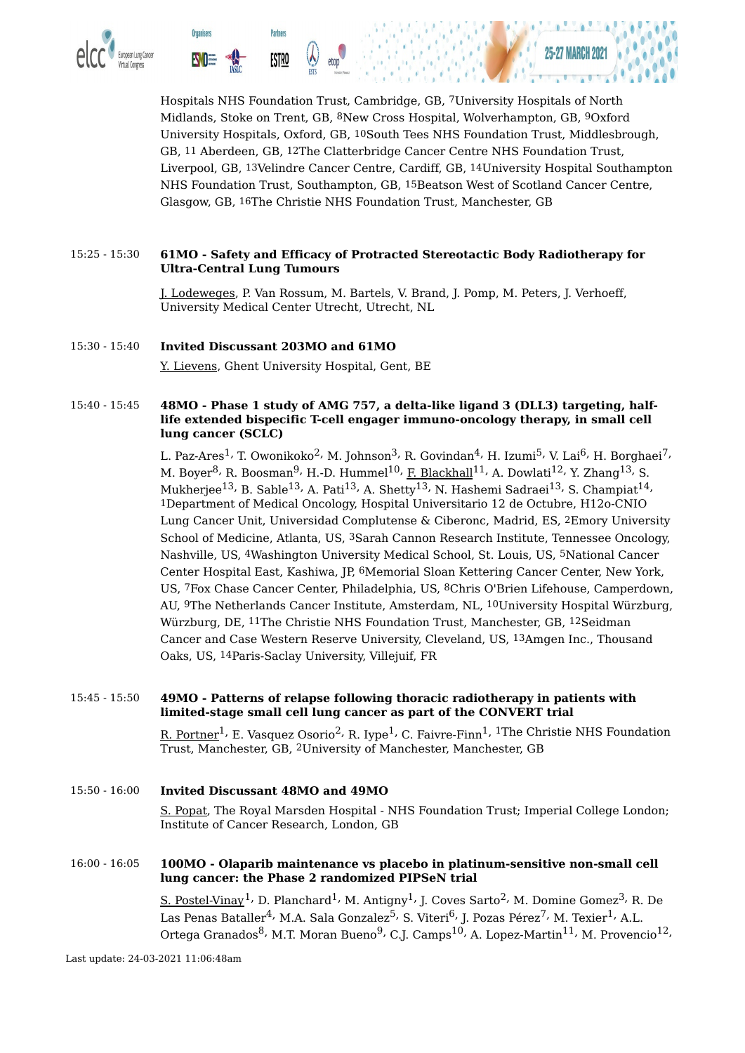

Hospitals NHS Foundation Trust, Cambridge, GB, 7University Hospitals of North Midlands, Stoke on Trent, GB, 8New Cross Hospital, Wolverhampton, GB, 9Oxford University Hospitals, Oxford, GB, 10South Tees NHS Foundation Trust, Middlesbrough, GB, 11 Aberdeen, GB, 12The Clatterbridge Cancer Centre NHS Foundation Trust, Liverpool, GB, 13Velindre Cancer Centre, Cardiff, GB, 14University Hospital Southampton NHS Foundation Trust, Southampton, GB, 15Beatson West of Scotland Cancer Centre, Glasgow, GB, 16The Christie NHS Foundation Trust, Manchester, GB

#### 15:25 - 15:30 **61MO - Safety and Efficacy of Protracted Stereotactic Body Radiotherapy for Ultra-Central Lung Tumours**

J. Lodeweges, P. Van Rossum, M. Bartels, V. Brand, J. Pomp, M. Peters, J. Verhoeff, University Medical Center Utrecht, Utrecht, NL

#### 15:30 - 15:40 **Invited Discussant 203MO and 61MO**

Y. Lievens, Ghent University Hospital, Gent, BE

#### 15:40 - 15:45 **48MO - Phase 1 study of AMG 757, a delta-like ligand 3 (DLL3) targeting, halflife extended bispecific T-cell engager immuno-oncology therapy, in small cell lung cancer (SCLC)**

L. Paz-Ares<sup>1,</sup> T. Owonikoko<sup>2,</sup> M. Johnson<sup>3,</sup> R. Govindan<sup>4,</sup> H. Izumi<sup>5,</sup> V. Lai<sup>6,</sup> H. Borghaei<sup>7,</sup> M. Boyer<sup>8,</sup> R. Boosman<sup>9,</sup> H.-D. Hummel<sup>10,</sup> <u>F. Blackhall</u><sup>11,</sup> A. Dowlati<sup>12,</sup> Y. Zhang<sup>13,</sup> S. Mukherjee $^{13}$ , B. Sable $^{13}$ , A. Pati $^{13}$ , A. Shetty $^{13}$ , N. Hashemi Sadraei $^{13}$ , S. Champiat $^{14}$ , 1Department of Medical Oncology, Hospital Universitario 12 de Octubre, H12o-CNIO Lung Cancer Unit, Universidad Complutense & Ciberonc, Madrid, ES, 2Emory University School of Medicine, Atlanta, US, 3Sarah Cannon Research Institute, Tennessee Oncology, Nashville, US, 4Washington University Medical School, St. Louis, US, 5National Cancer Center Hospital East, Kashiwa, JP, 6Memorial Sloan Kettering Cancer Center, New York, US, 7Fox Chase Cancer Center, Philadelphia, US, 8Chris O'Brien Lifehouse, Camperdown, AU, 9The Netherlands Cancer Institute, Amsterdam, NL, 10University Hospital Würzburg, Würzburg, DE, 11The Christie NHS Foundation Trust, Manchester, GB, 12Seidman Cancer and Case Western Reserve University, Cleveland, US, 13Amgen Inc., Thousand Oaks, US, 14Paris-Saclay University, Villejuif, FR

#### 15:45 - 15:50 **49MO - Patterns of relapse following thoracic radiotherapy in patients with limited-stage small cell lung cancer as part of the CONVERT trial**

<u>R. Portner</u> $^1$ , E. Vasquez Osorio $^2$ , R. Iype $^1$ , C. Faivre-Finn $^1$ ,  $^1$ The Christie NHS Foundation Trust, Manchester, GB, 2University of Manchester, Manchester, GB

#### 15:50 - 16:00 **Invited Discussant 48MO and 49MO** S. Popat, The Royal Marsden Hospital - NHS Foundation Trust; Imperial College London; Institute of Cancer Research, London, GB

#### 16:00 - 16:05 **100MO - Olaparib maintenance vs placebo in platinum-sensitive non-small cell lung cancer: the Phase 2 randomized PIPSeN trial**

<u>S. Postel-Vinay</u>  $^1$ , D. Planchard  $^1$ , M. Antigny  $^1$ , J. Coves Sarto  $^2$ , M. Domine Gomez  $^3$ , R. De Las Penas Bataller<sup>4,</sup> M.A. Sala Gonzalez<sup>5,</sup> S. Viteri<sup>6,</sup> J. Pozas Pérez<sup>7,</sup> M. Texier<sup>1,</sup> A.L. Ortega Granados<sup>8,</sup> M.T. Moran Bueno<sup>9,</sup> C.J. Camps<sup>10,</sup> A. Lopez-Martin<sup>11,</sup> M. Provencio<sup>12,</sup>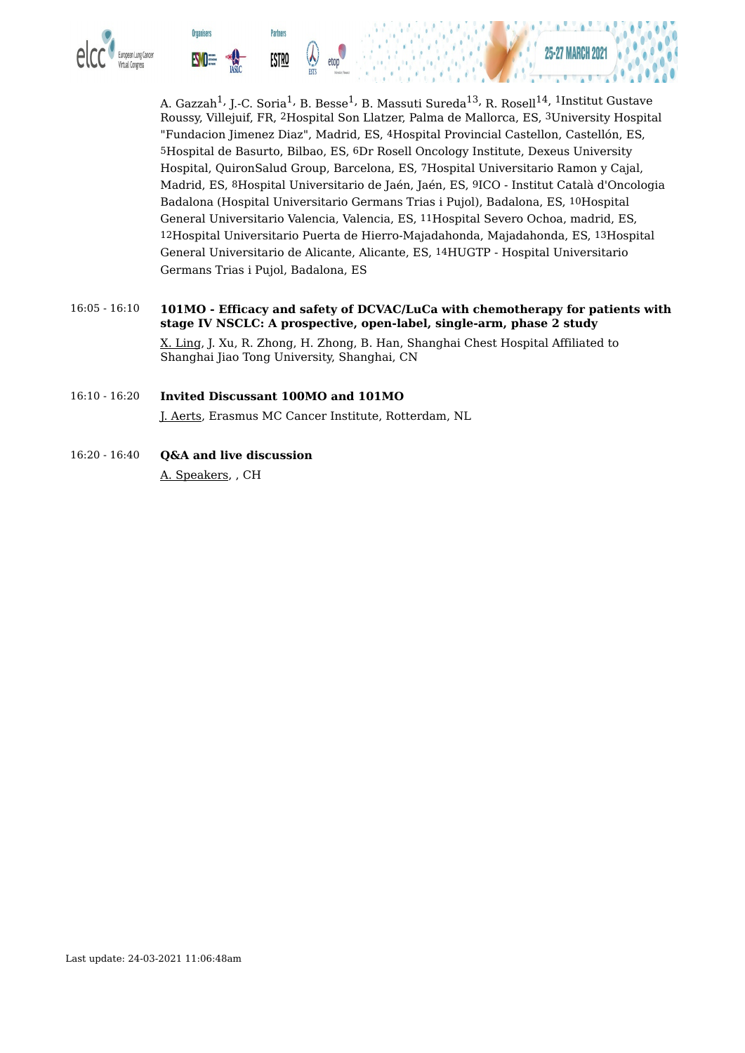

A. Gazzah<sup>1,</sup> J.-C. Soria<sup>1,</sup> B. Besse<sup>1,</sup> B. Massuti Sureda<sup>13,</sup> R. Rosell<sup>14, 1</sup>Institut Gustave Roussy, Villejuif, FR, 2Hospital Son Llatzer, Palma de Mallorca, ES, 3University Hospital "Fundacion Jimenez Diaz", Madrid, ES, 4Hospital Provincial Castellon, Castellón, ES, 5Hospital de Basurto, Bilbao, ES, 6Dr Rosell Oncology Institute, Dexeus University Hospital, QuironSalud Group, Barcelona, ES, 7Hospital Universitario Ramon y Cajal, Madrid, ES, 8Hospital Universitario de Jaén, Jaén, ES, 9ICO - Institut Català d'Oncologia Badalona (Hospital Universitario Germans Trias i Pujol), Badalona, ES, 10Hospital General Universitario Valencia, Valencia, ES, 11Hospital Severo Ochoa, madrid, ES, 12Hospital Universitario Puerta de Hierro-Majadahonda, Majadahonda, ES, 13Hospital General Universitario de Alicante, Alicante, ES, 14HUGTP - Hospital Universitario Germans Trias i Pujol, Badalona, ES

- 16:05 16:10 **101MO - Efficacy and safety of DCVAC/LuCa with chemotherapy for patients with stage IV NSCLC: A prospective, open-label, single-arm, phase 2 study** X. Ling, J. Xu, R. Zhong, H. Zhong, B. Han, Shanghai Chest Hospital Affiliated to Shanghai Jiao Tong University, Shanghai, CN
- 16:10 16:20 **Invited Discussant 100MO and 101MO** J. Aerts, Erasmus MC Cancer Institute, Rotterdam, NL
- 16:20 16:40 **Q&A and live discussion** A. Speakers, , CH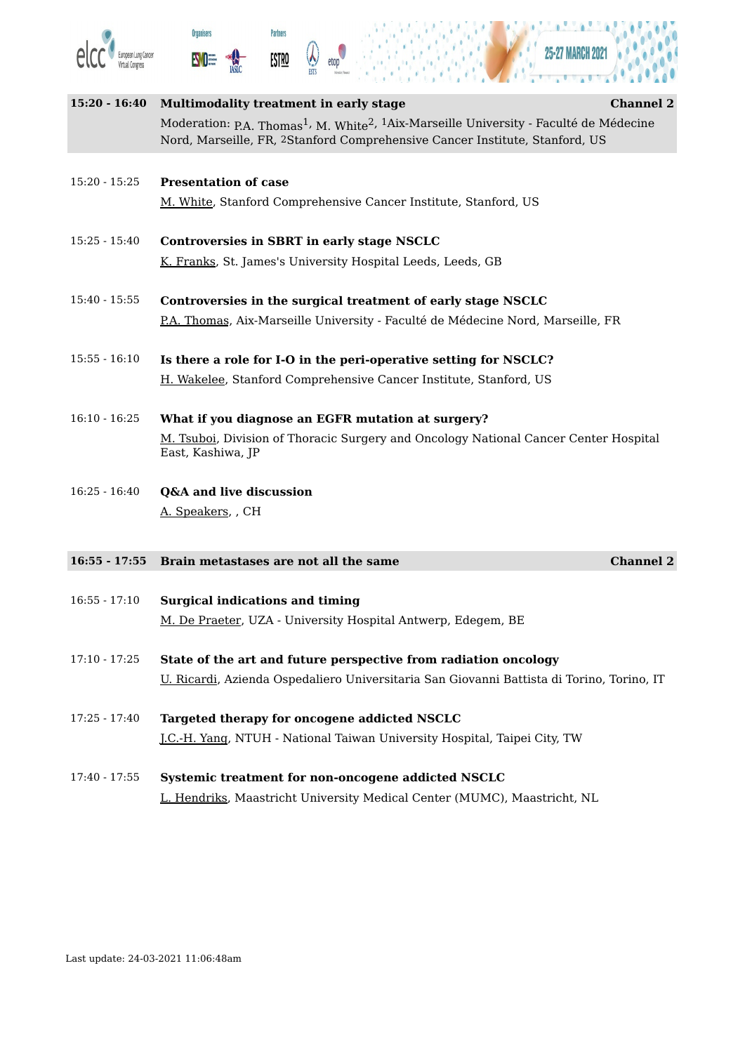





| $15:20 - 16:40$ | <b>Multimodality treatment in early stage</b><br><b>Channel 2</b>                                                                                                                                         |
|-----------------|-----------------------------------------------------------------------------------------------------------------------------------------------------------------------------------------------------------|
|                 | Moderation: P.A. Thomas <sup>1</sup> , M. White <sup>2</sup> , <sup>1</sup> Aix-Marseille University - Faculté de Médecine<br>Nord, Marseille, FR, 2Stanford Comprehensive Cancer Institute, Stanford, US |
|                 |                                                                                                                                                                                                           |
| $15:20 - 15:25$ | <b>Presentation of case</b>                                                                                                                                                                               |
|                 | M. White, Stanford Comprehensive Cancer Institute, Stanford, US                                                                                                                                           |
| $15:25 - 15:40$ | Controversies in SBRT in early stage NSCLC                                                                                                                                                                |
|                 | K. Franks, St. James's University Hospital Leeds, Leeds, GB                                                                                                                                               |
| $15:40 - 15:55$ | Controversies in the surgical treatment of early stage NSCLC                                                                                                                                              |
|                 | P.A. Thomas, Aix-Marseille University - Faculté de Médecine Nord, Marseille, FR                                                                                                                           |
| $15:55 - 16:10$ | Is there a role for I-O in the peri-operative setting for NSCLC?                                                                                                                                          |
|                 | H. Wakelee, Stanford Comprehensive Cancer Institute, Stanford, US                                                                                                                                         |
| $16:10 - 16:25$ | What if you diagnose an EGFR mutation at surgery?                                                                                                                                                         |
|                 | M. Tsuboi, Division of Thoracic Surgery and Oncology National Cancer Center Hospital<br>East, Kashiwa, JP                                                                                                 |
| $16:25 - 16:40$ | Q&A and live discussion                                                                                                                                                                                   |
|                 | A. Speakers, , CH                                                                                                                                                                                         |
| $16:55 - 17:55$ | Brain metastases are not all the same<br><b>Channel 2</b>                                                                                                                                                 |
|                 |                                                                                                                                                                                                           |
| $16:55 - 17:10$ | <b>Surgical indications and timing</b>                                                                                                                                                                    |
|                 | M. De Praeter, UZA - University Hospital Antwerp, Edegem, BE                                                                                                                                              |
| $17:10 - 17:25$ | State of the art and future perspective from radiation oncology                                                                                                                                           |
|                 | U. Ricardi, Azienda Ospedaliero Universitaria San Giovanni Battista di Torino, Torino, IT                                                                                                                 |

- 17:25 17:40 **Targeted therapy for oncogene addicted NSCLC** J.C.-H. Yang, NTUH - National Taiwan University Hospital, Taipei City, TW
- 17:40 17:55 **Systemic treatment for non-oncogene addicted NSCLC** L. Hendriks, Maastricht University Medical Center (MUMC), Maastricht, NL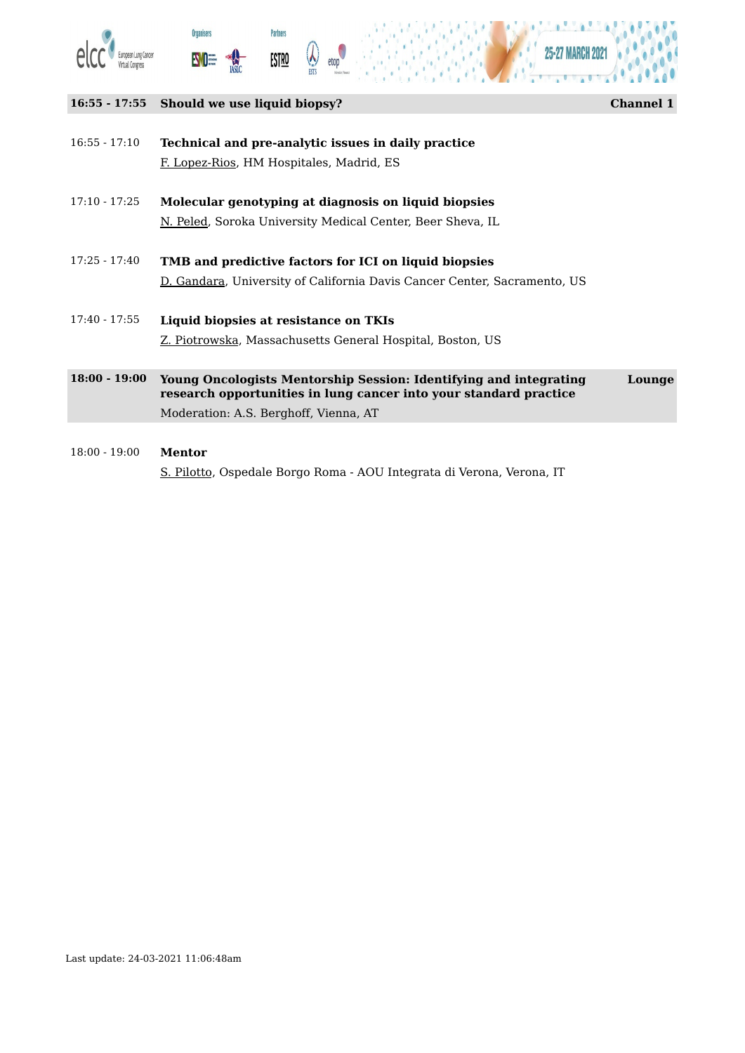





#### **16:55 - 17:55 Should we use liquid biopsy? Channel 1**

16:55 - 17:10 **Technical and pre-analytic issues in daily practice** F. Lopez-Rios, HM Hospitales, Madrid, ES

- 17:10 17:25 **Molecular genotyping at diagnosis on liquid biopsies** N. Peled, Soroka University Medical Center, Beer Sheva, IL
- 17:25 17:40 **TMB and predictive factors for ICI on liquid biopsies** D. Gandara, University of California Davis Cancer Center, Sacramento, US
- 17:40 17:55 **Liquid biopsies at resistance on TKIs** Z. Piotrowska, Massachusetts General Hospital, Boston, US
- **18:00 - 19:00 Young Oncologists Mentorship Session: Identifying and integrating research opportunities in lung cancer into your standard practice Lounge** Moderation: A.S. Berghoff, Vienna, AT
- 18:00 19:00 **Mentor** S. Pilotto, Ospedale Borgo Roma - AOU Integrata di Verona, Verona, IT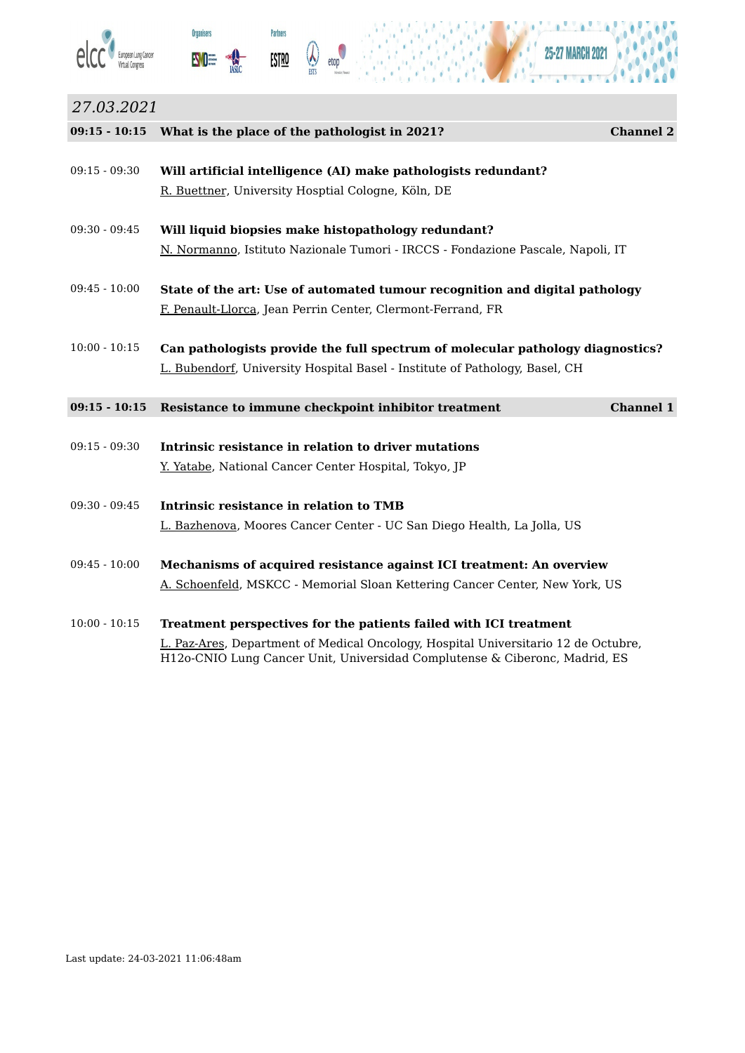



etop



# *27.03.2021*

|                 | 09:15 - 10:15 What is the place of the pathologist in 2021?<br><b>Channel 2</b>    |  |
|-----------------|------------------------------------------------------------------------------------|--|
| $09:15 - 09:30$ | Will artificial intelligence (AI) make pathologists redundant?                     |  |
|                 | R. Buettner, University Hosptial Cologne, Köln, DE                                 |  |
| $09:30 - 09:45$ | Will liquid biopsies make histopathology redundant?                                |  |
|                 | N. Normanno, Istituto Nazionale Tumori - IRCCS - Fondazione Pascale, Napoli, IT    |  |
| $09:45 - 10:00$ | State of the art: Use of automated tumour recognition and digital pathology        |  |
|                 | F. Penault-Llorca, Jean Perrin Center, Clermont-Ferrand, FR                        |  |
| $10:00 - 10:15$ | Can pathologists provide the full spectrum of molecular pathology diagnostics?     |  |
|                 | L. Bubendorf, University Hospital Basel - Institute of Pathology, Basel, CH        |  |
| $09:15 - 10:15$ | Resistance to immune checkpoint inhibitor treatment<br><b>Channel 1</b>            |  |
|                 |                                                                                    |  |
| $09:15 - 09:30$ | Intrinsic resistance in relation to driver mutations                               |  |
|                 | Y. Yatabe, National Cancer Center Hospital, Tokyo, JP                              |  |
| $09:30 - 09:45$ | Intrinsic resistance in relation to TMB                                            |  |
|                 | L. Bazhenova, Moores Cancer Center - UC San Diego Health, La Jolla, US             |  |
| $09:45 - 10:00$ | Mechanisms of acquired resistance against ICI treatment: An overview               |  |
|                 | A. Schoenfeld, MSKCC - Memorial Sloan Kettering Cancer Center, New York, US        |  |
| $10:00 - 10:15$ | Treatment perspectives for the patients failed with ICI treatment                  |  |
|                 | L. Paz-Ares, Department of Medical Oncology, Hospital Universitario 12 de Octubre, |  |

H12o-CNIO Lung Cancer Unit, Universidad Complutense & Ciberonc, Madrid, ES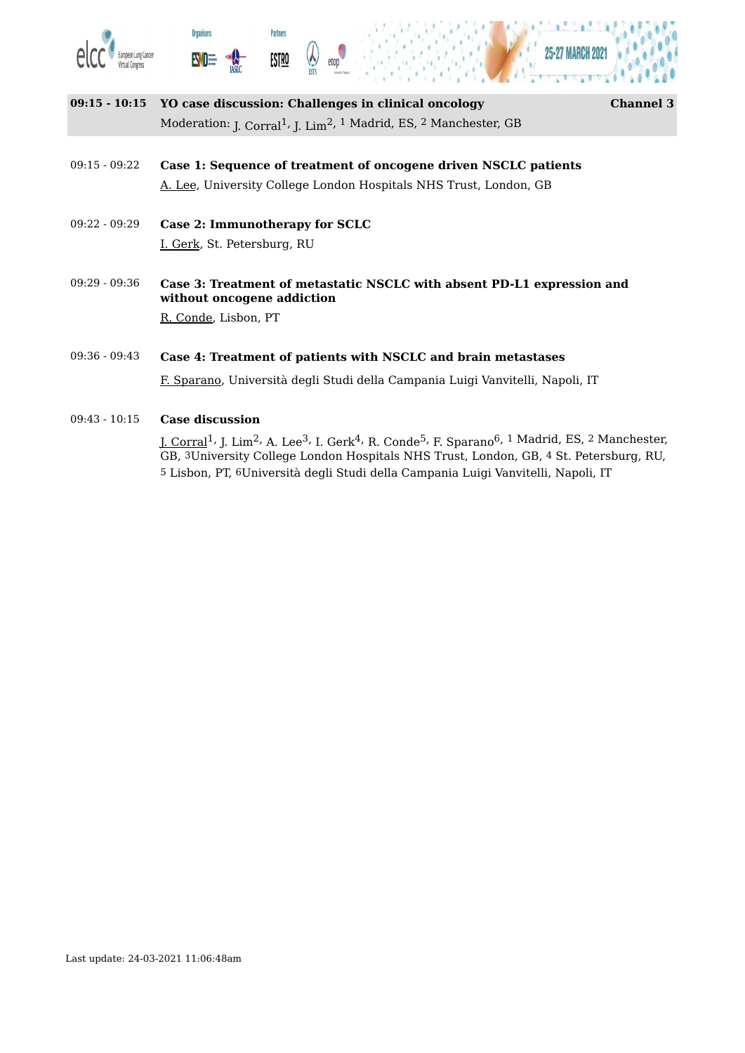





| 09:15 - 10:15 YO case discussion: Challenges in clinical oncology                                               | <b>Channel 3</b> |
|-----------------------------------------------------------------------------------------------------------------|------------------|
| Moderation: J. Corral <sup>1</sup> , J. Lim <sup>2</sup> , <sup>1</sup> Madrid, ES, <sup>2</sup> Manchester, GB |                  |

- 09:15 09:22 **Case 1: Sequence of treatment of oncogene driven NSCLC patients** A. Lee, University College London Hospitals NHS Trust, London, GB
- 09:22 09:29 **Case 2: Immunotherapy for SCLC** I. Gerk, St. Petersburg, RU
- 09:29 09:36 **Case 3: Treatment of metastatic NSCLC with absent PD-L1 expression and without oncogene addiction** R. Conde, Lisbon, PT

#### 09:36 - 09:43 **Case 4: Treatment of patients with NSCLC and brain metastases**

F. Sparano, Università degli Studi della Campania Luigi Vanvitelli, Napoli, IT

#### 09:43 - 10:15 **Case discussion**

<u>J. Corral</u><sup>1,</sup> J. Lim<sup>2,</sup> A. Lee<sup>3,</sup> I. Gerk<sup>4,</sup> R. Conde<sup>5,</sup> F. Sparano<sup>6, 1</sup> Madrid, ES, <sup>2</sup> Manchester, GB, 3University College London Hospitals NHS Trust, London, GB, 4 St. Petersburg, RU, 5 Lisbon, PT, 6Università degli Studi della Campania Luigi Vanvitelli, Napoli, IT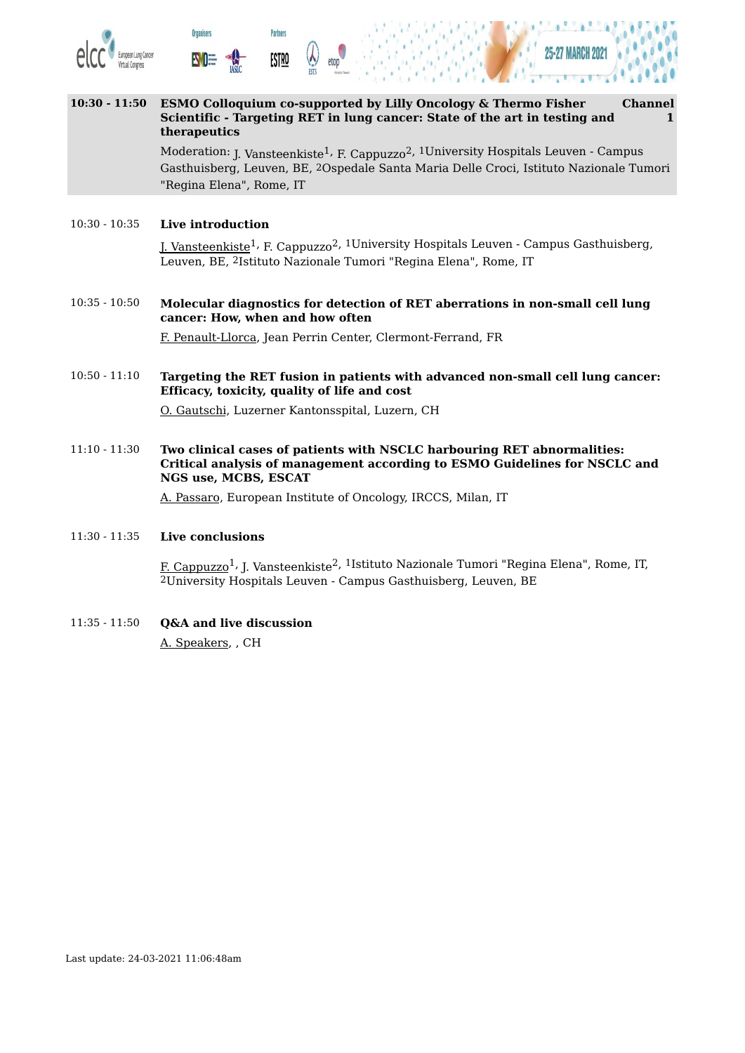



#### **10:30 - 11:50 ESMO Colloquium co-supported by Lilly Oncology & Thermo Fisher Scientific - Targeting RET in lung cancer: State of the art in testing and therapeutics Channel 1**

Moderation: <sub>J. Vansteenkiste<sup>1,</sup> F. Cappuzzo<sup>2, 1</sup>University Hospitals Leuven - Campus</sub> Gasthuisberg, Leuven, BE, 2Ospedale Santa Maria Delle Croci, Istituto Nazionale Tumori "Regina Elena", Rome, IT

#### 10:30 - 10:35 **Live introduction**

**Organisers** 

**Partners** 

<u>ESTRO</u>

<u>J. Vansteenkiste</u><sup>1,</sup> F. Cappuzzo<sup>2, 1</sup>University Hospitals Leuven - Campus Gasthuisberg, Leuven, BE, 2Istituto Nazionale Tumori "Regina Elena", Rome, IT

10:35 - 10:50 **Molecular diagnostics for detection of RET aberrations in non-small cell lung cancer: How, when and how often**

F. Penault-Llorca, Jean Perrin Center, Clermont-Ferrand, FR

10:50 - 11:10 **Targeting the RET fusion in patients with advanced non-small cell lung cancer: Efficacy, toxicity, quality of life and cost**

O. Gautschi, Luzerner Kantonsspital, Luzern, CH

11:10 - 11:30 **Two clinical cases of patients with NSCLC harbouring RET abnormalities: Critical analysis of management according to ESMO Guidelines for NSCLC and NGS use, MCBS, ESCAT**

A. Passaro, European Institute of Oncology, IRCCS, Milan, IT

#### 11:30 - 11:35 **Live conclusions**

<u>F. Cappuzzo</u><sup>1,</sup> J. Vansteenkiste<sup>2, 1</sup>Istituto Nazionale Tumori "Regina Elena", Rome, IT, 2University Hospitals Leuven - Campus Gasthuisberg, Leuven, BE

11:35 - 11:50 **Q&A and live discussion** A. Speakers, , CH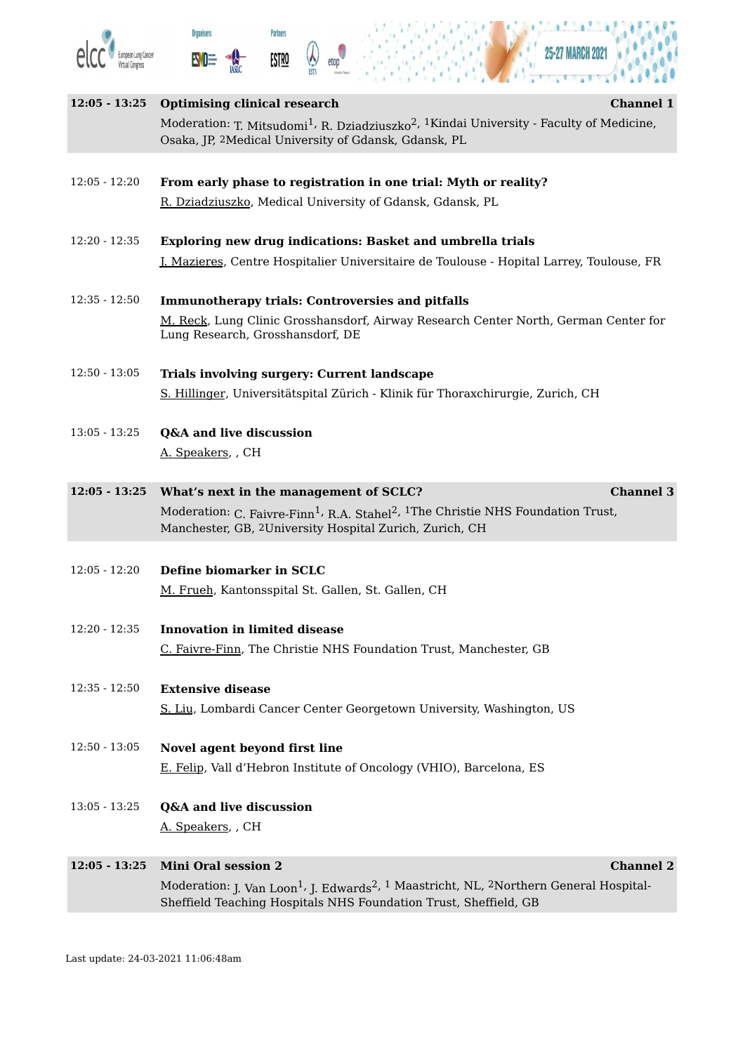





 $\theta$ 

| $12:05 - 13:25$ | <b>Optimising clinical research</b><br><b>Channel 1</b><br>Moderation: T. Mitsudomi <sup>1</sup> , R. Dziadziuszko <sup>2</sup> , <sup>1</sup> Kindai University - Faculty of Medicine,                                                                     |  |
|-----------------|-------------------------------------------------------------------------------------------------------------------------------------------------------------------------------------------------------------------------------------------------------------|--|
|                 | Osaka, JP, <sup>2</sup> Medical University of Gdansk, Gdansk, PL                                                                                                                                                                                            |  |
| $12:05 - 12:20$ | From early phase to registration in one trial: Myth or reality?<br>R. Dziadziuszko, Medical University of Gdansk, Gdansk, PL                                                                                                                                |  |
| $12:20 - 12:35$ | Exploring new drug indications: Basket and umbrella trials<br><u>J. Mazieres</u> , Centre Hospitalier Universitaire de Toulouse - Hopital Larrey, Toulouse, FR                                                                                              |  |
| $12:35 - 12:50$ | <b>Immunotherapy trials: Controversies and pitfalls</b><br>M. Reck, Lung Clinic Grosshansdorf, Airway Research Center North, German Center for<br>Lung Research, Grosshansdorf, DE                                                                          |  |
| $12:50 - 13:05$ | <b>Trials involving surgery: Current landscape</b><br>S. Hillinger, Universitätspital Zürich - Klinik für Thoraxchirurgie, Zurich, CH                                                                                                                       |  |
| $13:05 - 13:25$ | Q&A and live discussion<br>A. Speakers, CH                                                                                                                                                                                                                  |  |
|                 | 12:05 - 13:25 What's next in the management of SCLC?<br><b>Channel 3</b><br>Moderation: C. Faivre-Finn <sup>1</sup> , R.A. Stahel <sup>2</sup> , <sup>1</sup> The Christie NHS Foundation Trust,<br>Manchester, GB, 2University Hospital Zurich, Zurich, CH |  |
| $12:05 - 12:20$ | Define biomarker in SCLC<br>M. Frueh, Kantonsspital St. Gallen, St. Gallen, CH                                                                                                                                                                              |  |
| $12:20 - 12:35$ | <b>Innovation in limited disease</b><br>C. Faivre-Finn, The Christie NHS Foundation Trust, Manchester, GB                                                                                                                                                   |  |
| $12:35 - 12:50$ | <b>Extensive disease</b><br>S. Liu, Lombardi Cancer Center Georgetown University, Washington, US                                                                                                                                                            |  |
| $12:50 - 13:05$ | Novel agent beyond first line<br>E. Felip, Vall d'Hebron Institute of Oncology (VHIO), Barcelona, ES                                                                                                                                                        |  |
| $13:05 - 13:25$ | Q&A and live discussion<br>A. Speakers, CH                                                                                                                                                                                                                  |  |
| $12:05 - 13:25$ | <b>Mini Oral session 2</b><br><b>Channel 2</b><br>Moderation: J. Van Loon <sup>1</sup> , J. Edwards <sup>2</sup> , <sup>1</sup> Maastricht, NL, <sup>2</sup> Northern General Hospital-<br>Sheffield Teaching Hospitals NHS Foundation Trust, Sheffield, GB |  |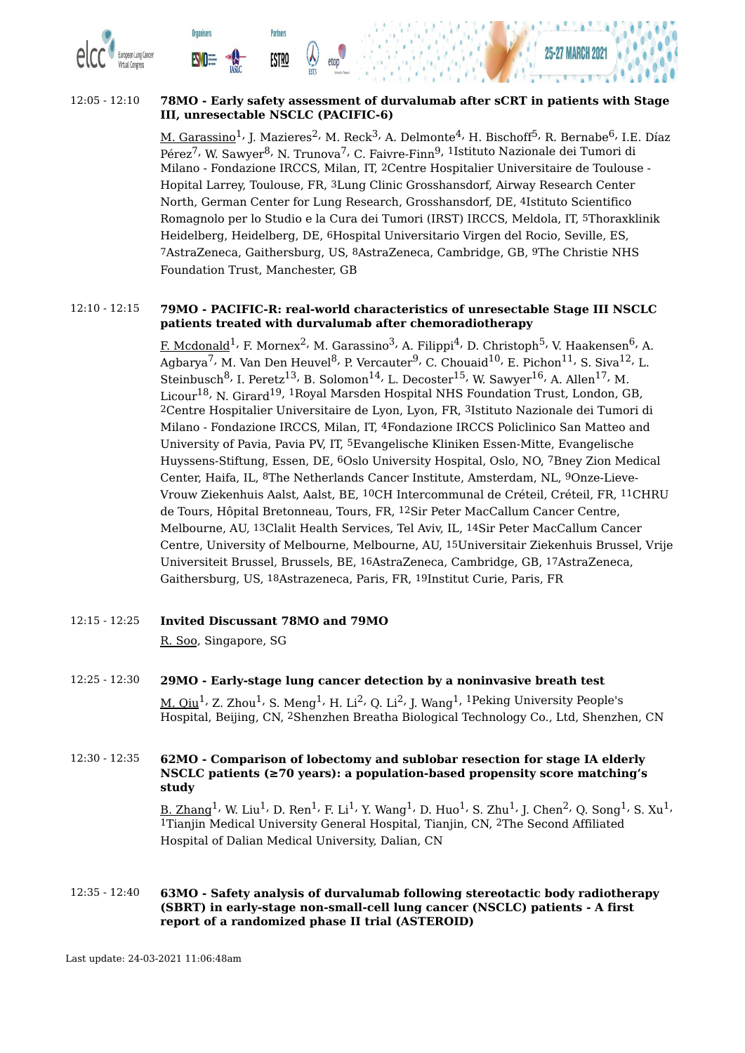



**Partners** 

<u>ESTRO</u>

**Organisers** 

**EVOE** 

M. Garassino<sup>1,</sup> J. Mazieres<sup>2,</sup> M. Reck<sup>3,</sup> A. Delmonte<sup>4,</sup> H. Bischoff<sup>5,</sup> R. Bernabe<sup>6,</sup> I.E. Díaz Pérez<sup>7,</sup> W. Sawyer<sup>8,</sup> N. Trunova<sup>7,</sup> C. Faivre-Finn<sup>9, 1</sup>Istituto Nazionale dei Tumori di Milano - Fondazione IRCCS, Milan, IT, 2Centre Hospitalier Universitaire de Toulouse - Hopital Larrey, Toulouse, FR, 3Lung Clinic Grosshansdorf, Airway Research Center North, German Center for Lung Research, Grosshansdorf, DE, 4Istituto Scientifico Romagnolo per lo Studio e la Cura dei Tumori (IRST) IRCCS, Meldola, IT, 5Thoraxklinik Heidelberg, Heidelberg, DE, 6Hospital Universitario Virgen del Rocio, Seville, ES, 7AstraZeneca, Gaithersburg, US, 8AstraZeneca, Cambridge, GB, 9The Christie NHS Foundation Trust, Manchester, GB

#### 12:10 - 12:15 **79MO - PACIFIC-R: real-world characteristics of unresectable Stage III NSCLC patients treated with durvalumab after chemoradiotherapy**

F. Mcdonald $^1$ <sup>,</sup> F. Mornex $^2$ , M. Garassino $^3$ , A. Filippi $^4$ , D. Christoph $^5$ , V. Haakensen $^6$ , A. Agbarya<sup>7,</sup> M. Van Den Heuvel<sup>8,</sup> P. Vercauter<sup>9,</sup> C. Chouaid<sup>10,</sup> E. Pichon<sup>11,</sup> S. Siva<sup>12,</sup> L. Steinbusch $^8$ , I. Peretz $^{13}$ , B. Solomon $^{14}$ , L. Decoster $^{15}$ , W. Sawyer $^{16}$ , A. Allen $^{17}$ , M. Licour<sup>18,</sup> N. Girard<sup>19, 1</sup>Royal Marsden Hospital NHS Foundation Trust, London, GB, 2Centre Hospitalier Universitaire de Lyon, Lyon, FR, 3Istituto Nazionale dei Tumori di Milano - Fondazione IRCCS, Milan, IT, 4Fondazione IRCCS Policlinico San Matteo and University of Pavia, Pavia PV, IT, 5Evangelische Kliniken Essen-Mitte, Evangelische Huyssens-Stiftung, Essen, DE, 6Oslo University Hospital, Oslo, NO, 7Bney Zion Medical Center, Haifa, IL, 8The Netherlands Cancer Institute, Amsterdam, NL, 9Onze-Lieve-Vrouw Ziekenhuis Aalst, Aalst, BE, 10CH Intercommunal de Créteil, Créteil, FR, 11CHRU de Tours, Hôpital Bretonneau, Tours, FR, 12Sir Peter MacCallum Cancer Centre, Melbourne, AU, 13Clalit Health Services, Tel Aviv, IL, 14Sir Peter MacCallum Cancer Centre, University of Melbourne, Melbourne, AU, 15Universitair Ziekenhuis Brussel, Vrije Universiteit Brussel, Brussels, BE, 16AstraZeneca, Cambridge, GB, 17AstraZeneca, Gaithersburg, US, 18Astrazeneca, Paris, FR, 19Institut Curie, Paris, FR

12:15 - 12:25 **Invited Discussant 78MO and 79MO**

R. Soo, Singapore, SG

- 12:25 12:30 **29MO - Early-stage lung cancer detection by a noninvasive breath test** <u>M. Qiu</u><sup>1,</sup> Z. Zhou<sup>1,</sup> S. Meng<sup>1,</sup> H. Li<sup>2,</sup> Q. Li<sup>2,</sup> J. Wang<sup>1, 1</sup>Peking University People's Hospital, Beijing, CN, 2Shenzhen Breatha Biological Technology Co., Ltd, Shenzhen, CN
- 12:30 12:35 **62MO - Comparison of lobectomy and sublobar resection for stage IA elderly NSCLC patients (≥70 years): a population-based propensity score matching's study**

<u>B. Zhang</u><sup>1,</sup> W. Liu<sup>1,</sup> D. Ren<sup>1,</sup> F. Li<sup>1,</sup> Y. Wang<sup>1,</sup> D. Huo<sup>1,</sup> S. Zhu<sup>1,</sup> J. Chen<sup>2,</sup> Q. Song<sup>1,</sup> S. Xu<sup>1,</sup> 1Tianjin Medical University General Hospital, Tianjin, CN, 2The Second Affiliated Hospital of Dalian Medical University, Dalian, CN

12:35 - 12:40 **63MO - Safety analysis of durvalumab following stereotactic body radiotherapy (SBRT) in early-stage non-small-cell lung cancer (NSCLC) patients - A first report of a randomized phase II trial (ASTEROID)**